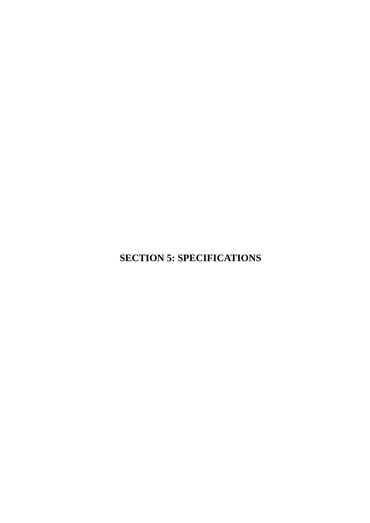**SECTION 5: SPECIFICATIONS**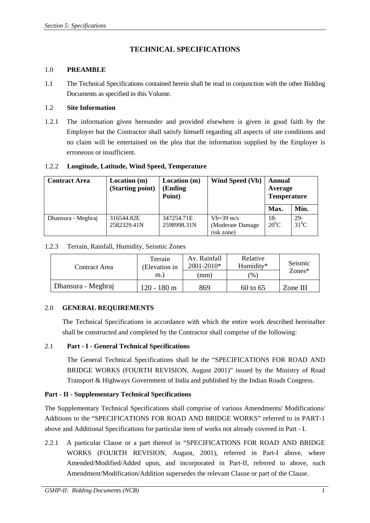# **TECHNICAL SPECIFICATIONS**

## 1.0 **PREAMBLE**

1.1 The Technical Specifications contained herein shall be read in conjunction with the other Bidding Documents as specified in this Volume.

## 1.2 **Site Information**

1.2.1 The information given hereunder and provided elsewhere is given in good faith by the Employer but the Contractor shall satisfy himself regarding all aspects of site conditions and no claim will be entertained on the plea that the information supplied by the Employer is erroneous or insufficient.

## 1.2.2 **Longitude, Latitude, Wind Speed, Temperature**

| <b>Contract Area</b> | Location(m)<br>(Starting point) | Location (m)<br><b>Ending</b><br>Point) | Wind Speed (Vb)  | Annual<br>Average<br><b>Temperature</b> |          |
|----------------------|---------------------------------|-----------------------------------------|------------------|-----------------------------------------|----------|
|                      |                                 |                                         |                  | Max.                                    | Min.     |
| Dhansura - Meghraj   | 316544.82E                      | 347254.71E                              | $Vb=39$ m/s      | 18-                                     | $29-$    |
|                      | 2582329.41N                     | 2598998.31N                             | (Moderate Damage | $20^0C$                                 | $31^0$ C |
|                      |                                 |                                         | risk zone)       |                                         |          |

## 1.2.3 Terrain, Rainfall, Humidity, Seismic Zones

| Contract Area      | Terrain<br>(Elevation in | Av. Rainfall<br>$2001 - 2010*$ | Relative<br>Humidity* | Seismic<br>$Zones*$ |
|--------------------|--------------------------|--------------------------------|-----------------------|---------------------|
|                    | m.                       | mm)                            | $\frac{9}{6}$         |                     |
| Dhansura - Meghraj | $120 - 180$ m            | 869                            | $60$ to $65$          | Zone III            |

## 2.0 **GENERAL REQUIREMENTS**

The Technical Specifications in accordance with which the entire work described hereinafter shall be constructed and completed by the Contractor shall comprise of the following:

## 2.1 **Part - I - General Technical Specifications**

The General Technical Specifications shall be the "SPECIFICATIONS FOR ROAD AND BRIDGE WORKS (FOURTH REVISION, August 2001)" issued by the Ministry of Road Transport & Highways Government of India and published by the Indian Roads Congress.

## **Part - II - Supplementary Technical Specifications**

The Supplementary Technical Specifications shall comprise of various Amendments/ Modifications/ Additions to the "SPECIFICATIONS FOR ROAD AND BRIDGE WORKS" referred to in PART-1 above and Additional Specifications for particular item of works not already covered in Part - I.

2.2.1 A particular Clause or a part thereof in "SPECIFICATIONS FOR ROAD AND BRIDGE WORKS (FOURTH REVISION, August, 2001), referred in Part-I above, where Amended/Modified/Added upon, and incorporated in Part-II, referred to above, such Amendment/Modification/Addition supersedes the relevant Clause or part of the Clause.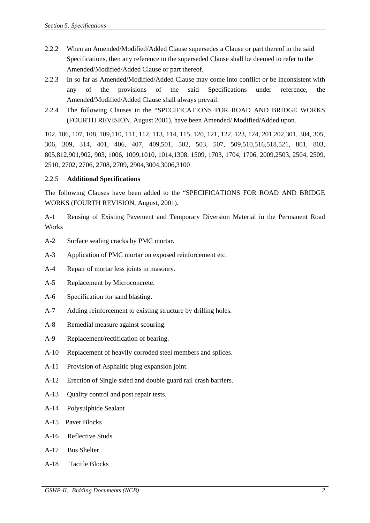- 2.2.2 When an Amended/Modified/Added Clause supersedes a Clause or part thereof in the said Specifications, then any reference to the superseded Clause shall be deemed to refer to the Amended/Modified/Added Clause or part thereof.
- 2.2.3 In so far as Amended/Modified/Added Clause may come into conflict or be inconsistent with any of the provisions of the said Specifications under reference, the Amended/Modified/Added Clause shall always prevail.
- 2.2.4 The following Clauses in the "SPECIFICATIONS FOR ROAD AND BRIDGE WORKS (FOURTH REVISION, August 2001), have been Amended/ Modified/Added upon.

102, 106, 107, 108, 109,110, 111, 112, 113, 114, 115, 120, 121, 122, 123, 124, 201,202,301, 304, 305, 306, 309, 314, 401, 406, 407, 409,501, 502, 503, 507, 509,510,516,518,521, 801, 803, 805,812,901,902, 903, 1006, 1009,1010, 1014,1308, 1509, 1703, 1704, 1706, 2009,2503, 2504, 2509, 2510, 2702, 2706, 2708, 2709, 2904,3004,3006,3100

### 2.2.5 **Additional Specifications**

The following Clauses have been added to the "SPECIFICATIONS FOR ROAD AND BRIDGE WORKS (FOURTH REVISION, August, 2001).

A-1 Reusing of Existing Pavement and Temporary Diversion Material in the Permanent Road Works

- A-2 Surface sealing cracks by PMC mortar.
- A-3 Application of PMC mortar on exposed reinforcement etc.
- A-4 Repair of mortar less joints in masonry.
- A-5 Replacement by Microconcrete.
- A-6 Specification for sand blasting.
- A-7 Adding reinforcement to existing structure by drilling holes.
- A-8 Remedial measure against scouring.
- A-9 Replacement/rectification of bearing.
- A-10 Replacement of heavily corroded steel members and splices.
- A-11 Provision of Asphaltic plug expansion joint.
- A-12 Erection of Single sided and double guard rail crash barriers.
- A-13 Quality control and post repair tests.
- A-14 Polysulphide Sealant
- A-15 Paver Blocks
- A-16 Reflective Studs
- A-17 Bus Shelter
- A-18 Tactile Blocks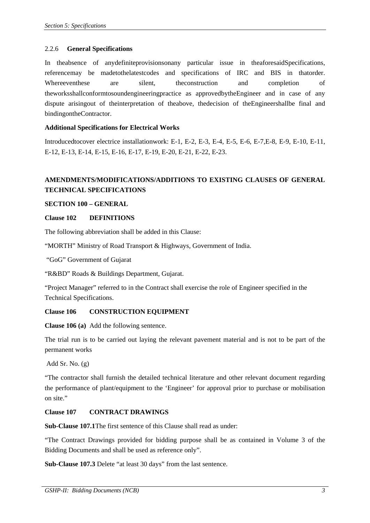### 2.2.6 **General Specifications**

In theabsence of anydefiniteprovisionsonany particular issue in theaforesaidSpecifications, referencemay be madetothelatestcodes and specifications of IRC and BIS in thatorder. Whereeventhese are silent, the onstruction and completion of theworksshallconformtosoundengineeringpractice as approvedbytheEngineer and in case of any dispute arisingout of theinterpretation of theabove, thedecision of theEngineershallbe final and bindingontheContractor.

### **Additional Specifications for Electrical Works**

Introducedtocover electrice installationwork: E-1, E-2, E-3, E-4, E-5, E-6, E-7,E-8, E-9, E-10, E-11, E-12, E-13, E-14, E-15, E-16, E-17, E-19, E-20, E-21, E-22, E-23.

# **AMENDMENTS/MODIFICATIONS/ADDITIONS TO EXISTING CLAUSES OF GENERAL TECHNICAL SPECIFICATIONS**

#### **SECTION 100 – GENERAL**

#### **Clause 102 DEFINITIONS**

The following abbreviation shall be added in this Clause:

"MORTH" Ministry of Road Transport & Highways, Government of India.

"GoG" Government of Gujarat

"R&BD" Roads & Buildings Department, Gujarat.

"Project Manager" referred to in the Contract shall exercise the role of Engineer specified in the Technical Specifications.

## **Clause 106 CONSTRUCTION EQUIPMENT**

**Clause 106 (a)** Add the following sentence.

The trial run is to be carried out laying the relevant pavement material and is not to be part of the permanent works

Add Sr. No. (g)

"The contractor shall furnish the detailed technical literature and other relevant document regarding the performance of plant/equipment to the 'Engineer' for approval prior to purchase or mobilisation on site."

### **Clause 107 CONTRACT DRAWINGS**

**Sub-Clause 107.1**The first sentence of this Clause shall read as under:

"The Contract Drawings provided for bidding purpose shall be as contained in Volume 3 of the Bidding Documents and shall be used as reference only".

**Sub-Clause 107.3** Delete "at least 30 days" from the last sentence.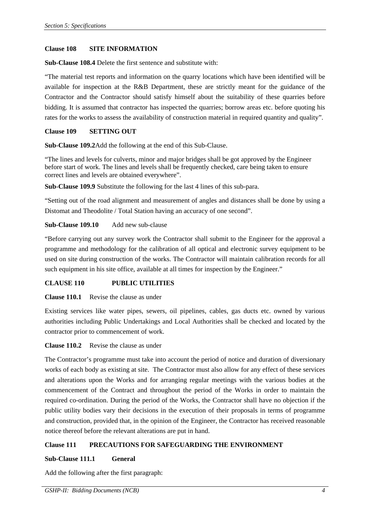#### **Clause 108 SITE INFORMATION**

**Sub-Clause 108.4** Delete the first sentence and substitute with:

"The material test reports and information on the quarry locations which have been identified will be available for inspection at the R&B Department, these are strictly meant for the guidance of the Contractor and the Contractor should satisfy himself about the suitability of these quarries before bidding. It is assumed that contractor has inspected the quarries; borrow areas etc. before quoting his rates for the works to assess the availability of construction material in required quantity and quality".

### **Clause 109 SETTING OUT**

**Sub-Clause 109.2**Add the following at the end of this Sub-Clause.

"The lines and levels for culverts, minor and major bridges shall be got approved by the Engineer before start of work. The lines and levels shall be frequently checked, care being taken to ensure correct lines and levels are obtained everywhere".

**Sub-Clause 109.9** Substitute the following for the last 4 lines of this sub-para.

"Setting out of the road alignment and measurement of angles and distances shall be done by using a Distomat and Theodolite / Total Station having an accuracy of one second".

## **Sub-Clause 109.10** Add new sub-clause

"Before carrying out any survey work the Contractor shall submit to the Engineer for the approval a programme and methodology for the calibration of all optical and electronic survey equipment to be used on site during construction of the works. The Contractor will maintain calibration records for all such equipment in his site office, available at all times for inspection by the Engineer."

#### **CLAUSE 110 PUBLIC UTILITIES**

**Clause 110.1** Revise the clause as under

Existing services like water pipes, sewers, oil pipelines, cables, gas ducts etc. owned by various authorities including Public Undertakings and Local Authorities shall be checked and located by the contractor prior to commencement of work.

## **Clause 110.2** Revise the clause as under

The Contractor's programme must take into account the period of notice and duration of diversionary works of each body as existing at site. The Contractor must also allow for any effect of these services and alterations upon the Works and for arranging regular meetings with the various bodies at the commencement of the Contract and throughout the period of the Works in order to maintain the required co-ordination. During the period of the Works, the Contractor shall have no objection if the public utility bodies vary their decisions in the execution of their proposals in terms of programme and construction, provided that, in the opinion of the Engineer, the Contractor has received reasonable notice thereof before the relevant alterations are put in hand.

## **Clause 111 PRECAUTIONS FOR SAFEGUARDING THE ENVIRONMENT**

## **Sub-Clause 111.1 General**

Add the following after the first paragraph: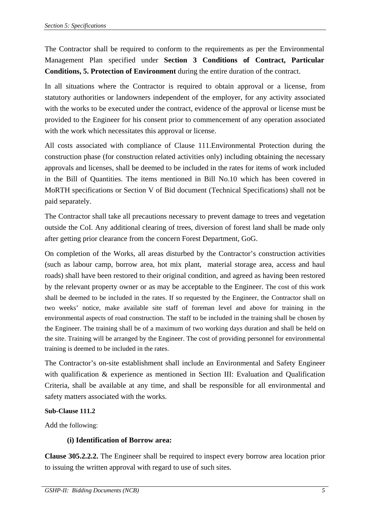The Contractor shall be required to conform to the requirements as per the Environmental Management Plan specified under **Section 3 Conditions of Contract, Particular Conditions, 5. Protection of Environment** during the entire duration of the contract.

In all situations where the Contractor is required to obtain approval or a license, from statutory authorities or landowners independent of the employer, for any activity associated with the works to be executed under the contract, evidence of the approval or license must be provided to the Engineer for his consent prior to commencement of any operation associated with the work which necessitates this approval or license.

All costs associated with compliance of Clause 111.Environmental Protection during the construction phase (for construction related activities only) including obtaining the necessary approvals and licenses, shall be deemed to be included in the rates for items of work included in the Bill of Quantities. The items mentioned in Bill No.10 which has been covered in MoRTH specifications or Section V of Bid document (Technical Specifications) shall not be paid separately.

The Contractor shall take all precautions necessary to prevent damage to trees and vegetation outside the CoI. Any additional clearing of trees, diversion of forest land shall be made only after getting prior clearance from the concern Forest Department, GoG.

On completion of the Works, all areas disturbed by the Contractor's construction activities (such as labour camp, borrow area, hot mix plant, material storage area, access and haul roads) shall have been restored to their original condition, and agreed as having been restored by the relevant property owner or as may be acceptable to the Engineer. The cost of this work shall be deemed to be included in the rates. If so requested by the Engineer, the Contractor shall on two weeks' notice, make available site staff of foreman level and above for training in the environmental aspects of road construction. The staff to be included in the training shall be chosen by the Engineer. The training shall be of a maximum of two working days duration and shall be held on the site. Training will be arranged by the Engineer. The cost of providing personnel for environmental training is deemed to be included in the rates.

The Contractor's on-site establishment shall include an Environmental and Safety Engineer with qualification & experience as mentioned in Section III: Evaluation and Qualification Criteria, shall be available at any time, and shall be responsible for all environmental and safety matters associated with the works.

## **Sub-Clause 111.2**

Add the following:

# **(i) Identification of Borrow area:**

**Clause 305.2.2.2.** The Engineer shall be required to inspect every borrow area location prior to issuing the written approval with regard to use of such sites.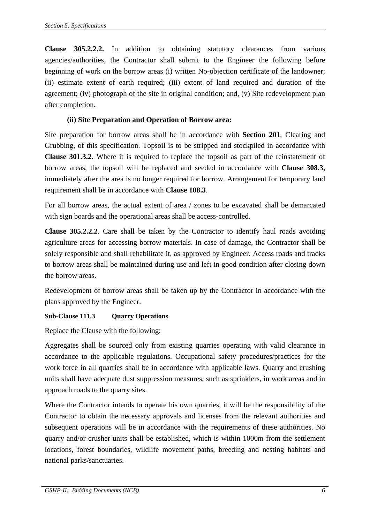**Clause 305.2.2.2.** In addition to obtaining statutory clearances from various agencies/authorities, the Contractor shall submit to the Engineer the following before beginning of work on the borrow areas (i) written No-objection certificate of the landowner; (ii) estimate extent of earth required; (iii) extent of land required and duration of the agreement; (iv) photograph of the site in original condition; and, (v) Site redevelopment plan after completion.

# **(ii) Site Preparation and Operation of Borrow area:**

Site preparation for borrow areas shall be in accordance with **Section 201**, Clearing and Grubbing, of this specification. Topsoil is to be stripped and stockpiled in accordance with **Clause 301.3.2.** Where it is required to replace the topsoil as part of the reinstatement of borrow areas, the topsoil will be replaced and seeded in accordance with **Clause 308.3,** immediately after the area is no longer required for borrow. Arrangement for temporary land requirement shall be in accordance with **Clause 108.3**.

For all borrow areas, the actual extent of area / zones to be excavated shall be demarcated with sign boards and the operational areas shall be access-controlled.

**Clause 305.2.2.2**. Care shall be taken by the Contractor to identify haul roads avoiding agriculture areas for accessing borrow materials. In case of damage, the Contractor shall be solely responsible and shall rehabilitate it, as approved by Engineer. Access roads and tracks to borrow areas shall be maintained during use and left in good condition after closing down the borrow areas.

Redevelopment of borrow areas shall be taken up by the Contractor in accordance with the plans approved by the Engineer.

## **Sub-Clause 111.3 Quarry Operations**

Replace the Clause with the following:

Aggregates shall be sourced only from existing quarries operating with valid clearance in accordance to the applicable regulations. Occupational safety procedures/practices for the work force in all quarries shall be in accordance with applicable laws. Quarry and crushing units shall have adequate dust suppression measures, such as sprinklers, in work areas and in approach roads to the quarry sites.

Where the Contractor intends to operate his own quarries, it will be the responsibility of the Contractor to obtain the necessary approvals and licenses from the relevant authorities and subsequent operations will be in accordance with the requirements of these authorities. No quarry and/or crusher units shall be established, which is within 1000m from the settlement locations, forest boundaries, wildlife movement paths, breeding and nesting habitats and national parks/sanctuaries.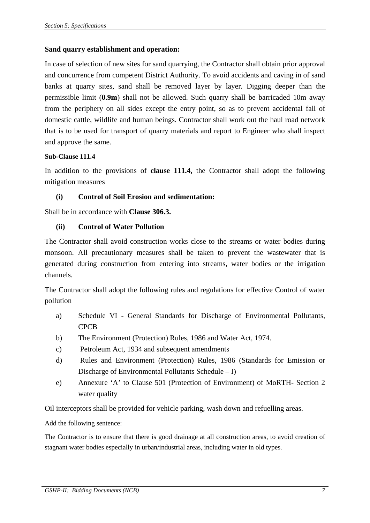## **Sand quarry establishment and operation:**

In case of selection of new sites for sand quarrying, the Contractor shall obtain prior approval and concurrence from competent District Authority. To avoid accidents and caving in of sand banks at quarry sites, sand shall be removed layer by layer. Digging deeper than the permissible limit (**0.9m**) shall not be allowed. Such quarry shall be barricaded 10m away from the periphery on all sides except the entry point, so as to prevent accidental fall of domestic cattle, wildlife and human beings. Contractor shall work out the haul road network that is to be used for transport of quarry materials and report to Engineer who shall inspect and approve the same.

## **Sub-Clause 111.4**

In addition to the provisions of **clause 111.4,** the Contractor shall adopt the following mitigation measures

## **(i) Control of Soil Erosion and sedimentation:**

Shall be in accordance with **Clause 306.3.**

## **(ii) Control of Water Pollution**

The Contractor shall avoid construction works close to the streams or water bodies during monsoon. All precautionary measures shall be taken to prevent the wastewater that is generated during construction from entering into streams, water bodies or the irrigation channels.

The Contractor shall adopt the following rules and regulations for effective Control of water pollution

- a) Schedule VI General Standards for Discharge of Environmental Pollutants, CPCB
- b) The Environment (Protection) Rules, 1986 and Water Act, 1974.
- c) Petroleum Act, 1934 and subsequent amendments
- d) Rules and Environment (Protection) Rules, 1986 (Standards for Emission or Discharge of Environmental Pollutants Schedule – I)
- e) Annexure 'A' to Clause 501 (Protection of Environment) of MoRTH- Section 2 water quality

Oil interceptors shall be provided for vehicle parking, wash down and refuelling areas.

Add the following sentence:

The Contractor is to ensure that there is good drainage at all construction areas, to avoid creation of stagnant water bodies especially in urban/industrial areas, including water in old types.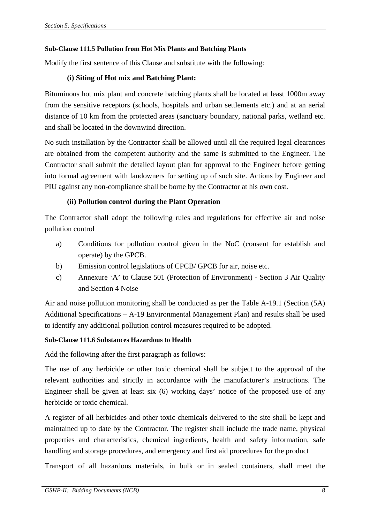## **Sub-Clause 111.5 Pollution from Hot Mix Plants and Batching Plants**

Modify the first sentence of this Clause and substitute with the following:

## **(i) Siting of Hot mix and Batching Plant:**

Bituminous hot mix plant and concrete batching plants shall be located at least 1000m away from the sensitive receptors (schools, hospitals and urban settlements etc.) and at an aerial distance of 10 km from the protected areas (sanctuary boundary, national parks, wetland etc. and shall be located in the downwind direction.

No such installation by the Contractor shall be allowed until all the required legal clearances are obtained from the competent authority and the same is submitted to the Engineer. The Contractor shall submit the detailed layout plan for approval to the Engineer before getting into formal agreement with landowners for setting up of such site. Actions by Engineer and PIU against any non-compliance shall be borne by the Contractor at his own cost.

## **(ii) Pollution control during the Plant Operation**

The Contractor shall adopt the following rules and regulations for effective air and noise pollution control

- a) Conditions for pollution control given in the NoC (consent for establish and operate) by the GPCB.
- b) Emission control legislations of CPCB/ GPCB for air, noise etc.
- c) Annexure 'A' to Clause 501 (Protection of Environment) Section 3 Air Quality and Section 4 Noise

Air and noise pollution monitoring shall be conducted as per the Table A-19.1 (Section (5A) Additional Specifications – A-19 Environmental Management Plan) and results shall be used to identify any additional pollution control measures required to be adopted.

## **Sub-Clause 111.6 Substances Hazardous to Health**

Add the following after the first paragraph as follows:

The use of any herbicide or other toxic chemical shall be subject to the approval of the relevant authorities and strictly in accordance with the manufacturer's instructions. The Engineer shall be given at least six (6) working days' notice of the proposed use of any herbicide or toxic chemical.

A register of all herbicides and other toxic chemicals delivered to the site shall be kept and maintained up to date by the Contractor. The register shall include the trade name, physical properties and characteristics, chemical ingredients, health and safety information, safe handling and storage procedures, and emergency and first aid procedures for the product

Transport of all hazardous materials, in bulk or in sealed containers, shall meet the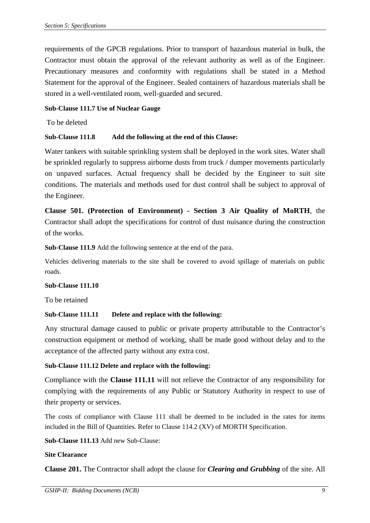requirements of the GPCB regulations. Prior to transport of hazardous material in bulk, the Contractor must obtain the approval of the relevant authority as well as of the Engineer. Precautionary measures and conformity with regulations shall be stated in a Method Statement for the approval of the Engineer. Sealed containers of hazardous materials shall be stored in a well-ventilated room, well-guarded and secured.

## **Sub-Clause 111.7 Use of Nuclear Gauge**

To be deleted

## **Sub-Clause 111.8 Add the following at the end of this Clause:**

Water tankers with suitable sprinkling system shall be deployed in the work sites. Water shall be sprinkled regularly to suppress airborne dusts from truck / dumper movements particularly on unpaved surfaces. Actual frequency shall be decided by the Engineer to suit site conditions. The materials and methods used for dust control shall be subject to approval of the Engineer.

**Clause 501. (Protection of Environment) - Section 3 Air Quality of MoRTH**, the Contractor shall adopt the specifications for control of dust nuisance during the construction of the works.

**Sub-Clause 111.9** Add the following sentence at the end of the para.

Vehicles delivering materials to the site shall be covered to avoid spillage of materials on public roads.

## **Sub-Clause 111.10**

To be retained

## **Sub-Clause 111.11 Delete and replace with the following:**

Any structural damage caused to public or private property attributable to the Contractor's construction equipment or method of working, shall be made good without delay and to the acceptance of the affected party without any extra cost.

## **Sub-Clause 111.12 Delete and replace with the following:**

Compliance with the **Clause 111.11** will not relieve the Contractor of any responsibility for complying with the requirements of any Public or Statutory Authority in respect to use of their property or services.

The costs of compliance with Clause 111 shall be deemed to be included in the rates for items included in the Bill of Quantities. Refer to Clause 114.2 (XV) of MORTH Specification.

**Sub-Clause 111.13** Add new Sub-Clause:

## **Site Clearance**

**Clause 201.** The Contractor shall adopt the clause for *Clearing and Grubbing* of the site. All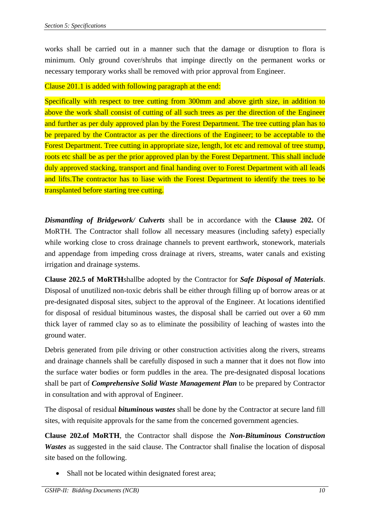works shall be carried out in a manner such that the damage or disruption to flora is minimum. Only ground cover/shrubs that impinge directly on the permanent works or necessary temporary works shall be removed with prior approval from Engineer.

## Clause 201.1 is added with following paragraph at the end:

Specifically with respect to tree cutting from 300mm and above girth size, in addition to above the work shall consist of cutting of all such trees as per the direction of the Engineer and further as per duly approved plan by the Forest Department. The tree cutting plan has to be prepared by the Contractor as per the directions of the Engineer; to be acceptable to the Forest Department. Tree cutting in appropriate size, length, lot etc and removal of tree stump, roots etc shall be as per the prior approved plan by the Forest Department. This shall include duly approved stacking, transport and final handing over to Forest Department with all leads and lifts.The contractor has to liase with the Forest Department to identify the trees to be transplanted before starting tree cutting.

*Dismantling of Bridgework/ Culverts* shall be in accordance with the **Clause 202.** Of MoRTH. The Contractor shall follow all necessary measures (including safety) especially while working close to cross drainage channels to prevent earthwork, stonework, materials and appendage from impeding cross drainage at rivers, streams, water canals and existing irrigation and drainage systems.

**Clause 202.5 of MoRTH**shallbe adopted by the Contractor for *Safe Disposal of Materials*. Disposal of unutilized non-toxic debris shall be either through filling up of borrow areas or at pre-designated disposal sites, subject to the approval of the Engineer. At locations identified for disposal of residual bituminous wastes, the disposal shall be carried out over a 60 mm thick layer of rammed clay so as to eliminate the possibility of leaching of wastes into the ground water.

Debris generated from pile driving or other construction activities along the rivers, streams and drainage channels shall be carefully disposed in such a manner that it does not flow into the surface water bodies or form puddles in the area. The pre-designated disposal locations shall be part of *Comprehensive Solid Waste Management Plan* to be prepared by Contractor in consultation and with approval of Engineer.

The disposal of residual *bituminous wastes* shall be done by the Contractor at secure land fill sites, with requisite approvals for the same from the concerned government agencies.

**Clause 202.of MoRTH**, the Contractor shall dispose the *Non-Bituminous Construction Wastes* as suggested in the said clause. The Contractor shall finalise the location of disposal site based on the following.

Shall not be located within designated forest area;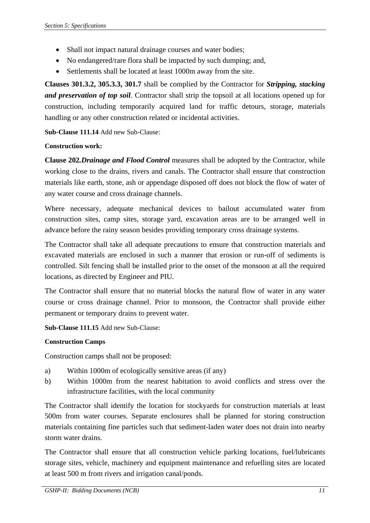- Shall not impact natural drainage courses and water bodies;
- No endangered/rare flora shall be impacted by such dumping; and,
- Settlements shall be located at least 1000m away from the site.

**Clauses 301.3.2, 305.3.3, 301.7** shall be complied by the Contractor for *Stripping, stacking and preservation of top soil*. Contractor shall strip the topsoil at all locations opened up for construction, including temporarily acquired land for traffic detours, storage, materials handling or any other construction related or incidental activities.

**Sub-Clause 111.14** Add new Sub-Clause:

## **Construction work:**

**Clause 202***.Drainage and Flood Control* measures shall be adopted by the Contractor, while working close to the drains, rivers and canals. The Contractor shall ensure that construction materials like earth, stone, ash or appendage disposed off does not block the flow of water of any water course and cross drainage channels.

Where necessary, adequate mechanical devices to bailout accumulated water from construction sites, camp sites, storage yard, excavation areas are to be arranged well in advance before the rainy season besides providing temporary cross drainage systems.

The Contractor shall take all adequate precautions to ensure that construction materials and excavated materials are enclosed in such a manner that erosion or run-off of sediments is controlled. Silt fencing shall be installed prior to the onset of the monsoon at all the required locations, as directed by Engineer and PIU.

The Contractor shall ensure that no material blocks the natural flow of water in any water course or cross drainage channel. Prior to monsoon, the Contractor shall provide either permanent or temporary drains to prevent water.

**Sub-Clause 111.15** Add new Sub-Clause:

## **Construction Camps**

Construction camps shall not be proposed:

- a) Within 1000m of ecologically sensitive areas (if any)
- b) Within 1000m from the nearest habitation to avoid conflicts and stress over the infrastructure facilities, with the local community

The Contractor shall identify the location for stockyards for construction materials at least 500m from water courses. Separate enclosures shall be planned for storing construction materials containing fine particles such that sediment-laden water does not drain into nearby storm water drains.

The Contractor shall ensure that all construction vehicle parking locations, fuel/lubricants storage sites, vehicle, machinery and equipment maintenance and refuelling sites are located at least 500 m from rivers and irrigation canal/ponds.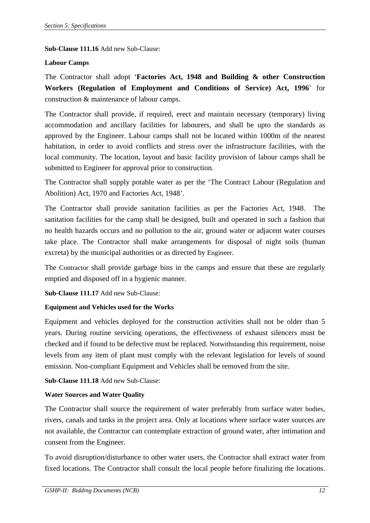**Sub-Clause 111.16** Add new Sub-Clause:

## **Labour Camps**

The Contractor shall adopt '**Factories Act, 1948 and Building & other Construction Workers (Regulation of Employment and Conditions of Service) Act, 1996**' for construction & maintenance of labour camps.

The Contractor shall provide, if required, erect and maintain necessary (temporary) living accommodation and ancillary facilities for labourers, and shall be upto the standards as approved by the Engineer. Labour camps shall not be located within 1000m of the nearest habitation, in order to avoid conflicts and stress over the infrastructure facilities, with the local community. The location, layout and basic facility provision of labour camps shall be submitted to Engineer for approval prior to construction.

The Contractor shall supply potable water as per the 'The Contract Labour (Regulation and Abolition) Act, 1970 and Factories Act, 1948'.

The Contractor shall provide sanitation facilities as per the Factories Act, 1948. The sanitation facilities for the camp shall be designed, built and operated in such a fashion that no health hazards occurs and no pollution to the air, ground water or adjacent water courses take place. The Contractor shall make arrangements for disposal of night soils (human excreta) by the municipal authorities or as directed by Engineer.

The Contractor shall provide garbage bins in the camps and ensure that these are regularly emptied and disposed off in a hygienic manner.

**Sub-Clause 111.17** Add new Sub-Clause:

## **Equipment and Vehicles used for the Works**

Equipment and vehicles deployed for the construction activities shall not be older than 5 years. During routine servicing operations, the effectiveness of exhaust silencers must be checked and if found to be defective must be replaced. Notwithstanding this requirement, noise levels from any item of plant must comply with the relevant legislation for levels of sound emission. Non-compliant Equipment and Vehicles shall be removed from the site.

**Sub-Clause 111.18** Add new Sub-Clause:

## **Water Sources and Water Quality**

The Contractor shall source the requirement of water preferably from surface water bodies, rivers, canals and tanks in the project area. Only at locations where surface water sources are not available, the Contractor can contemplate extraction of ground water, after intimation and consent from the Engineer.

To avoid disruption/disturbance to other water users, the Contractor shall extract water from fixed locations. The Contractor shall consult the local people before finalizing the locations.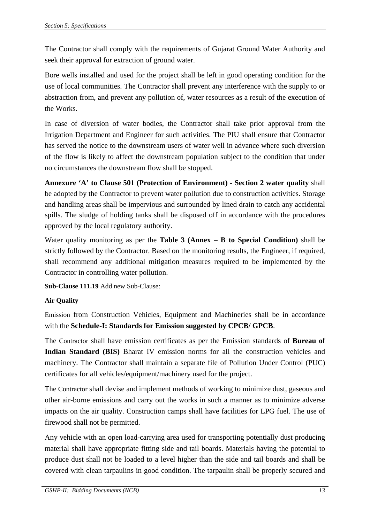The Contractor shall comply with the requirements of Gujarat Ground Water Authority and seek their approval for extraction of ground water.

Bore wells installed and used for the project shall be left in good operating condition for the use of local communities. The Contractor shall prevent any interference with the supply to or abstraction from, and prevent any pollution of, water resources as a result of the execution of the Works.

In case of diversion of water bodies, the Contractor shall take prior approval from the Irrigation Department and Engineer for such activities. The PIU shall ensure that Contractor has served the notice to the downstream users of water well in advance where such diversion of the flow is likely to affect the downstream population subject to the condition that under no circumstances the downstream flow shall be stopped.

**Annexure 'A' to Clause 501 (Protection of Environment) - Section 2 water quality** shall be adopted by the Contractor to prevent water pollution due to construction activities. Storage and handling areas shall be impervious and surrounded by lined drain to catch any accidental spills. The sludge of holding tanks shall be disposed off in accordance with the procedures approved by the local regulatory authority.

Water quality monitoring as per the **Table 3 (Annex – B to Special Condition)** shall be strictly followed by the Contractor. Based on the monitoring results, the Engineer, if required, shall recommend any additional mitigation measures required to be implemented by the Contractor in controlling water pollution.

**Sub-Clause 111.19** Add new Sub-Clause:

## **Air Quality**

Emission from Construction Vehicles, Equipment and Machineries shall be in accordance with the **Schedule-I: Standards for Emission suggested by CPCB/ GPCB**.

The Contractor shall have emission certificates as per the Emission standards of **Bureau of Indian Standard (BIS)** Bharat IV emission norms for all the construction vehicles and machinery. The Contractor shall maintain a separate file of Pollution Under Control (PUC) certificates for all vehicles/equipment/machinery used for the project.

The Contractor shall devise and implement methods of working to minimize dust, gaseous and other air-borne emissions and carry out the works in such a manner as to minimize adverse impacts on the air quality. Construction camps shall have facilities for LPG fuel. The use of firewood shall not be permitted.

Any vehicle with an open load-carrying area used for transporting potentially dust producing material shall have appropriate fitting side and tail boards. Materials having the potential to produce dust shall not be loaded to a level higher than the side and tail boards and shall be covered with clean tarpaulins in good condition. The tarpaulin shall be properly secured and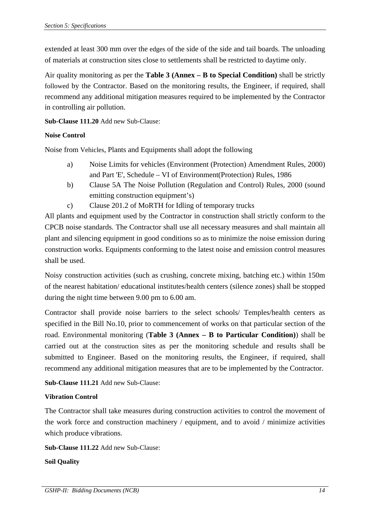extended at least 300 mm over the edges of the side of the side and tail boards. The unloading of materials at construction sites close to settlements shall be restricted to daytime only.

Air quality monitoring as per the **Table 3 (Annex – B to Special Condition)** shall be strictly followed by the Contractor. Based on the monitoring results, the Engineer, if required, shall recommend any additional mitigation measures required to be implemented by the Contractor in controlling air pollution.

**Sub-Clause 111.20** Add new Sub-Clause:

## **Noise Control**

Noise from Vehicles, Plants and Equipments shall adopt the following

- a) Noise Limits for vehicles (Environment (Protection) Amendment Rules, 2000) and Part 'E', Schedule – VI of Environment(Protection) Rules, 1986
- b) Clause 5A The Noise Pollution (Regulation and Control) Rules, 2000 (sound emitting construction equipment's)
- c) Clause 201.2 of MoRTH for Idling of temporary trucks

All plants and equipment used by the Contractor in construction shall strictly conform to the CPCB noise standards. The Contractor shall use all necessary measures and shall maintain all plant and silencing equipment in good conditions so as to minimize the noise emission during construction works. Equipments conforming to the latest noise and emission control measures shall be used.

Noisy construction activities (such as crushing, concrete mixing, batching etc.) within 150m of the nearest habitation/ educational institutes/health centers (silence zones) shall be stopped during the night time between 9.00 pm to 6.00 am.

Contractor shall provide noise barriers to the select schools/ Temples/health centers as specified in the Bill No.10, prior to commencement of works on that particular section of the road. Environmental monitoring (**Table 3 (Annex – B to Particular Condition)**) shall be carried out at the construction sites as per the monitoring schedule and results shall be submitted to Engineer. Based on the monitoring results, the Engineer, if required, shall recommend any additional mitigation measures that are to be implemented by the Contractor.

**Sub-Clause 111.21** Add new Sub-Clause:

## **Vibration Control**

The Contractor shall take measures during construction activities to control the movement of the work force and construction machinery / equipment, and to avoid / minimize activities which produce vibrations.

**Sub-Clause 111.22** Add new Sub-Clause:

**Soil Quality**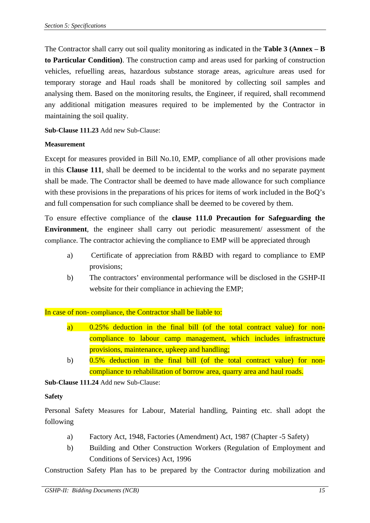The Contractor shall carry out soil quality monitoring as indicated in the **Table 3 (Annex – B to Particular Condition)**. The construction camp and areas used for parking of construction vehicles, refuelling areas, hazardous substance storage areas, agriculture areas used for temporary storage and Haul roads shall be monitored by collecting soil samples and analysing them. Based on the monitoring results, the Engineer, if required, shall recommend any additional mitigation measures required to be implemented by the Contractor in maintaining the soil quality.

**Sub-Clause 111.23** Add new Sub-Clause:

## **Measurement**

Except for measures provided in Bill No.10, EMP, compliance of all other provisions made in this **Clause 111**, shall be deemed to be incidental to the works and no separate payment shall be made. The Contractor shall be deemed to have made allowance for such compliance with these provisions in the preparations of his prices for items of work included in the BoQ's and full compensation for such compliance shall be deemed to be covered by them.

To ensure effective compliance of the **clause 111.0 Precaution for Safeguarding the Environment**, the engineer shall carry out periodic measurement/ assessment of the compliance. The contractor achieving the compliance to EMP will be appreciated through

- a) Certificate of appreciation from R&BD with regard to compliance to EMP provisions;
- b) The contractors' environmental performance will be disclosed in the GSHP-II website for their compliance in achieving the EMP;

In case of non- compliance, the Contractor shall be liable to:

- a) 0.25% deduction in the final bill (of the total contract value) for noncompliance to labour camp management, which includes infrastructure provisions, maintenance, upkeep and handling;
- b) 0.5% deduction in the final bill (of the total contract value) for noncompliance to rehabilitation of borrow area, quarry area and haul roads.

**Sub-Clause 111.24** Add new Sub-Clause:

## **Safety**

Personal Safety Measures for Labour, Material handling, Painting etc. shall adopt the following

- a) Factory Act, 1948, Factories (Amendment) Act, 1987 (Chapter -5 Safety)
- b) Building and Other Construction Workers (Regulation of Employment and Conditions of Services) Act, 1996

Construction Safety Plan has to be prepared by the Contractor during mobilization and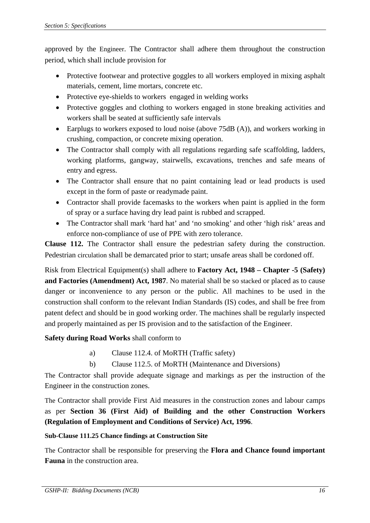approved by the Engineer. The Contractor shall adhere them throughout the construction period, which shall include provision for

- Protective footwear and protective goggles to all workers employed in mixing asphalt materials, cement, lime mortars, concrete etc.
- Protective eye-shields to workers engaged in welding works
- Protective goggles and clothing to workers engaged in stone breaking activities and workers shall be seated at sufficiently safe intervals
- Earplugs to workers exposed to loud noise (above 75dB (A)), and workers working in crushing, compaction, or concrete mixing operation.
- The Contractor shall comply with all regulations regarding safe scaffolding, ladders, working platforms, gangway, stairwells, excavations, trenches and safe means of entry and egress.
- The Contractor shall ensure that no paint containing lead or lead products is used except in the form of paste or readymade paint.
- Contractor shall provide facemasks to the workers when paint is applied in the form of spray or a surface having dry lead paint is rubbed and scrapped.
- The Contractor shall mark 'hard hat' and 'no smoking' and other 'high risk' areas and enforce non-compliance of use of PPE with zero tolerance.

**Clause 112.** The Contractor shall ensure the pedestrian safety during the construction. Pedestrian circulation shall be demarcated prior to start; unsafe areas shall be cordoned off.

Risk from Electrical Equipment(s) shall adhere to **Factory Act, 1948 – Chapter -5 (Safety) and Factories (Amendment) Act, 1987**. No material shall be so stacked or placed as to cause danger or inconvenience to any person or the public. All machines to be used in the construction shall conform to the relevant Indian Standards (IS) codes, and shall be free from patent defect and should be in good working order. The machines shall be regularly inspected and properly maintained as per IS provision and to the satisfaction of the Engineer.

# **Safety during Road Works** shall conform to

- a) Clause 112.4. of MoRTH (Traffic safety)
- b) Clause 112.5. of MoRTH (Maintenance and Diversions)

The Contractor shall provide adequate signage and markings as per the instruction of the Engineer in the construction zones.

The Contractor shall provide First Aid measures in the construction zones and labour camps as per **Section 36 (First Aid) of Building and the other Construction Workers (Regulation of Employment and Conditions of Service) Act, 1996**.

## **Sub-Clause 111.25 Chance findings at Construction Site**

The Contractor shall be responsible for preserving the **Flora and Chance found important Fauna** in the construction area.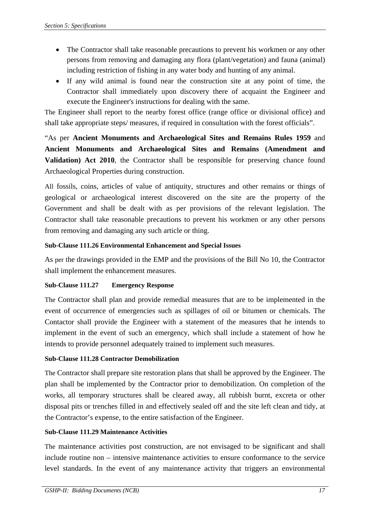- The Contractor shall take reasonable precautions to prevent his workmen or any other persons from removing and damaging any flora (plant/vegetation) and fauna (animal) including restriction of fishing in any water body and hunting of any animal.
- If any wild animal is found near the construction site at any point of time, the Contractor shall immediately upon discovery there of acquaint the Engineer and execute the Engineer's instructions for dealing with the same.

The Engineer shall report to the nearby forest office (range office or divisional office) and shall take appropriate steps/ measures, if required in consultation with the forest officials".

"As per **Ancient Monuments and Archaeological Sites and Remains Rules 1959** and **Ancient Monuments and Archaeological Sites and Remains (Amendment and Validation) Act 2010**, the Contractor shall be responsible for preserving chance found Archaeological Properties during construction.

All fossils, coins, articles of value of antiquity, structures and other remains or things of geological or archaeological interest discovered on the site are the property of the Government and shall be dealt with as per provisions of the relevant legislation. The Contractor shall take reasonable precautions to prevent his workmen or any other persons from removing and damaging any such article or thing.

## **Sub-Clause 111.26 Environmental Enhancement and Special Issues**

As per the drawings provided in the EMP and the provisions of the Bill No 10, the Contractor shall implement the enhancement measures.

## **Sub-Clause 111.27 Emergency Response**

The Contractor shall plan and provide remedial measures that are to be implemented in the event of occurrence of emergencies such as spillages of oil or bitumen or chemicals. The Contactor shall provide the Engineer with a statement of the measures that he intends to implement in the event of such an emergency, which shall include a statement of how he intends to provide personnel adequately trained to implement such measures.

# **Sub-Clause 111.28 Contractor Demobilization**

The Contractor shall prepare site restoration plans that shall be approved by the Engineer. The plan shall be implemented by the Contractor prior to demobilization. On completion of the works, all temporary structures shall be cleared away, all rubbish burnt, excreta or other disposal pits or trenches filled in and effectively sealed off and the site left clean and tidy, at the Contractor's expense, to the entire satisfaction of the Engineer.

## **Sub-Clause 111.29 Maintenance Activities**

The maintenance activities post construction, are not envisaged to be significant and shall include routine non – intensive maintenance activities to ensure conformance to the service level standards. In the event of any maintenance activity that triggers an environmental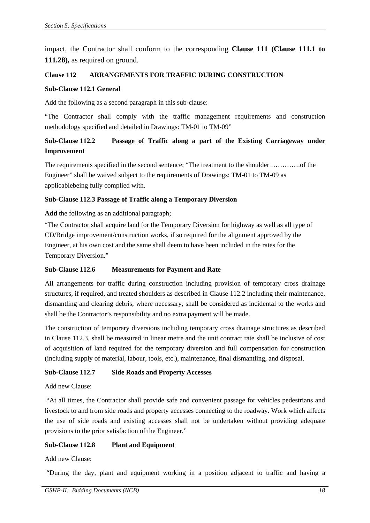impact, the Contractor shall conform to the corresponding **Clause 111 (Clause 111.1 to 111.28),** as required on ground.

## **Clause 112 ARRANGEMENTS FOR TRAFFIC DURING CONSTRUCTION**

#### **Sub-Clause 112.1 General**

Add the following as a second paragraph in this sub-clause:

"The Contractor shall comply with the traffic management requirements and construction methodology specified and detailed in Drawings: TM-01 to TM-09"

# **Sub-Clause 112.2 Passage of Traffic along a part of the Existing Carriageway under Improvement**

The requirements specified in the second sentence; "The treatment to the shoulder ………….of the Engineer" shall be waived subject to the requirements of Drawings: TM-01 to TM-09 as applicablebeing fully complied with.

### **Sub-Clause 112.3 Passage of Traffic along a Temporary Diversion**

**Add** the following as an additional paragraph;

"The Contractor shall acquire land for the Temporary Diversion for highway as well as all type of CD/Bridge improvement/construction works, if so required for the alignment approved by the Engineer, at his own cost and the same shall deem to have been included in the rates for the Temporary Diversion."

#### **Sub-Clause 112.6 Measurements for Payment and Rate**

All arrangements for traffic during construction including provision of temporary cross drainage structures, if required, and treated shoulders as described in Clause 112.2 including their maintenance, dismantling and clearing debris, where necessary, shall be considered as incidental to the works and shall be the Contractor's responsibility and no extra payment will be made.

The construction of temporary diversions including temporary cross drainage structures as described in Clause 112.3, shall be measured in linear metre and the unit contract rate shall be inclusive of cost of acquisition of land required for the temporary diversion and full compensation for construction (including supply of material, labour, tools, etc.), maintenance, final dismantling, and disposal.

## **Sub-Clause 112.7 Side Roads and Property Accesses**

## Add new Clause:

 "At all times, the Contractor shall provide safe and convenient passage for vehicles pedestrians and livestock to and from side roads and property accesses connecting to the roadway. Work which affects the use of side roads and existing accesses shall not be undertaken without providing adequate provisions to the prior satisfaction of the Engineer."

## **Sub-Clause 112.8 Plant and Equipment**

### Add new Clause:

"During the day, plant and equipment working in a position adjacent to traffic and having a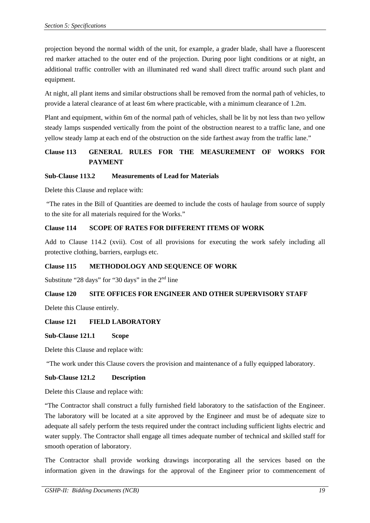projection beyond the normal width of the unit, for example, a grader blade, shall have a fluorescent red marker attached to the outer end of the projection. During poor light conditions or at night, an additional traffic controller with an illuminated red wand shall direct traffic around such plant and equipment.

At night, all plant items and similar obstructions shall be removed from the normal path of vehicles, to provide a lateral clearance of at least 6m where practicable, with a minimum clearance of 1.2m.

Plant and equipment, within 6m of the normal path of vehicles, shall be lit by not less than two yellow steady lamps suspended vertically from the point of the obstruction nearest to a traffic lane, and one yellow steady lamp at each end of the obstruction on the side farthest away from the traffic lane."

# **Clause 113 GENERAL RULES FOR THE MEASUREMENT OF WORKS FOR PAYMENT**

## **Sub-Clause 113.2 Measurements of Lead for Materials**

Delete this Clause and replace with:

 "The rates in the Bill of Quantities are deemed to include the costs of haulage from source of supply to the site for all materials required for the Works."

## **Clause 114 SCOPE OF RATES FOR DIFFERENT ITEMS OF WORK**

Add to Clause 114.2 (xvii). Cost of all provisions for executing the work safely including all protective clothing, barriers, earplugs etc.

## **Clause 115 METHODOLOGY AND SEQUENCE OF WORK**

Substitute "28 days" for "30 days" in the  $2<sup>nd</sup>$  line

## **Clause 120 SITE OFFICES FOR ENGINEER AND OTHER SUPERVISORY STAFF**

Delete this Clause entirely.

## **Clause 121 FIELD LABORATORY**

## **Sub-Clause 121.1 Scope**

Delete this Clause and replace with:

"The work under this Clause covers the provision and maintenance of a fully equipped laboratory.

## **Sub-Clause 121.2 Description**

Delete this Clause and replace with:

"The Contractor shall construct a fully furnished field laboratory to the satisfaction of the Engineer. The laboratory will be located at a site approved by the Engineer and must be of adequate size to adequate all safely perform the tests required under the contract including sufficient lights electric and water supply. The Contractor shall engage all times adequate number of technical and skilled staff for smooth operation of laboratory.

The Contractor shall provide working drawings incorporating all the services based on the information given in the drawings for the approval of the Engineer prior to commencement of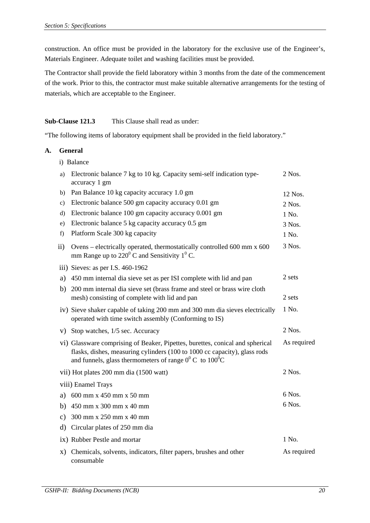construction. An office must be provided in the laboratory for the exclusive use of the Engineer's, Materials Engineer. Adequate toilet and washing facilities must be provided.

The Contractor shall provide the field laboratory within 3 months from the date of the commencement of the work. Prior to this, the contractor must make suitable alternative arrangements for the testing of materials, which are acceptable to the Engineer.

## **Sub-Clause 121.3** This Clause shall read as under:

"The following items of laboratory equipment shall be provided in the field laboratory."

### **A. General**

i) Balance

| a)            | Electronic balance 7 kg to 10 kg. Capacity semi-self indication type-<br>accuracy 1 gm                                                                                                                                      | 2 Nos.      |
|---------------|-----------------------------------------------------------------------------------------------------------------------------------------------------------------------------------------------------------------------------|-------------|
| b)            | Pan Balance 10 kg capacity accuracy 1.0 gm                                                                                                                                                                                  | 12 Nos.     |
| $\mathbf{c})$ | Electronic balance 500 gm capacity accuracy 0.01 gm                                                                                                                                                                         | 2 Nos.      |
| d)            | Electronic balance 100 gm capacity accuracy 0.001 gm                                                                                                                                                                        | 1 No.       |
| e)            | Electronic balance 5 kg capacity accuracy 0.5 gm                                                                                                                                                                            | 3 Nos.      |
| f)            | Platform Scale 300 kg capacity                                                                                                                                                                                              | 1 No.       |
| ii)           | Ovens – electrically operated, thermostatically controlled 600 mm x 600<br>mm Range up to $220^{\circ}$ C and Sensitivity 1 <sup>°</sup> C.                                                                                 | 3 Nos.      |
|               | iii) Sieves: as per I.S. 460-1962                                                                                                                                                                                           |             |
| a)            | 450 mm internal dia sieve set as per ISI complete with lid and pan                                                                                                                                                          | 2 sets      |
| b)            | 200 mm internal dia sieve set (brass frame and steel or brass wire cloth<br>mesh) consisting of complete with lid and pan                                                                                                   | 2 sets      |
|               | iv) Sieve shaker capable of taking 200 mm and 300 mm dia sieves electrically<br>operated with time switch assembly (Conforming to IS)                                                                                       | 1 No.       |
|               | v) Stop watches, 1/5 sec. Accuracy                                                                                                                                                                                          | 2 Nos.      |
|               | vi) Glassware comprising of Beaker, Pipettes, burettes, conical and spherical<br>flasks, dishes, measuring cylinders (100 to 1000 cc capacity), glass rods<br>and funnels, glass thermometers of range $0^0$ C to $100^0$ C | As required |
|               | vii) Hot plates 200 mm dia (1500 watt)                                                                                                                                                                                      | 2 Nos.      |
|               | viii) Enamel Trays                                                                                                                                                                                                          |             |
|               | a) 600 mm x 450 mm x 50 mm                                                                                                                                                                                                  | 6 Nos.      |
|               | b) $450 \text{ mm} \times 300 \text{ mm} \times 40 \text{ mm}$                                                                                                                                                              | 6 Nos.      |
|               | c) $300 \text{ mm} \times 250 \text{ mm} \times 40 \text{ mm}$                                                                                                                                                              |             |
| d)            | Circular plates of 250 mm dia                                                                                                                                                                                               |             |
|               | ix) Rubber Pestle and mortar                                                                                                                                                                                                | 1 No.       |
| X)            | Chemicals, solvents, indicators, filter papers, brushes and other<br>consumable                                                                                                                                             | As required |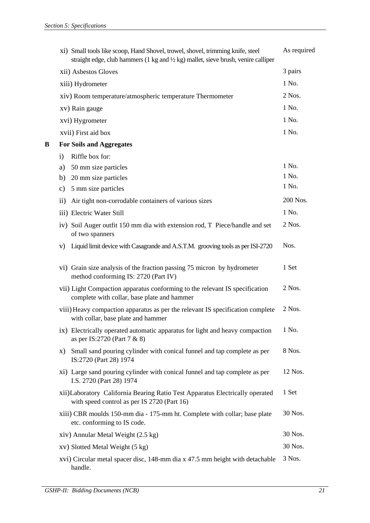|   | xi) Small tools like scoop, Hand Shovel, trowel, shovel, trimming knife, steel<br>straight edge, club hammers (1 kg and $\frac{1}{2}$ kg) mallet, sieve brush, venire calliper | As required |
|---|--------------------------------------------------------------------------------------------------------------------------------------------------------------------------------|-------------|
|   | xii) Asbestos Gloves                                                                                                                                                           | 3 pairs     |
|   | xiii) Hydrometer                                                                                                                                                               | 1 No.       |
|   | xiv) Room temperature/atmospheric temperature Thermometer                                                                                                                      | 2 Nos.      |
|   | xv) Rain gauge                                                                                                                                                                 | 1 No.       |
|   | xvi) Hygrometer                                                                                                                                                                | 1 No.       |
|   | xvii) First aid box                                                                                                                                                            | 1 No.       |
| B | <b>For Soils and Aggregates</b>                                                                                                                                                |             |
|   | Riffle box for:<br>$\mathbf{i}$                                                                                                                                                |             |
|   | 50 mm size particles<br>a)                                                                                                                                                     | 1 No.       |
|   | 20 mm size particles<br>b)                                                                                                                                                     | 1 No.       |
|   | 5 mm size particles<br>c)                                                                                                                                                      | 1 No.       |
|   | Air tight non-corrodable containers of various sizes<br>$\rm ii)$                                                                                                              | 200 Nos.    |
|   | iii) Electric Water Still                                                                                                                                                      | 1 No.       |
|   | iv) Soil Auger outfit 150 mm dia with extension rod, T Piece/handle and set<br>of two spanners                                                                                 | 2 Nos.      |
|   | Liquid limit device with Casagrande and A.S.T.M. grooving tools as per ISI-2720<br>V)                                                                                          | Nos.        |
|   | vi) Grain size analysis of the fraction passing 75 micron by hydrometer<br>method conforming IS: 2720 (Part IV)                                                                | 1 Set       |
|   | vii) Light Compaction apparatus conforming to the relevant IS specification<br>complete with collar, base plate and hammer                                                     | 2 Nos.      |
|   | viii) Heavy compaction apparatus as per the relevant IS specification complete<br>with collar, base plate and hammer                                                           | 2 Nos.      |
|   | ix) Electrically operated automatic apparatus for light and heavy compaction<br>as per IS:2720 (Part 7 & 8)                                                                    | 1 No.       |
|   | Small sand pouring cylinder with conical funnel and tap complete as per<br>X)<br>IS:2720 (Part 28) 1974                                                                        | 8 Nos.      |
|   | xi) Large sand pouring cylinder with conical funnel and tap complete as per<br>I.S. 2720 (Part 28) 1974                                                                        | 12 Nos.     |
|   | xii) Laboratory California Bearing Ratio Test Apparatus Electrically operated<br>with speed control as per IS 2720 (Part 16)                                                   | 1 Set       |
|   | xiii) CBR moulds 150-mm dia - 175-mm ht. Complete with collar; base plate<br>etc. conforming to IS code.                                                                       | 30 Nos.     |
|   | xiv) Annular Metal Weight (2.5 kg)                                                                                                                                             | 30 Nos.     |
|   | xv) Slotted Metal Weight (5 kg)                                                                                                                                                | 30 Nos.     |
|   | xvi) Circular metal spacer disc, 148-mm dia x 47.5 mm height with detachable<br>handle.                                                                                        | 3 Nos.      |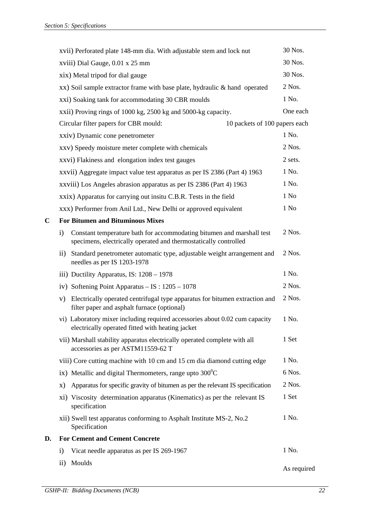|    | xvii) Perforated plate 148-mm dia. With adjustable stem and lock nut                                                                            | 30 Nos.          |
|----|-------------------------------------------------------------------------------------------------------------------------------------------------|------------------|
|    | xviii) Dial Gauge, 0.01 x 25 mm                                                                                                                 | 30 Nos.          |
|    | xix) Metal tripod for dial gauge                                                                                                                | 30 Nos.          |
|    | xx) Soil sample extractor frame with base plate, hydraulic & hand operated                                                                      | 2 Nos.           |
|    | xxi) Soaking tank for accommodating 30 CBR moulds                                                                                               | 1 No.            |
|    | xxii) Proving rings of 1000 kg, 2500 kg and 5000-kg capacity.                                                                                   | One each         |
|    | Circular filter papers for CBR mould:<br>10 packets of 100 papers each                                                                          |                  |
|    | xxiv) Dynamic cone penetrometer                                                                                                                 | 1 No.            |
|    | xxv) Speedy moisture meter complete with chemicals                                                                                              | 2 Nos.           |
|    | xxvi) Flakiness and elongation index test gauges                                                                                                | 2 sets.          |
|    | xxvii) Aggregate impact value test apparatus as per IS 2386 (Part 4) 1963                                                                       | 1 No.            |
|    | xxviii) Los Angeles abrasion apparatus as per IS 2386 (Part 4) 1963                                                                             | 1 No.            |
|    | xxix) Apparatus for carrying out insitu C.B.R. Tests in the field                                                                               | 1 N <sub>0</sub> |
|    | xxx) Performer from Anil Ltd., New Delhi or approved equivalent                                                                                 | 1 N <sub>0</sub> |
| C  | <b>For Bitumen and Bituminous Mixes</b>                                                                                                         |                  |
|    | Constant temperature bath for accommodating bitumen and marshall test<br>i)<br>specimens, electrically operated and thermostatically controlled | 2 Nos.           |
|    | ii) Standard penetrometer automatic type, adjustable weight arrangement and<br>needles as per IS 1203-1978                                      | 2 Nos.           |
|    | iii) Ductility Apparatus, IS: $1208 - 1978$                                                                                                     | 1 No.            |
|    | iv) Softening Point Apparatus $-$ IS : 1205 $-$ 1078                                                                                            | 2 Nos.           |
|    | v) Electrically operated centrifugal type apparatus for bitumen extraction and<br>filter paper and asphalt furnace (optional)                   | 2 Nos.           |
|    | vi) Laboratory mixer including required accessories about 0.02 cum capacity<br>electrically operated fitted with heating jacket                 | 1 No.            |
|    | vii) Marshall stability apparatus electrically operated complete with all<br>accessories as per ASTM11559-62 T                                  | 1 Set            |
|    | viii) Core cutting machine with 10 cm and 15 cm dia diamond cutting edge                                                                        | 1 No.            |
|    | ix) Metallic and digital Thermometers, range upto $300^{\circ}$ C                                                                               | 6 Nos.           |
|    | Apparatus for specific gravity of bitumen as per the relevant IS specification<br>X)                                                            | 2 Nos.           |
|    | xi) Viscosity determination apparatus (Kinematics) as per the relevant IS<br>specification                                                      | 1 Set            |
|    | xii) Swell test apparatus conforming to Asphalt Institute MS-2, No.2<br>Specification                                                           | 1 No.            |
| D. | <b>For Cement and Cement Concrete</b>                                                                                                           |                  |
|    | $\mathbf{i}$<br>Vicat needle apparatus as per IS 269-1967                                                                                       | 1 No.            |
|    | Moulds<br>$\rm ii)$                                                                                                                             | As required      |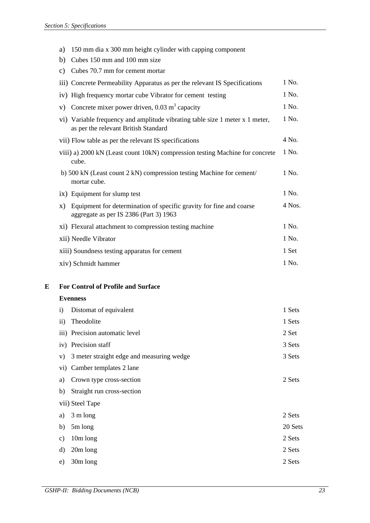| a)                                 | 150 mm dia x 300 mm height cylinder with capping component                                                           |        |
|------------------------------------|----------------------------------------------------------------------------------------------------------------------|--------|
| Cubes 150 mm and 100 mm size<br>b) |                                                                                                                      |        |
|                                    |                                                                                                                      |        |
| $\mathbf{c})$                      | Cubes 70.7 mm for cement mortar                                                                                      |        |
|                                    | iii) Concrete Permeability Apparatus as per the relevant IS Specifications                                           | 1 No.  |
|                                    | iv) High frequency mortar cube Vibrator for cement testing                                                           | 1 No.  |
| V)                                 | Concrete mixer power driven, $0.03 \text{ m}^3$ capacity                                                             | 1 No.  |
|                                    | vi) Variable frequency and amplitude vibrating table size 1 meter x 1 meter,<br>as per the relevant British Standard | 1 No.  |
|                                    | vii) Flow table as per the relevant IS specifications                                                                | 4 No.  |
|                                    | viii) a) 2000 kN (Least count 10kN) compression testing Machine for concrete<br>cube.                                | 1 No.  |
|                                    | b) 500 kN (Least count 2 kN) compression testing Machine for cement/<br>mortar cube.                                 | 1 No.  |
|                                    | ix) Equipment for slump test                                                                                         | 1 No.  |
| X)                                 | Equipment for determination of specific gravity for fine and coarse<br>aggregate as per IS 2386 (Part 3) 1963        | 4 Nos. |
|                                    | xi) Flexural attachment to compression testing machine                                                               | 1 No.  |
|                                    | xii) Needle Vibrator                                                                                                 | 1 No.  |
|                                    | xiii) Soundness testing apparatus for cement                                                                         | 1 Set  |
|                                    | xiv) Schmidt hammer                                                                                                  | 1 No.  |

**E For Control of Profile and Surface** 

## **Evenness**

| $\mathbf{i}$  | Distomat of equivalent                    | 1 Sets  |
|---------------|-------------------------------------------|---------|
| $\mathbf{ii}$ | Theodolite                                | 1 Sets  |
|               | iii) Precision automatic level            | 2 Set   |
|               | iv) Precision staff                       | 3 Sets  |
| V)            | 3 meter straight edge and measuring wedge | 3 Sets  |
|               | vi) Camber templates 2 lane               |         |
| a)            | Crown type cross-section                  | 2 Sets  |
| b)            | Straight run cross-section                |         |
|               | vii) Steel Tape                           |         |
| a)            | 3 m long                                  | 2 Sets  |
| b)            | 5m long                                   | 20 Sets |
| c)            | 10m long                                  | 2 Sets  |
| $\mathbf{d}$  | $20m$ long                                | 2 Sets  |
| e)            | 30m long                                  | 2 Sets  |
|               |                                           |         |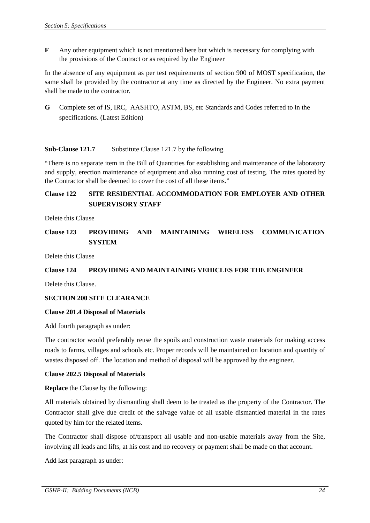**F** Any other equipment which is not mentioned here but which is necessary for complying with the provisions of the Contract or as required by the Engineer

In the absence of any equipment as per test requirements of section 900 of MOST specification, the same shall be provided by the contractor at any time as directed by the Engineer. No extra payment shall be made to the contractor.

**G** Complete set of IS, IRC, AASHTO, ASTM, BS, etc Standards and Codes referred to in the specifications. (Latest Edition)

### **Sub-Clause 121.7** Substitute Clause 121.7 by the following

"There is no separate item in the Bill of Quantities for establishing and maintenance of the laboratory and supply, erection maintenance of equipment and also running cost of testing. The rates quoted by the Contractor shall be deemed to cover the cost of all these items."

# **Clause 122 SITE RESIDENTIAL ACCOMMODATION FOR EMPLOYER AND OTHER SUPERVISORY STAFF**

Delete this Clause

## **Clause 123 PROVIDING AND MAINTAINING WIRELESS COMMUNICATION SYSTEM**

Delete this Clause

#### **Clause 124 PROVIDING AND MAINTAINING VEHICLES FOR THE ENGINEER**

Delete this Clause.

#### **SECTION 200 SITE CLEARANCE**

#### **Clause 201.4 Disposal of Materials**

Add fourth paragraph as under:

The contractor would preferably reuse the spoils and construction waste materials for making access roads to farms, villages and schools etc. Proper records will be maintained on location and quantity of wastes disposed off. The location and method of disposal will be approved by the engineer.

#### **Clause 202.5 Disposal of Materials**

**Replace** the Clause by the following:

All materials obtained by dismantling shall deem to be treated as the property of the Contractor. The Contractor shall give due credit of the salvage value of all usable dismantled material in the rates quoted by him for the related items.

The Contractor shall dispose of/transport all usable and non-usable materials away from the Site, involving all leads and lifts, at his cost and no recovery or payment shall be made on that account.

Add last paragraph as under: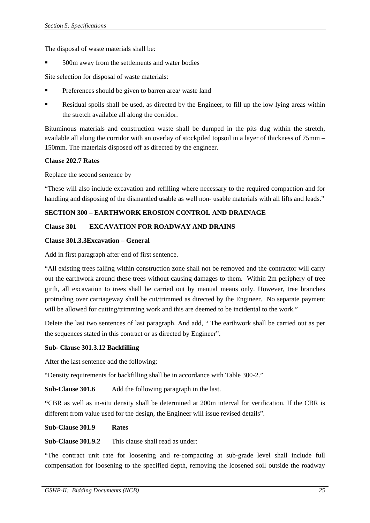The disposal of waste materials shall be:

500m away from the settlements and water bodies

Site selection for disposal of waste materials:

- Preferences should be given to barren area/ waste land
- Residual spoils shall be used, as directed by the Engineer, to fill up the low lying areas within the stretch available all along the corridor.

Bituminous materials and construction waste shall be dumped in the pits dug within the stretch, available all along the corridor with an overlay of stockpiled topsoil in a layer of thickness of 75mm – 150mm. The materials disposed off as directed by the engineer.

### **Clause 202.7 Rates**

Replace the second sentence by

"These will also include excavation and refilling where necessary to the required compaction and for handling and disposing of the dismantled usable as well non- usable materials with all lifts and leads."

## **SECTION 300 – EARTHWORK EROSION CONTROL AND DRAINAGE**

## **Clause 301 EXCAVATION FOR ROADWAY AND DRAINS**

#### **Clause 301.3.3Excavation – General**

Add in first paragraph after end of first sentence.

"All existing trees falling within construction zone shall not be removed and the contractor will carry out the earthwork around these trees without causing damages to them. Within 2m periphery of tree girth, all excavation to trees shall be carried out by manual means only. However, tree branches protruding over carriageway shall be cut/trimmed as directed by the Engineer. No separate payment will be allowed for cutting/trimming work and this are deemed to be incidental to the work."

Delete the last two sentences of last paragraph. And add, " The earthwork shall be carried out as per the sequences stated in this contract or as directed by Engineer".

#### **Sub- Clause 301.3.12 Backfilling**

After the last sentence add the following:

"Density requirements for backfilling shall be in accordance with Table 300-2."

**Sub-Clause 301.6** Add the following paragraph in the last.

**"**CBR as well as in-situ density shall be determined at 200m interval for verification. If the CBR is different from value used for the design, the Engineer will issue revised details".

**Sub-Clause 301.9 Rates** 

**Sub-Clause 301.9.2** This clause shall read as under:

"The contract unit rate for loosening and re-compacting at sub-grade level shall include full compensation for loosening to the specified depth, removing the loosened soil outside the roadway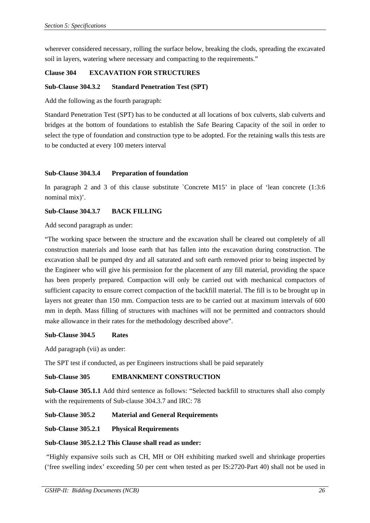wherever considered necessary, rolling the surface below, breaking the clods, spreading the excavated soil in layers, watering where necessary and compacting to the requirements."

### **Clause 304 EXCAVATION FOR STRUCTURES**

#### **Sub-Clause 304.3.2 Standard Penetration Test (SPT)**

Add the following as the fourth paragraph:

Standard Penetration Test (SPT) has to be conducted at all locations of box culverts, slab culverts and bridges at the bottom of foundations to establish the Safe Bearing Capacity of the soil in order to select the type of foundation and construction type to be adopted. For the retaining walls this tests are to be conducted at every 100 meters interval

#### **Sub-Clause 304.3.4 Preparation of foundation**

In paragraph 2 and 3 of this clause substitute `Concrete M15' in place of 'lean concrete (1:3:6 nominal mix)'.

#### **Sub-Clause 304.3.7 BACK FILLING**

Add second paragraph as under:

"The working space between the structure and the excavation shall be cleared out completely of all construction materials and loose earth that has fallen into the excavation during construction. The excavation shall be pumped dry and all saturated and soft earth removed prior to being inspected by the Engineer who will give his permission for the placement of any fill material, providing the space has been properly prepared. Compaction will only be carried out with mechanical compactors of sufficient capacity to ensure correct compaction of the backfill material. The fill is to be brought up in layers not greater than 150 mm. Compaction tests are to be carried out at maximum intervals of 600 mm in depth. Mass filling of structures with machines will not be permitted and contractors should make allowance in their rates for the methodology described above".

#### **Sub-Clause 304.5 Rates**

Add paragraph (vii) as under:

The SPT test if conducted, as per Engineers instructions shall be paid separately

#### **Sub-Clause 305 EMBANKMENT CONSTRUCTION**

**Sub-Clause 305.1.1** Add third sentence as follows: "Selected backfill to structures shall also comply with the requirements of Sub-clause 304.3.7 and IRC: 78

#### **Sub-Clause 305.2 Material and General Requirements**

#### **Sub-Clause 305.2.1 Physical Requirements**

#### **Sub-Clause 305.2.1.2 This Clause shall read as under:**

 "Highly expansive soils such as CH, MH or OH exhibiting marked swell and shrinkage properties ('free swelling index' exceeding 50 per cent when tested as per IS:2720-Part 40) shall not be used in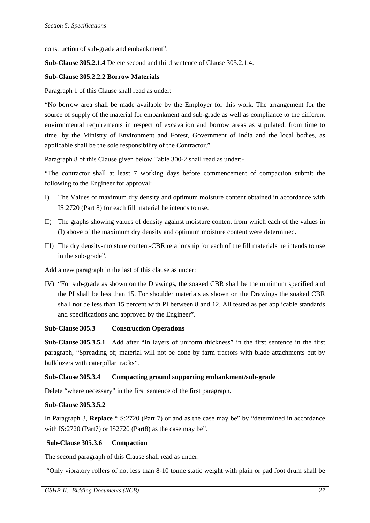construction of sub-grade and embankment".

**Sub-Clause 305.2.1.4** Delete second and third sentence of Clause 305.2.1.4.

### **Sub-Clause 305.2.2.2 Borrow Materials**

Paragraph 1 of this Clause shall read as under:

"No borrow area shall be made available by the Employer for this work. The arrangement for the source of supply of the material for embankment and sub-grade as well as compliance to the different environmental requirements in respect of excavation and borrow areas as stipulated, from time to time, by the Ministry of Environment and Forest, Government of India and the local bodies, as applicable shall be the sole responsibility of the Contractor."

Paragraph 8 of this Clause given below Table 300-2 shall read as under:-

"The contractor shall at least 7 working days before commencement of compaction submit the following to the Engineer for approval:

- I) The Values of maximum dry density and optimum moisture content obtained in accordance with IS:2720 (Part 8) for each fill material he intends to use.
- II) The graphs showing values of density against moisture content from which each of the values in (I) above of the maximum dry density and optimum moisture content were determined.
- III) The dry density-moisture content-CBR relationship for each of the fill materials he intends to use in the sub-grade".

Add a new paragraph in the last of this clause as under:

IV) "For sub-grade as shown on the Drawings, the soaked CBR shall be the minimum specified and the PI shall be less than 15. For shoulder materials as shown on the Drawings the soaked CBR shall not be less than 15 percent with PI between 8 and 12. All tested as per applicable standards and specifications and approved by the Engineer".

#### **Sub-Clause 305.3 Construction Operations**

**Sub-Clause 305.3.5.1** Add after "In layers of uniform thickness" in the first sentence in the first paragraph, "Spreading of; material will not be done by farm tractors with blade attachments but by bulldozers with caterpillar tracks".

## **Sub-Clause 305.3.4 Compacting ground supporting embankment/sub-grade**

Delete "where necessary" in the first sentence of the first paragraph.

### **Sub-Clause 305.3.5.2**

In Paragraph 3, **Replace** "IS:2720 (Part 7) or and as the case may be" by "determined in accordance with IS:2720 (Part7) or IS2720 (Part8) as the case may be".

#### **Sub-Clause 305.3.6 Compaction**

The second paragraph of this Clause shall read as under:

"Only vibratory rollers of not less than 8-10 tonne static weight with plain or pad foot drum shall be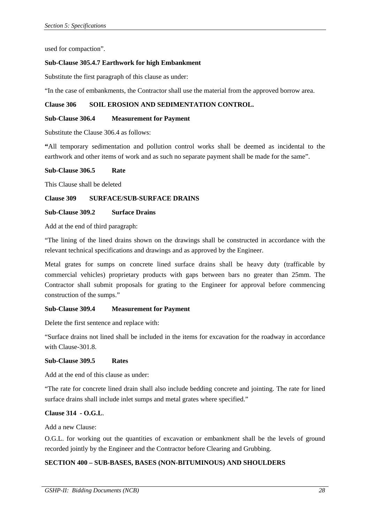used for compaction".

#### **Sub-Clause 305.4.7 Earthwork for high Embankment**

Substitute the first paragraph of this clause as under:

"In the case of embankments, the Contractor shall use the material from the approved borrow area.

### **Clause 306 SOIL EROSION AND SEDIMENTATION CONTROL.**

#### **Sub-Clause 306.4 Measurement for Payment**

Substitute the Clause 306.4 as follows:

**"**All temporary sedimentation and pollution control works shall be deemed as incidental to the earthwork and other items of work and as such no separate payment shall be made for the same".

#### **Sub-Clause 306.5 Rate**

This Clause shall be deleted

#### **Clause 309 SURFACE/SUB-SURFACE DRAINS**

#### **Sub-Clause 309.2 Surface Drains**

Add at the end of third paragraph:

"The lining of the lined drains shown on the drawings shall be constructed in accordance with the relevant technical specifications and drawings and as approved by the Engineer.

Metal grates for sumps on concrete lined surface drains shall be heavy duty (trafficable by commercial vehicles) proprietary products with gaps between bars no greater than 25mm. The Contractor shall submit proposals for grating to the Engineer for approval before commencing construction of the sumps."

#### **Sub-Clause 309.4 Measurement for Payment**

Delete the first sentence and replace with:

"Surface drains not lined shall be included in the items for excavation for the roadway in accordance with Clause-301.8.

#### **Sub-Clause 309.5 Rates**

Add at the end of this clause as under:

"The rate for concrete lined drain shall also include bedding concrete and jointing. The rate for lined surface drains shall include inlet sumps and metal grates where specified."

## **Clause 314 - O.G.L**.

Add a new Clause:

O.G.L. for working out the quantities of excavation or embankment shall be the levels of ground recorded jointly by the Engineer and the Contractor before Clearing and Grubbing.

## **SECTION 400 – SUB-BASES, BASES (NON-BITUMINOUS) AND SHOULDERS**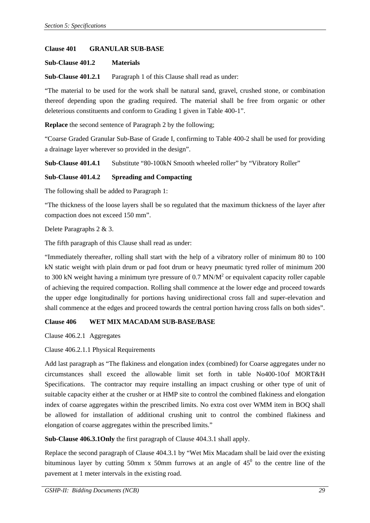#### **Clause 401 GRANULAR SUB-BASE**

#### **Sub-Clause 401.2 Materials**

**Sub-Clause 401.2.1** Paragraph 1 of this Clause shall read as under:

"The material to be used for the work shall be natural sand, gravel, crushed stone, or combination thereof depending upon the grading required. The material shall be free from organic or other deleterious constituents and conform to Grading 1 given in Table 400-1".

**Replace** the second sentence of Paragraph 2 by the following;

"Coarse Graded Granular Sub-Base of Grade I, confirming to Table 400-2 shall be used for providing a drainage layer wherever so provided in the design".

**Sub-Clause 401.4.1** Substitute "80-100kN Smooth wheeled roller" by "Vibratory Roller"

### **Sub-Clause 401.4.2 Spreading and Compacting**

The following shall be added to Paragraph 1:

"The thickness of the loose layers shall be so regulated that the maximum thickness of the layer after compaction does not exceed 150 mm".

Delete Paragraphs 2 & 3.

The fifth paragraph of this Clause shall read as under:

"Immediately thereafter, rolling shall start with the help of a vibratory roller of minimum 80 to 100 kN static weight with plain drum or pad foot drum or heavy pneumatic tyred roller of minimum 200 to 300 kN weight having a minimum tyre pressure of 0.7 MN/ $M<sup>2</sup>$  or equivalent capacity roller capable of achieving the required compaction. Rolling shall commence at the lower edge and proceed towards the upper edge longitudinally for portions having unidirectional cross fall and super-elevation and shall commence at the edges and proceed towards the central portion having cross falls on both sides".

## **Clause 406 WET MIX MACADAM SUB-BASE/BASE**

Clause 406.2.1 Aggregates

Clause 406.2.1.1 Physical Requirements

Add last paragraph as "The flakiness and elongation index (combined) for Coarse aggregates under no circumstances shall exceed the allowable limit set forth in table No400-10of MORT&H Specifications. The contractor may require installing an impact crushing or other type of unit of suitable capacity either at the crusher or at HMP site to control the combined flakiness and elongation index of coarse aggregates within the prescribed limits. No extra cost over WMM item in BOQ shall be allowed for installation of additional crushing unit to control the combined flakiness and elongation of coarse aggregates within the prescribed limits."

**Sub-Clause 406.3.1Only** the first paragraph of Clause 404.3.1 shall apply.

Replace the second paragraph of Clause 404.3.1 by "Wet Mix Macadam shall be laid over the existing bituminous layer by cutting 50mm x 50mm furrows at an angle of  $45^{\circ}$  to the centre line of the pavement at 1 meter intervals in the existing road.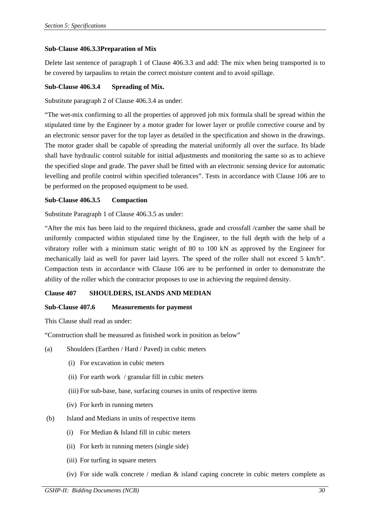### **Sub-Clause 406.3.3Preparation of Mix**

Delete last sentence of paragraph 1 of Clause 406.3.3 and add: The mix when being transported is to be covered by tarpaulins to retain the correct moisture content and to avoid spillage.

### **Sub-Clause 406.3.4 Spreading of Mix.**

Substitute paragraph 2 of Clause 406.3.4 as under:

"The wet-mix confirming to all the properties of approved job mix formula shall be spread within the stipulated time by the Engineer by a motor grader for lower layer or profile corrective course and by an electronic sensor paver for the top layer as detailed in the specification and shown in the drawings. The motor grader shall be capable of spreading the material uniformly all over the surface. Its blade shall have hydraulic control suitable for initial adjustments and monitoring the same so as to achieve the specified slope and grade. The paver shall be fitted with an electronic sensing device for automatic levelling and profile control within specified tolerances". Tests in accordance with Clause 106 are to be performed on the proposed equipment to be used.

### **Sub-Clause 406.3.5 Compaction**

Substitute Paragraph 1 of Clause 406.3.5 as under:

"After the mix has been laid to the required thickness, grade and crossfall /camber the same shall be uniformly compacted within stipulated time by the Engineer, to the full depth with the help of a vibratory roller with a minimum static weight of 80 to 100 kN as approved by the Engineer for mechanically laid as well for paver laid layers. The speed of the roller shall not exceed 5 km/h". Compaction tests in accordance with Clause 106 are to be performed in order to demonstrate the ability of the roller which the contractor proposes to use in achieving the required density.

## **Clause 407 SHOULDERS, ISLANDS AND MEDIAN**

#### **Sub-Clause 407.6 Measurements for payment**

This Clause shall read as under:

"Construction shall be measured as finished work in position as below"

- (a) Shoulders (Earthen / Hard / Paved) in cubic meters
	- (i) For excavation in cubic meters
	- (ii) For earth work / granular fill in cubic meters
	- (iii) For sub-base, base, surfacing courses in units of respective items
	- (iv) For kerb in running meters
- (b) Island and Medians in units of respective items
	- (i) For Median & Island fill in cubic meters
	- (ii) For kerb in running meters (single side)
	- (iii) For turfing in square meters
	- (iv) For side walk concrete / median & island caping concrete in cubic meters complete as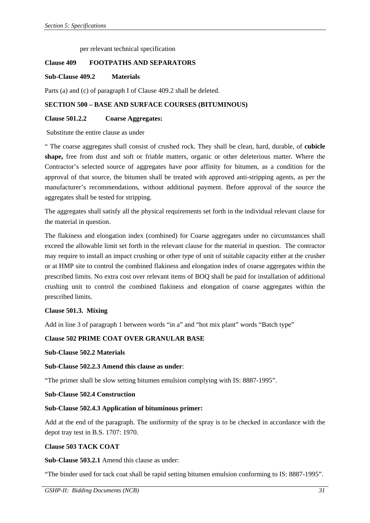per relevant technical specification

### **Clause 409 FOOTPATHS AND SEPARATORS**

#### **Sub-Clause 409.2 Materials**

Parts (a) and (c) of paragraph I of Clause 409.2 shall be deleted.

### **SECTION 500 – BASE AND SURFACE COURSES (BITUMINOUS)**

### **Clause 501.2.2 Coarse Aggregates:**

#### Substitute the entire clause as under

" The coarse aggregates shall consist of crushed rock. They shall be clean, hard, durable, of **cubicle shape,** free from dust and soft or friable matters, organic or other deleterious matter. Where the Contractor's selected source of aggregates have poor affinity for bitumen, as a condition for the approval of that source, the bitumen shall be treated with approved anti-stripping agents, as per the manufacturer's recommendations, without additional payment. Before approval of the source the aggregates shall be tested for stripping.

The aggregates shall satisfy all the physical requirements set forth in the individual relevant clause for the material in question.

The flakiness and elongation index (combined) for Coarse aggregates under no circumstances shall exceed the allowable limit set forth in the relevant clause for the material in question. The contractor may require to install an impact crushing or other type of unit of suitable capacity either at the crusher or at HMP site to control the combined flakiness and elongation index of coarse aggregates within the prescribed limits. No extra cost over relevant items of BOQ shall be paid for installation of additional crushing unit to control the combined flakiness and elongation of coarse aggregates within the prescribed limits.

#### **Clause 501.3. Mixing**

Add in line 3 of paragraph 1 between words "in a" and "hot mix plant" words "Batch type"

#### **Clause 502 PRIME COAT OVER GRANULAR BASE**

#### **Sub-Clause 502.2 Materials**

#### **Sub-Clause 502.2.3 Amend this clause as under**:

"The primer shall be slow setting bitumen emulsion complying with IS: 8887-1995".

#### **Sub-Clause 502.4 Construction**

#### **Sub-Clause 502.4.3 Application of bituminous primer:**

Add at the end of the paragraph. The uniformity of the spray is to be checked in accordance with the depot tray test in B.S. 1707: 1970.

#### **Clause 503 TACK COAT**

#### **Sub-Clause 503.2.1** Amend this clause as under:

"The binder used for tack coat shall be rapid setting bitumen emulsion conforming to IS: 8887-1995".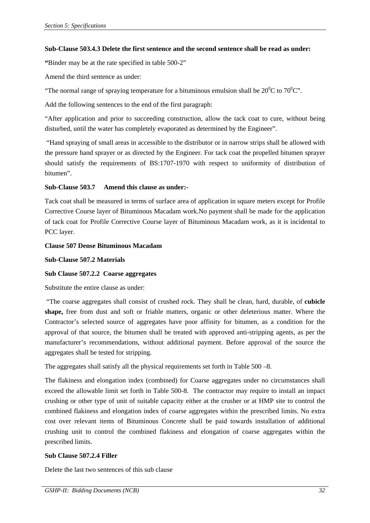### **Sub-Clause 503.4.3 Delete the first sentence and the second sentence shall be read as under:**

**"**Binder may be at the rate specified in table 500-2"

Amend the third sentence as under:

"The normal range of spraying temperature for a bituminous emulsion shall be  $20^0C$  to  $70^0C$ ".

Add the following sentences to the end of the first paragraph:

"After application and prior to succeeding construction, allow the tack coat to cure, without being disturbed, until the water has completely evaporated as determined by the Engineer".

 "Hand spraying of small areas in accessible to the distributor or in narrow strips shall be allowed with the pressure hand sprayer or as directed by the Engineer. For tack coat the propelled bitumen sprayer should satisfy the requirements of BS:1707-1970 with respect to uniformity of distribution of bitumen".

## **Sub-Clause 503.7 Amend this clause as under:-**

Tack coat shall be measured in terms of surface area of application in square meters except for Profile Corrective Course layer of Bituminous Macadam work.No payment shall be made for the application of tack coat for Profile Corrective Course layer of Bituminous Macadam work, as it is incidental to PCC layer.

### **Clause 507 Dense Bituminous Macadam**

**Sub-Clause 507.2 Materials** 

## **Sub Clause 507.2.2 Coarse aggregates**

Substitute the entire clause as under:

 "The coarse aggregates shall consist of crushed rock. They shall be clean, hard, durable, of **cubicle shape,** free from dust and soft or friable matters, organic or other deleterious matter. Where the Contractor's selected source of aggregates have poor affinity for bitumen, as a condition for the approval of that source, the bitumen shall be treated with approved anti-stripping agents, as per the manufacturer's recommendations, without additional payment. Before approval of the source the aggregates shall be tested for stripping.

The aggregates shall satisfy all the physical requirements set forth in Table 500 –8.

The flakiness and elongation index (combined) for Coarse aggregates under no circumstances shall exceed the allowable limit set forth in Table 500-8. The contractor may require to install an impact crushing or other type of unit of suitable capacity either at the crusher or at HMP site to control the combined flakiness and elongation index of coarse aggregates within the prescribed limits. No extra cost over relevant items of Bituminous Concrete shall be paid towards installation of additional crushing unit to control the combined flakiness and elongation of coarse aggregates within the prescribed limits.

## **Sub Clause 507.2.4 Filler**

Delete the last two sentences of this sub clause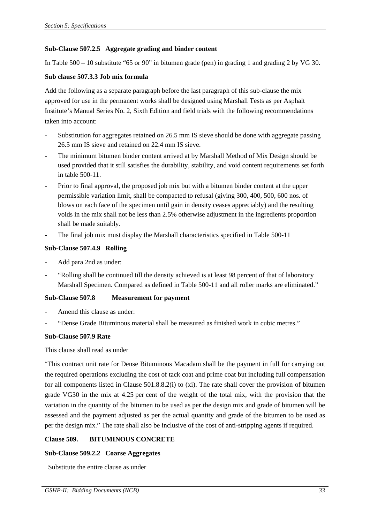## **Sub-Clause 507.2.5 Aggregate grading and binder content**

In Table 500 – 10 substitute "65 or 90" in bitumen grade (pen) in grading 1 and grading 2 by VG 30.

### **Sub clause 507.3.3 Job mix formula**

Add the following as a separate paragraph before the last paragraph of this sub-clause the mix approved for use in the permanent works shall be designed using Marshall Tests as per Asphalt Institute's Manual Series No. 2, Sixth Edition and field trials with the following recommendations taken into account:

- Substitution for aggregates retained on 26.5 mm IS sieve should be done with aggregate passing 26.5 mm IS sieve and retained on 22.4 mm IS sieve.
- The minimum bitumen binder content arrived at by Marshall Method of Mix Design should be used provided that it still satisfies the durability, stability, and void content requirements set forth in table 500-11.
- Prior to final approval, the proposed job mix but with a bitumen binder content at the upper permissible variation limit, shall be compacted to refusal (giving 300, 400, 500, 600 nos. of blows on each face of the specimen until gain in density ceases appreciably) and the resulting voids in the mix shall not be less than 2.5% otherwise adjustment in the ingredients proportion shall be made suitably.
- The final job mix must display the Marshall characteristics specified in Table 500-11

### **Sub-Clause 507.4.9 Rolling**

- Add para 2nd as under:
- "Rolling shall be continued till the density achieved is at least 98 percent of that of laboratory Marshall Specimen. Compared as defined in Table 500-11 and all roller marks are eliminated."

## **Sub-Clause 507.8 Measurement for payment**

- Amend this clause as under:
- "Dense Grade Bituminous material shall be measured as finished work in cubic metres."

#### **Sub-Clause 507.9 Rate**

#### This clause shall read as under

"This contract unit rate for Dense Bituminous Macadam shall be the payment in full for carrying out the required operations excluding the cost of tack coat and prime coat but including full compensation for all components listed in Clause 501.8.8.2(i) to (xi). The rate shall cover the provision of bitumen grade VG30 in the mix at 4.25 per cent of the weight of the total mix, with the provision that the variation in the quantity of the bitumen to be used as per the design mix and grade of bitumen will be assessed and the payment adjusted as per the actual quantity and grade of the bitumen to be used as per the design mix." The rate shall also be inclusive of the cost of anti-stripping agents if required.

## **Clause 509. BITUMINOUS CONCRETE**

## **Sub-Clause 509.2.2 Coarse Aggregates**

Substitute the entire clause as under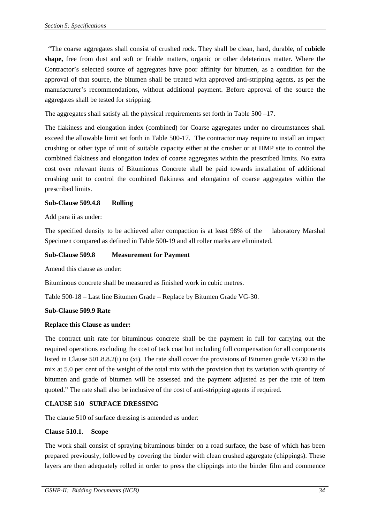"The coarse aggregates shall consist of crushed rock. They shall be clean, hard, durable, of **cubicle shape,** free from dust and soft or friable matters, organic or other deleterious matter. Where the Contractor's selected source of aggregates have poor affinity for bitumen, as a condition for the approval of that source, the bitumen shall be treated with approved anti-stripping agents, as per the manufacturer's recommendations, without additional payment. Before approval of the source the aggregates shall be tested for stripping.

The aggregates shall satisfy all the physical requirements set forth in Table 500 –17.

The flakiness and elongation index (combined) for Coarse aggregates under no circumstances shall exceed the allowable limit set forth in Table 500-17. The contractor may require to install an impact crushing or other type of unit of suitable capacity either at the crusher or at HMP site to control the combined flakiness and elongation index of coarse aggregates within the prescribed limits. No extra cost over relevant items of Bituminous Concrete shall be paid towards installation of additional crushing unit to control the combined flakiness and elongation of coarse aggregates within the prescribed limits.

## **Sub-Clause 509.4.8 Rolling**

Add para ii as under:

The specified density to be achieved after compaction is at least 98% of the laboratory Marshal Specimen compared as defined in Table 500-19 and all roller marks are eliminated.

## **Sub-Clause 509.8 Measurement for Payment**

Amend this clause as under:

Bituminous concrete shall be measured as finished work in cubic metres.

Table 500-18 – Last line Bitumen Grade – Replace by Bitumen Grade VG-30.

## **Sub-Clause 509.9 Rate**

## **Replace this Clause as under:**

The contract unit rate for bituminous concrete shall be the payment in full for carrying out the required operations excluding the cost of tack coat but including full compensation for all components listed in Clause 501.8.8.2(i) to (xi). The rate shall cover the provisions of Bitumen grade VG30 in the mix at 5.0 per cent of the weight of the total mix with the provision that its variation with quantity of bitumen and grade of bitumen will be assessed and the payment adjusted as per the rate of item quoted." The rate shall also be inclusive of the cost of anti-stripping agents if required.

## **CLAUSE 510 SURFACE DRESSING**

The clause 510 of surface dressing is amended as under:

## **Clause 510.1. Scope**

The work shall consist of spraying bituminous binder on a road surface, the base of which has been prepared previously, followed by covering the binder with clean crushed aggregate (chippings). These layers are then adequately rolled in order to press the chippings into the binder film and commence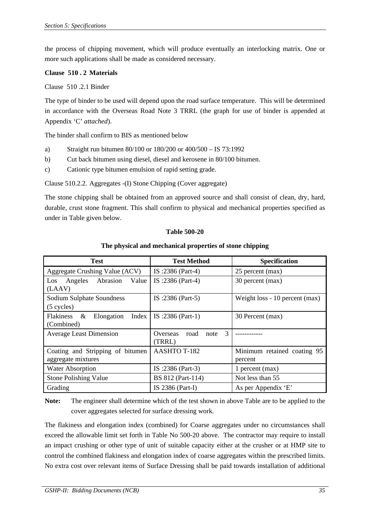the process of chipping movement, which will produce eventually an interlocking matrix. One or more such applications shall be made as considered necessary.

## **Clause 510 . 2 Materials**

Clause 510 .2.1 Binder

The type of binder to be used will depend upon the road surface temperature. This will be determined in accordance with the Overseas Road Note 3 TRRL (the graph for use of binder is appended at Appendix 'C' *attached*).

The binder shall confirm to BIS as mentioned below

- a) Straight run bitumen 80/100 or 180/200 or 400/500 IS 73:1992
- b) Cut back bitumen using diesel, diesel and kerosene in 80/100 bitumen.
- c) Cationic type bitumen emulsion of rapid setting grade.

Clause 510.2.2. Aggregates -(I) Stone Chipping (Cover aggregate)

The stone chipping shall be obtained from an approved source and shall consist of clean, dry, hard, durable, crust stone fragment. This shall confirm to physical and mechanical properties specified as under in Table given below.

### **Table 500-20**

## **The physical and mechanical properties of stone chipping**

| <b>Test</b>                                                | <b>Test Method</b>                      | Specification                          |
|------------------------------------------------------------|-----------------------------------------|----------------------------------------|
| Aggregate Crushing Value (ACV)                             | IS :2386 (Part-4)                       | 25 percent (max)                       |
| Abrasion<br>Value<br>Angeles<br>Los<br>(LAAV)              | IS :2386 (Part-4)                       | 30 percent (max)                       |
| Sodium Sulphate Soundness<br>$(5$ cycles)                  | IS :2386 (Part-5)                       | Weight loss - 10 percent (max)         |
| <b>Flakiness</b><br>&<br>Elongation<br>Index<br>(Combined) | IS :2386 (Part-1)                       | 30 Percent (max)                       |
| <b>Average Least Dimension</b>                             | 3<br>road<br>Overseas<br>note<br>(TRRL) |                                        |
| Coating and Stripping of bitumen<br>aggregate mixtures     | AASHTO T-182                            | Minimum retained coating 95<br>percent |
| <b>Water Absorption</b>                                    | IS :2386 (Part-3)                       | 1 percent (max)                        |
| <b>Stone Polishing Value</b>                               | BS 812 (Part-114)                       | Not less than 55                       |
| Grading                                                    | IS 2386 (Part-I)                        | As per Appendix 'E'                    |

**Note:** The engineer shall determine which of the test shown in above Table are to be applied to the cover aggregates selected for surface dressing work*.* 

The flakiness and elongation index (combined) for Coarse aggregates under no circumstances shall exceed the allowable limit set forth in Table No 500-20 above. The contractor may require to install an impact crushing or other type of unit of suitable capacity either at the crusher or at HMP site to control the combined flakiness and elongation index of coarse aggregates within the prescribed limits. No extra cost over relevant items of Surface Dressing shall be paid towards installation of additional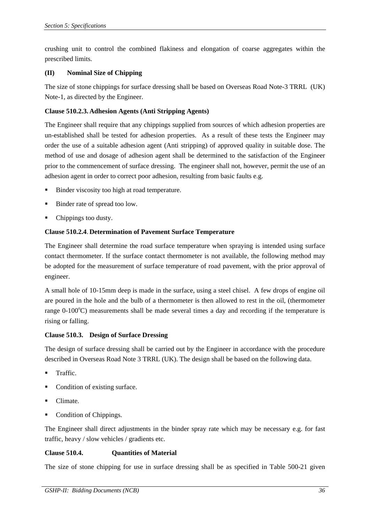crushing unit to control the combined flakiness and elongation of coarse aggregates within the prescribed limits.

## **(II) Nominal Size of Chipping**

The size of stone chippings for surface dressing shall be based on Overseas Road Note-3 TRRL (UK) Note-1, as directed by the Engineer.

## **Clause 510.2.3. Adhesion Agents (Anti Stripping Agents)**

The Engineer shall require that any chippings supplied from sources of which adhesion properties are un-established shall be tested for adhesion properties. As a result of these tests the Engineer may order the use of a suitable adhesion agent (Anti stripping) of approved quality in suitable dose. The method of use and dosage of adhesion agent shall be determined to the satisfaction of the Engineer prior to the commencement of surface dressing. The engineer shall not, however, permit the use of an adhesion agent in order to correct poor adhesion, resulting from basic faults e.g.

- Binder viscosity too high at road temperature.
- Binder rate of spread too low.
- Chippings too dusty.

## **Clause 510.2.4**. **Determination of Pavement Surface Temperature**

The Engineer shall determine the road surface temperature when spraying is intended using surface contact thermometer. If the surface contact thermometer is not available, the following method may be adopted for the measurement of surface temperature of road pavement, with the prior approval of engineer.

A small hole of 10-15mm deep is made in the surface, using a steel chisel. A few drops of engine oil are poured in the hole and the bulb of a thermometer is then allowed to rest in the oil, (thermometer range 0-100°C) measurements shall be made several times a day and recording if the temperature is rising or falling.

## **Clause 510.3. Design of Surface Dressing**

The design of surface dressing shall be carried out by the Engineer in accordance with the procedure described in Overseas Road Note 3 TRRL (UK). The design shall be based on the following data.

- Traffic.
- Condition of existing surface.
- Climate.
- Condition of Chippings.

The Engineer shall direct adjustments in the binder spray rate which may be necessary e.g. for fast traffic, heavy / slow vehicles / gradients etc.

## **Clause 510.4. Quantities of Material**

The size of stone chipping for use in surface dressing shall be as specified in Table 500-21 given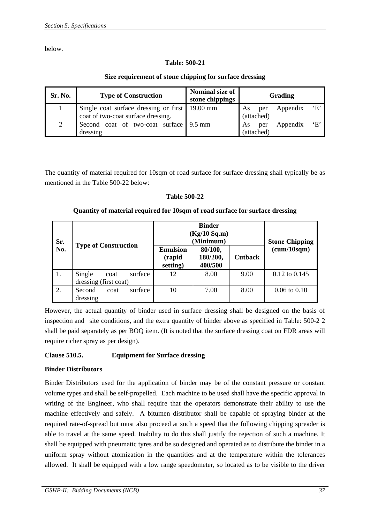below.

## **Table: 500-21**

## **Size requirement of stone chipping for surface dressing**

| Sr. No. | <b>Type of Construction</b>                                                          | Nominal size of<br>stone chippings | Grading                                           |  |
|---------|--------------------------------------------------------------------------------------|------------------------------------|---------------------------------------------------|--|
|         | Single coat surface dressing or first 19.00 mm<br>coat of two-coat surface dressing. |                                    | $\cdot$ F'<br>Appendix<br>As<br>per<br>(attached) |  |
|         |                                                                                      |                                    |                                                   |  |
|         | Second coat of two-coat surface 9.5 mm<br>dressing                                   |                                    | $\cdot$ F'<br>Appendix<br>As<br>per<br>(attached) |  |

The quantity of material required for 10sqm of road surface for surface dressing shall typically be as mentioned in the Table 500-22 below:

## **Table 500-22**

## **Quantity of material required for 10sqm of road surface for surface dressing**

| Sr.<br>No.       |                                                    | $(Kg/10\;Sq.m)$<br>(Minimum)          | <b>Stone Chipping</b>          |                |                   |
|------------------|----------------------------------------------------|---------------------------------------|--------------------------------|----------------|-------------------|
|                  | <b>Type of Construction</b>                        | <b>Emulsion</b><br>(rapid<br>setting) | 80/100,<br>180/200,<br>400/500 | <b>Cutback</b> | (cum/10sqm)       |
| $\overline{1}$ . | Single<br>surface<br>coat<br>dressing (first coat) | 12                                    | 8.00                           | 9.00           | $0.12$ to $0.145$ |
| $\overline{2}$ . | surface<br>Second<br>coat<br>dressing              | 10                                    | 7.00                           | 8.00           | $0.06$ to $0.10$  |

However, the actual quantity of binder used in surface dressing shall be designed on the basis of inspection and site conditions, and the extra quantity of binder above as specified in Table: 500-2 2 shall be paid separately as per BOQ item. (It is noted that the surface dressing coat on FDR areas will require richer spray as per design).

## **Clause 510.5. Equipment for Surface dressing**

## **Binder Distributors**

Binder Distributors used for the application of binder may be of the constant pressure or constant volume types and shall be self-propelled. Each machine to be used shall have the specific approval in writing of the Engineer, who shall require that the operators demonstrate their ability to use the machine effectively and safely. A bitumen distributor shall be capable of spraying binder at the required rate-of-spread but must also proceed at such a speed that the following chipping spreader is able to travel at the same speed. Inability to do this shall justify the rejection of such a machine. It shall be equipped with pneumatic tyres and be so designed and operated as to distribute the binder in a uniform spray without atomization in the quantities and at the temperature within the tolerances allowed. It shall be equipped with a low range speedometer, so located as to be visible to the driver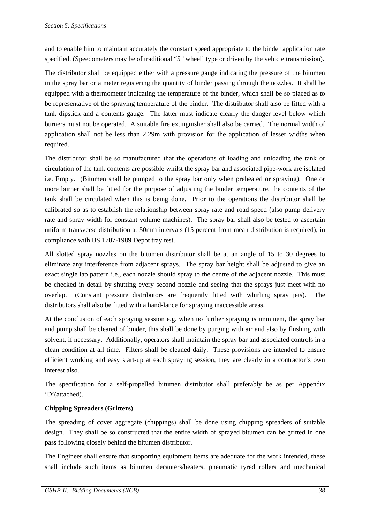and to enable him to maintain accurately the constant speed appropriate to the binder application rate specified. (Speedometers may be of traditional " $5<sup>th</sup>$  wheel' type or driven by the vehicle transmission).

The distributor shall be equipped either with a pressure gauge indicating the pressure of the bitumen in the spray bar or a meter registering the quantity of binder passing through the nozzles. It shall be equipped with a thermometer indicating the temperature of the binder, which shall be so placed as to be representative of the spraying temperature of the binder. The distributor shall also be fitted with a tank dipstick and a contents gauge. The latter must indicate clearly the danger level below which burners must not be operated. A suitable fire extinguisher shall also be carried. The normal width of application shall not be less than 2.29m with provision for the application of lesser widths when required.

The distributor shall be so manufactured that the operations of loading and unloading the tank or circulation of the tank contents are possible whilst the spray bar and associated pipe-work are isolated i.e. Empty. (Bitumen shall be pumped to the spray bar only when preheated or spraying). One or more burner shall be fitted for the purpose of adjusting the binder temperature, the contents of the tank shall be circulated when this is being done. Prior to the operations the distributor shall be calibrated so as to establish the relationship between spray rate and road speed (also pump delivery rate and spray width for constant volume machines). The spray bar shall also be tested to ascertain uniform transverse distribution at 50mm intervals (15 percent from mean distribution is required), in compliance with BS 1707-1989 Depot tray test.

All slotted spray nozzles on the bitumen distributor shall be at an angle of 15 to 30 degrees to eliminate any interference from adjacent sprays. The spray bar height shall be adjusted to give an exact single lap pattern i.e., each nozzle should spray to the centre of the adjacent nozzle. This must be checked in detail by shutting every second nozzle and seeing that the sprays just meet with no overlap. (Constant pressure distributors are frequently fitted with whirling spray jets). The distributors shall also be fitted with a hand-lance for spraying inaccessible areas.

At the conclusion of each spraying session e.g. when no further spraying is imminent, the spray bar and pump shall be cleared of binder, this shall be done by purging with air and also by flushing with solvent, if necessary. Additionally, operators shall maintain the spray bar and associated controls in a clean condition at all time. Filters shall be cleaned daily. These provisions are intended to ensure efficient working and easy start-up at each spraying session, they are clearly in a contractor's own interest also.

The specification for a self-propelled bitumen distributor shall preferably be as per Appendix 'D'(attached).

# **Chipping Spreaders (Gritters)**

The spreading of cover aggregate (chippings) shall be done using chipping spreaders of suitable design. They shall be so constructed that the entire width of sprayed bitumen can be gritted in one pass following closely behind the bitumen distributor.

The Engineer shall ensure that supporting equipment items are adequate for the work intended, these shall include such items as bitumen decanters/heaters, pneumatic tyred rollers and mechanical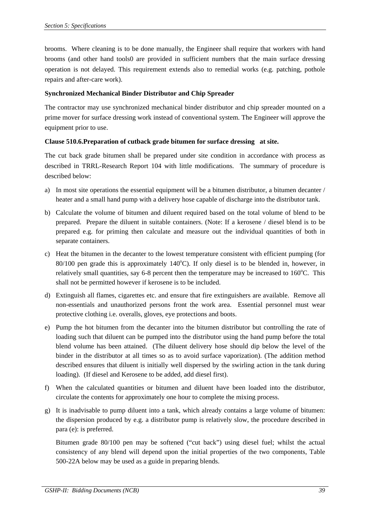brooms. Where cleaning is to be done manually, the Engineer shall require that workers with hand brooms (and other hand tools0 are provided in sufficient numbers that the main surface dressing operation is not delayed. This requirement extends also to remedial works (e.g. patching, pothole repairs and after-care work).

## **Synchronized Mechanical Binder Distributor and Chip Spreader**

The contractor may use synchronized mechanical binder distributor and chip spreader mounted on a prime mover for surface dressing work instead of conventional system. The Engineer will approve the equipment prior to use.

## **Clause 510.6.Preparation of cutback grade bitumen for surface dressing at site.**

The cut back grade bitumen shall be prepared under site condition in accordance with process as described in TRRL-Research Report 104 with little modifications. The summary of procedure is described below:

- a) In most site operations the essential equipment will be a bitumen distributor, a bitumen decanter / heater and a small hand pump with a delivery hose capable of discharge into the distributor tank.
- b) Calculate the volume of bitumen and diluent required based on the total volume of blend to be prepared. Prepare the diluent in suitable containers. (Note: If a kerosene / diesel blend is to be prepared e.g. for priming then calculate and measure out the individual quantities of both in separate containers.
- c) Heat the bitumen in the decanter to the lowest temperature consistent with efficient pumping (for  $80/100$  pen grade this is approximately  $140^{\circ}$ C). If only diesel is to be blended in, however, in relatively small quantities, say 6-8 percent then the temperature may be increased to 160°C. This shall not be permitted however if kerosene is to be included.
- d) Extinguish all flames, cigarettes etc. and ensure that fire extinguishers are available. Remove all non-essentials and unauthorized persons front the work area. Essential personnel must wear protective clothing i.e. overalls, gloves, eye protections and boots.
- e) Pump the hot bitumen from the decanter into the bitumen distributor but controlling the rate of loading such that diluent can be pumped into the distributor using the hand pump before the total blend volume has been attained. (The diluent delivery hose should dip below the level of the binder in the distributor at all times so as to avoid surface vaporization). (The addition method described ensures that diluent is initially well dispersed by the swirling action in the tank during loading). (If diesel and Kerosene to be added, add diesel first).
- f) When the calculated quantities or bitumen and diluent have been loaded into the distributor, circulate the contents for approximately one hour to complete the mixing process.
- g) It is inadvisable to pump diluent into a tank, which already contains a large volume of bitumen: the dispersion produced by e.g. a distributor pump is relatively slow, the procedure described in para (e): is preferred.

Bitumen grade 80/100 pen may be softened ("cut back") using diesel fuel; whilst the actual consistency of any blend will depend upon the initial properties of the two components, Table 500-22A below may be used as a guide in preparing blends.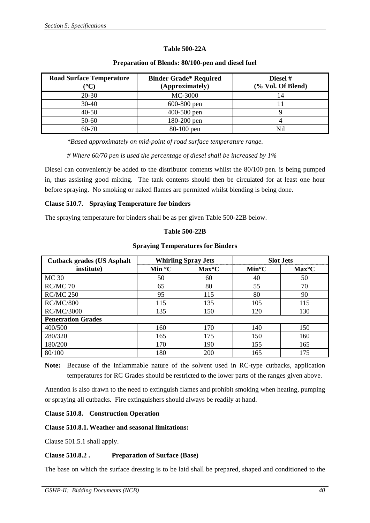## **Table 500-22A**

| <b>Road Surface Temperature</b><br>$\rm ^{o}\rm C$ | <b>Binder Grade* Required</b><br>(Approximately) | Diesel #<br>(% Vol. Of Blend) |
|----------------------------------------------------|--------------------------------------------------|-------------------------------|
| $20 - 30$                                          | MC-3000                                          | 14                            |
| $30 - 40$                                          | 600-800 pen                                      |                               |
| $40 - 50$                                          | 400-500 pen                                      |                               |
| 50-60                                              | 180-200 pen                                      |                               |
| 60-70                                              | 80-100 pen                                       | Nil                           |

#### **Preparation of Blends: 80/100-pen and diesel fuel**

*\*Based approximately on mid-point of road surface temperature range.* 

#### *# Where 60/70 pen is used the percentage of diesel shall be increased by 1%*

Diesel can conveniently be added to the distributor contents whilst the 80/100 pen. is being pumped in, thus assisting good mixing. The tank contents should then be circulated for at least one hour before spraying. No smoking or naked flames are permitted whilst blending is being done.

#### **Clause 510.7. Spraying Temperature for binders**

The spraying temperature for binders shall be as per given Table 500-22B below.

#### **Table 500-22B**

#### **Spraying Temperatures for Binders**

| <b>Cutback grades (US Asphalt</b> | <b>Whirling Spray Jets</b> |                    | <b>Slot Jets</b>   |                    |  |  |
|-----------------------------------|----------------------------|--------------------|--------------------|--------------------|--|--|
| institute)                        | Min $\mathrm{^{\circ}C}$   | Max <sup>o</sup> C | Min <sup>o</sup> C | Max <sup>o</sup> C |  |  |
| <b>MC 30</b>                      | 50                         | 60                 | 40                 | 50                 |  |  |
| RC/MC 70                          | 65                         | 80                 | 55                 | 70                 |  |  |
| <b>RC/MC 250</b>                  | 95                         | 115                | 80                 | 90                 |  |  |
| <b>RC/MC/800</b>                  | 115                        | 135                | 105                | 115                |  |  |
| <b>RC/MC/3000</b>                 | 135                        | 150                | 120                | 130                |  |  |
| <b>Penetration Grades</b>         |                            |                    |                    |                    |  |  |
| 400/500                           | 160                        | 170                | 140                | 150                |  |  |
| 280/320                           | 165                        | 175                | 150                | 160                |  |  |
| 180/200                           | 170                        | 190                | 155                | 165                |  |  |
| 80/100                            | 180                        | 200                | 165                | 175                |  |  |

**Note:** Because of the inflammable nature of the solvent used in RC-type cutbacks, application temperatures for RC Grades should be restricted to the lower parts of the ranges given above.

Attention is also drawn to the need to extinguish flames and prohibit smoking when heating, pumping or spraying all cutbacks. Fire extinguishers should always be readily at hand.

## **Clause 510.8. Construction Operation**

#### **Clause 510.8.1.Weather and seasonal limitations:**

Clause 501.5.1 shall apply.

## **Clause 510.8.2 . Preparation of Surface (Base)**

The base on which the surface dressing is to be laid shall be prepared, shaped and conditioned to the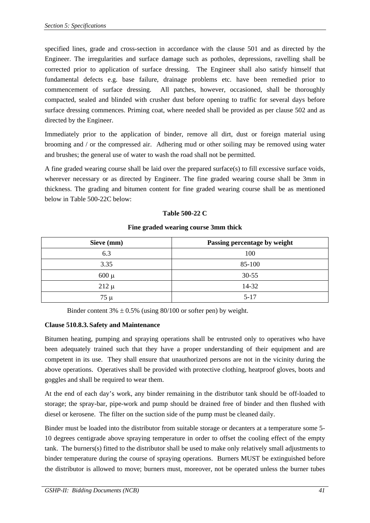specified lines, grade and cross-section in accordance with the clause 501 and as directed by the Engineer. The irregularities and surface damage such as potholes, depressions, ravelling shall be corrected prior to application of surface dressing. The Engineer shall also satisfy himself that fundamental defects e.g. base failure, drainage problems etc. have been remedied prior to commencement of surface dressing. All patches, however, occasioned, shall be thoroughly compacted, sealed and blinded with crusher dust before opening to traffic for several days before surface dressing commences. Priming coat, where needed shall be provided as per clause 502 and as directed by the Engineer.

Immediately prior to the application of binder, remove all dirt, dust or foreign material using brooming and / or the compressed air. Adhering mud or other soiling may be removed using water and brushes; the general use of water to wash the road shall not be permitted.

A fine graded wearing course shall be laid over the prepared surface(s) to fill excessive surface voids, wherever necessary or as directed by Engineer. The fine graded wearing course shall be 3mm in thickness. The grading and bitumen content for fine graded wearing course shall be as mentioned below in Table 500-22C below:

## **Table 500-22 C**

## **Fine graded wearing course 3mm thick**

| Sieve (mm) | Passing percentage by weight |
|------------|------------------------------|
| 6.3        | 100                          |
| 3.35       | 85-100                       |
| $600 \mu$  | $30 - 55$                    |
| $212 \mu$  | 14-32                        |
| $75 \mu$   | $5 - 17$                     |

Binder content  $3\% \pm 0.5\%$  (using 80/100 or softer pen) by weight.

## **Clause 510.8.3. Safety and Maintenance**

Bitumen heating, pumping and spraying operations shall be entrusted only to operatives who have been adequately trained such that they have a proper understanding of their equipment and are competent in its use. They shall ensure that unauthorized persons are not in the vicinity during the above operations. Operatives shall be provided with protective clothing, heatproof gloves, boots and goggles and shall be required to wear them.

At the end of each day's work, any binder remaining in the distributor tank should be off-loaded to storage; the spray-bar, pipe-work and pump should be drained free of binder and then flushed with diesel or kerosene. The filter on the suction side of the pump must be cleaned daily.

Binder must be loaded into the distributor from suitable storage or decanters at a temperature some 5- 10 degrees centigrade above spraying temperature in order to offset the cooling effect of the empty tank. The burners(s) fitted to the distributor shall be used to make only relatively small adjustments to binder temperature during the course of spraying operations. Burners MUST be extinguished before the distributor is allowed to move; burners must, moreover, not be operated unless the burner tubes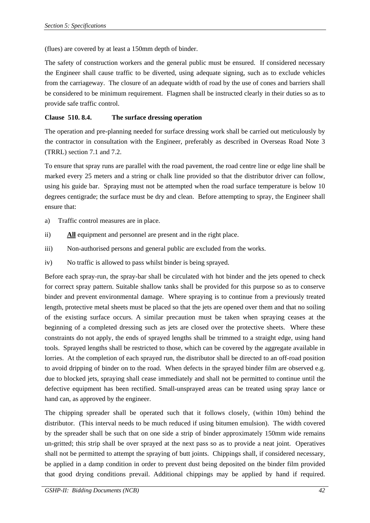(flues) are covered by at least a 150mm depth of binder.

The safety of construction workers and the general public must be ensured. If considered necessary the Engineer shall cause traffic to be diverted, using adequate signing, such as to exclude vehicles from the carriageway. The closure of an adequate width of road by the use of cones and barriers shall be considered to be minimum requirement. Flagmen shall be instructed clearly in their duties so as to provide safe traffic control.

## **Clause 510. 8.4. The surface dressing operation**

The operation and pre-planning needed for surface dressing work shall be carried out meticulously by the contractor in consultation with the Engineer, preferably as described in Overseas Road Note 3 (TRRL) section 7.1 and 7.2.

To ensure that spray runs are parallel with the road pavement, the road centre line or edge line shall be marked every 25 meters and a string or chalk line provided so that the distributor driver can follow, using his guide bar. Spraying must not be attempted when the road surface temperature is below 10 degrees centigrade; the surface must be dry and clean. Before attempting to spray, the Engineer shall ensure that:

- a) Traffic control measures are in place.
- ii) **All** equipment and personnel are present and in the right place.
- iii) Non-authorised persons and general public are excluded from the works.
- iv) No traffic is allowed to pass whilst binder is being sprayed.

Before each spray-run, the spray-bar shall be circulated with hot binder and the jets opened to check for correct spray pattern. Suitable shallow tanks shall be provided for this purpose so as to conserve binder and prevent environmental damage. Where spraying is to continue from a previously treated length, protective metal sheets must be placed so that the jets are opened over them and that no soiling of the existing surface occurs. A similar precaution must be taken when spraying ceases at the beginning of a completed dressing such as jets are closed over the protective sheets. Where these constraints do not apply, the ends of sprayed lengths shall be trimmed to a straight edge, using hand tools. Sprayed lengths shall be restricted to those, which can be covered by the aggregate available in lorries. At the completion of each sprayed run, the distributor shall be directed to an off-road position to avoid dripping of binder on to the road. When defects in the sprayed binder film are observed e.g. due to blocked jets, spraying shall cease immediately and shall not be permitted to continue until the defective equipment has been rectified. Small-unsprayed areas can be treated using spray lance or hand can, as approved by the engineer.

The chipping spreader shall be operated such that it follows closely, (within 10m) behind the distributor. (This interval needs to be much reduced if using bitumen emulsion). The width covered by the spreader shall be such that on one side a strip of binder approximately 150mm wide remains un-gritted; this strip shall be over sprayed at the next pass so as to provide a neat joint. Operatives shall not be permitted to attempt the spraying of butt joints. Chippings shall, if considered necessary, be applied in a damp condition in order to prevent dust being deposited on the binder film provided that good drying conditions prevail. Additional chippings may be applied by hand if required.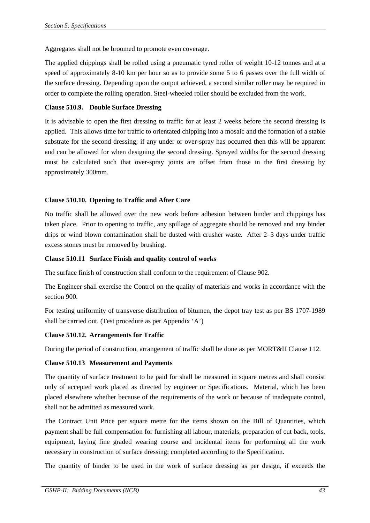Aggregates shall not be broomed to promote even coverage.

The applied chippings shall be rolled using a pneumatic tyred roller of weight 10-12 tonnes and at a speed of approximately 8-10 km per hour so as to provide some 5 to 6 passes over the full width of the surface dressing. Depending upon the output achieved, a second similar roller may be required in order to complete the rolling operation. Steel-wheeled roller should be excluded from the work.

## **Clause 510.9. Double Surface Dressing**

It is advisable to open the first dressing to traffic for at least 2 weeks before the second dressing is applied. This allows time for traffic to orientated chipping into a mosaic and the formation of a stable substrate for the second dressing; if any under or over-spray has occurred then this will be apparent and can be allowed for when designing the second dressing. Sprayed widths for the second dressing must be calculated such that over-spray joints are offset from those in the first dressing by approximately 300mm.

## **Clause 510.10. Opening to Traffic and After Care**

No traffic shall be allowed over the new work before adhesion between binder and chippings has taken place. Prior to opening to traffic, any spillage of aggregate should be removed and any binder drips or wind blown contamination shall be dusted with crusher waste. After 2–3 days under traffic excess stones must be removed by brushing.

#### **Clause 510.11 Surface Finish and quality control of works**

The surface finish of construction shall conform to the requirement of Clause 902.

The Engineer shall exercise the Control on the quality of materials and works in accordance with the section 900.

For testing uniformity of transverse distribution of bitumen, the depot tray test as per BS 1707-1989 shall be carried out. (Test procedure as per Appendix 'A')

## **Clause 510.12. Arrangements for Traffic**

During the period of construction, arrangement of traffic shall be done as per MORT&H Clause 112.

## **Clause 510.13 Measurement and Payments**

The quantity of surface treatment to be paid for shall be measured in square metres and shall consist only of accepted work placed as directed by engineer or Specifications. Material, which has been placed elsewhere whether because of the requirements of the work or because of inadequate control, shall not be admitted as measured work.

The Contract Unit Price per square metre for the items shown on the Bill of Quantities, which payment shall be full compensation for furnishing all labour, materials, preparation of cut back, tools, equipment, laying fine graded wearing course and incidental items for performing all the work necessary in construction of surface dressing; completed according to the Specification.

The quantity of binder to be used in the work of surface dressing as per design, if exceeds the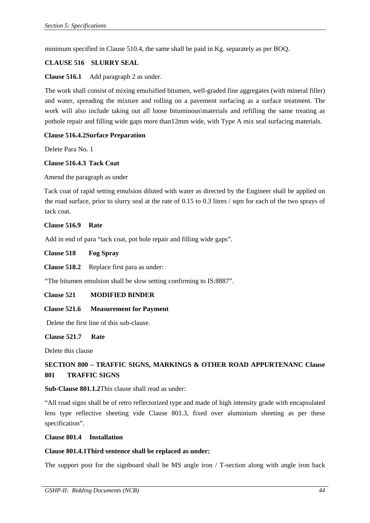minimum specified in Clause 510.4, the same shall be paid in Kg. separately as per BOQ.

#### **CLAUSE 516 SLURRY SEAL**

**Clause 516.1** Add paragraph 2 as under.

The work shall consist of mixing emulsified bitumen, well-graded fine aggregates (with mineral filler) and water, spreading the mixture and rolling on a pavement surfacing as a surface treatment. The work will also include taking out all loose bituminous\materials and refilling the same treating as pothole repair and filling wide gaps more than12mm wide, with Type A mix seal surfacing materials.

## **Clause 516.4.2Surface Preparation**

Delete Para No. 1

#### **Clause 516.4.3 Tack Coat**

Amend the paragraph as under

Tack coat of rapid setting emulsion diluted with water as directed by the Engineer shall be applied on the road surface, prior to slurry seal at the rate of 0.15 to 0.3 litres / sqm for each of the two sprays of tack coat.

#### **Clause 516.9 Rate**

Add in end of para "tack coat, pot hole repair and filling wide gaps".

**Clause 518 Fog Spray** 

**Clause 518.2** Replace first para as under:

"The bitumen emulsion shall be slow setting confirming to IS:8887".

#### **Clause 521 MODIFIED BINDER**

#### **Clause 521.6 Measurement for Payment**

Delete the first line of this sub-clause.

#### **Clause 521.7 Rate**

Delete this clause

# **SECTION 800 – TRAFFIC SIGNS, MARKINGS & OTHER ROAD APPURTENANC Clause 801 TRAFFIC SIGNS**

#### **Sub-Clause 801.1.2**This clause shall read as under:

"All road signs shall be of retro reflectorized type and made of high intensity grade with encapsulated lens type reflective sheeting vide Clause 801.3, fixed over aluminium sheeting as per these specification".

#### **Clause 801.4 Installation**

#### **Clause 801.4.1Third sentence shall be replaced as under:**

The support post for the signboard shall be MS angle iron / T-section along with angle iron back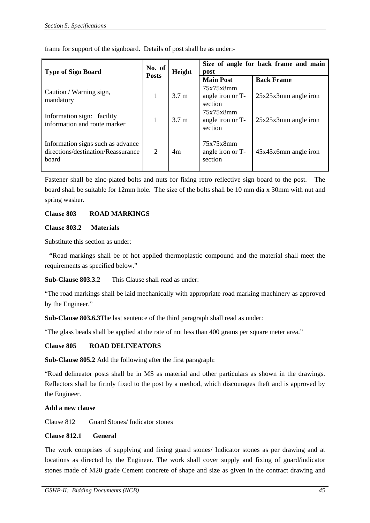| <b>Type of Sign Board</b>                                                        | No. of         | Height           | Size of angle for back frame and main<br>post |                        |
|----------------------------------------------------------------------------------|----------------|------------------|-----------------------------------------------|------------------------|
|                                                                                  | <b>Posts</b>   |                  | <b>Main Post</b>                              | <b>Back Frame</b>      |
| Caution / Warning sign,<br>mandatory                                             | 1              | 3.7 <sub>m</sub> | 75x75x8mm<br>angle iron or T-<br>section      | $25x25x3mm$ angle iron |
| Information sign: facility<br>information and route marker                       |                | 3.7 <sub>m</sub> | 75x75x8mm<br>angle iron or T-<br>section      | $25x25x3mm$ angle iron |
| Information signs such as advance<br>directions/destination/Reassurance<br>board | $\overline{2}$ | 4m               | 75x75x8mm<br>angle iron or T-<br>section      | $45x45x6mm$ angle iron |

frame for support of the signboard. Details of post shall be as under:-

Fastener shall be zinc-plated bolts and nuts for fixing retro reflective sign board to the post. The board shall be suitable for 12mm hole. The size of the bolts shall be 10 mm dia x 30mm with nut and spring washer.

## **Clause 803 ROAD MARKINGS**

## **Clause 803.2 Materials**

Substitute this section as under:

**"**Road markings shall be of hot applied thermoplastic compound and the material shall meet the requirements as specified below."

**Sub-Clause 803.3.2** This Clause shall read as under:

"The road markings shall be laid mechanically with appropriate road marking machinery as approved by the Engineer."

**Sub-Clause 803.6.3**The last sentence of the third paragraph shall read as under:

"The glass beads shall be applied at the rate of not less than 400 grams per square meter area."

## **Clause 805 ROAD DELINEATORS**

**Sub-Clause 805.2** Add the following after the first paragraph:

 "Road delineator posts shall be in MS as material and other particulars as shown in the drawings. Reflectors shall be firmly fixed to the post by a method, which discourages theft and is approved by the Engineer.

#### **Add a new clause**

Clause 812 Guard Stones/ Indicator stones

#### **Clause 812.1 General**

The work comprises of supplying and fixing guard stones/ Indicator stones as per drawing and at locations as directed by the Engineer. The work shall cover supply and fixing of guard/indicator stones made of M20 grade Cement concrete of shape and size as given in the contract drawing and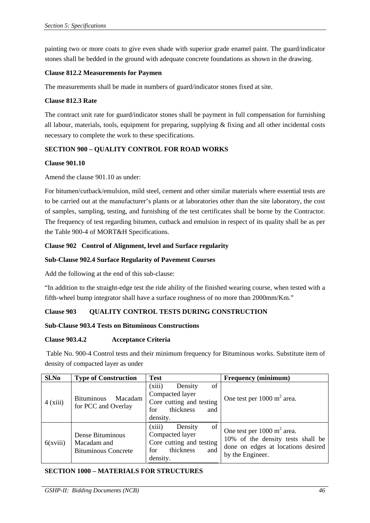painting two or more coats to give even shade with superior grade enamel paint. The guard/indicator stones shall be bedded in the ground with adequate concrete foundations as shown in the drawing.

## **Clause 812.2 Measurements for Paymen**

The measurements shall be made in numbers of guard/indicator stones fixed at site.

#### **Clause 812.3 Rate**

The contract unit rate for guard/indicator stones shall be payment in full compensation for furnishing all labour, materials, tools, equipment for preparing, supplying  $\&$  fixing and all other incidental costs necessary to complete the work to these specifications.

## **SECTION 900 – QUALITY CONTROL FOR ROAD WORKS**

#### **Clause 901.10**

Amend the clause 901.10 as under:

For bitumen/cutback/emulsion, mild steel, cement and other similar materials where essential tests are to be carried out at the manufacturer's plants or at laboratories other than the site laboratory, the cost of samples, sampling, testing, and furnishing of the test certificates shall be borne by the Contractor. The frequency of test regarding bitumen, cutback and emulsion in respect of its quality shall be as per the Table 900-4 of MORT&H Specifications.

## **Clause 902 Control of Alignment, level and Surface regularity**

## **Sub-Clause 902.4 Surface Regularity of Pavement Courses**

Add the following at the end of this sub-clause:

"In addition to the straight-edge test the ride ability of the finished wearing course, when tested with a fifth-wheel bump integrator shall have a surface roughness of no more than 2000mm/Km."

## **Clause 903 QUALITY CONTROL TESTS DURING CONSTRUCTION**

## **Sub-Clause 903.4 Tests on Bituminous Constructions**

## **Clause 903.4.2 Acceptance Criteria**

 Table No. 900-4 Control tests and their minimum frequency for Bituminous works. Substitute item of density of compacted layer as under

| Sl.No    | <b>Type of Construction</b>                                   | <b>Test</b>                                                                                                   | <b>Frequency (minimum)</b>                                                                                                           |
|----------|---------------------------------------------------------------|---------------------------------------------------------------------------------------------------------------|--------------------------------------------------------------------------------------------------------------------------------------|
| 4(xiii)  | Macadam<br><b>Bituminous</b><br>for PCC and Overlay           | (xiii)<br>of<br>Density<br>Compacted layer<br>Core cutting and testing<br>thickness<br>for<br>and<br>density. | One test per $1000 \text{ m}^2$ area.                                                                                                |
| 6(xviii) | Dense Bituminous<br>Macadam and<br><b>Bituminous Concrete</b> | (xiii)<br>of<br>Density<br>Compacted layer<br>Core cutting and testing<br>thickness<br>for<br>and<br>density. | One test per $1000 \text{ m}^2$ area.<br>10% of the density tests shall be<br>done on edges at locations desired<br>by the Engineer. |

#### **SECTION 1000 – MATERIALS FOR STRUCTURES**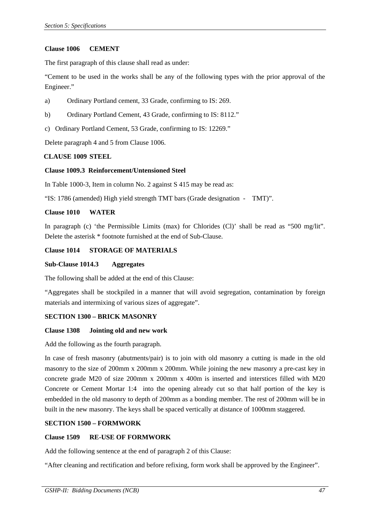#### **Clause 1006 CEMENT**

The first paragraph of this clause shall read as under:

"Cement to be used in the works shall be any of the following types with the prior approval of the Engineer."

- a) Ordinary Portland cement, 33 Grade, confirming to IS: 269.
- b) Ordinary Portland Cement, 43 Grade, confirming to IS: 8112."
- c) Ordinary Portland Cement, 53 Grade, confirming to IS: 12269."

Delete paragraph 4 and 5 from Clause 1006.

#### **CLAUSE 1009 STEEL**

#### **Clause 1009.3 Reinforcement/Untensioned Steel**

In Table 1000-3, Item in column No. 2 against S 415 may be read as:

"IS: 1786 (amended) High yield strength TMT bars (Grade designation - TMT)".

#### **Clause 1010 WATER**

In paragraph (c) 'the Permissible Limits (max) for Chlorides (Cl)' shall be read as "500 mg/lit". Delete the asterisk \* footnote furnished at the end of Sub-Clause.

#### **Clause 1014 STORAGE OF MATERIALS**

#### **Sub-Clause 1014.3 Aggregates**

The following shall be added at the end of this Clause:

"Aggregates shall be stockpiled in a manner that will avoid segregation, contamination by foreign materials and intermixing of various sizes of aggregate".

#### **SECTION 1300 – BRICK MASONRY**

#### **Clause 1308 Jointing old and new work**

Add the following as the fourth paragraph.

In case of fresh masonry (abutments/pair) is to join with old masonry a cutting is made in the old masonry to the size of 200mm x 200mm x 200mm. While joining the new masonry a pre-cast key in concrete grade M20 of size 200mm x 200mm x 400m is inserted and interstices filled with M20 Concrete or Cement Mortar 1:4 into the opening already cut so that half portion of the key is embedded in the old masonry to depth of 200mm as a bonding member. The rest of 200mm will be in built in the new masonry. The keys shall be spaced vertically at distance of 1000mm staggered.

#### **SECTION 1500 – FORMWORK**

#### **Clause 1509 RE-USE OF FORMWORK**

Add the following sentence at the end of paragraph 2 of this Clause:

"After cleaning and rectification and before refixing, form work shall be approved by the Engineer".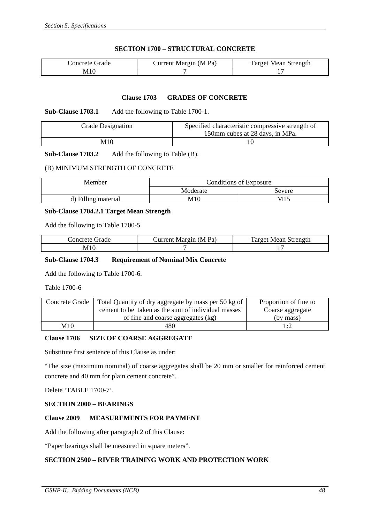## **SECTION 1700 – STRUCTURAL CONCRETE**

| Concrete Grade | Current Margin (M Pa) | Target Mean Strength |  |
|----------------|-----------------------|----------------------|--|
| M10            |                       | . .                  |  |

#### **Clause 1703 GRADES OF CONCRETE**

#### **Sub-Clause 1703.1** Add the following to Table 1700-1.

| <b>Grade Designation</b> | Specified characteristic compressive strength of<br>150mm cubes at 28 days, in MPa. |
|--------------------------|-------------------------------------------------------------------------------------|
| M10                      |                                                                                     |

## **Sub-Clause 1703.2** Add the following to Table (B).

#### (B) MINIMUM STRENGTH OF CONCRETE

| <b>Member</b>       | Conditions of Exposure |        |
|---------------------|------------------------|--------|
|                     | Moderate               | Severe |
| d) Filling material | M10                    | M15    |

#### **Sub-Clause 1704.2.1 Target Mean Strength**

Add the following to Table 1700-5.

| Concrete Grade | Current Margin (M Pa) | <b>Target Mean Strength</b> |  |
|----------------|-----------------------|-----------------------------|--|
| MIC            |                       |                             |  |

#### **Sub-Clause 1704.3 Requirement of Nominal Mix Concrete**

Add the following to Table 1700-6.

Table 1700-6

| Concrete Grade | Total Quantity of dry aggregate by mass per 50 kg of | Proportion of fine to |
|----------------|------------------------------------------------------|-----------------------|
|                | cement to be taken as the sum of individual masses   | Coarse aggregate      |
|                | of fine and coarse aggregates (kg)                   | (by mass)             |
| M10            | 480                                                  | l :2                  |

## **Clause 1706 SIZE OF COARSE AGGREGATE**

Substitute first sentence of this Clause as under:

"The size (maximum nominal) of coarse aggregates shall be 20 mm or smaller for reinforced cement concrete and 40 mm for plain cement concrete".

Delete 'TABLE 1700-7'.

## **SECTION 2000 – BEARINGS**

## **Clause 2009 MEASUREMENTS FOR PAYMENT**

Add the following after paragraph 2 of this Clause:

"Paper bearings shall be measured in square meters".

#### **SECTION 2500 – RIVER TRAINING WORK AND PROTECTION WORK**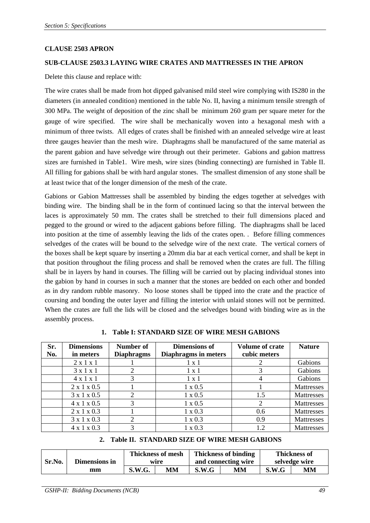#### **CLAUSE 2503 APRON**

#### **SUB-CLAUSE 2503.3 LAYING WIRE CRATES AND MATTRESSES IN THE APRON**

Delete this clause and replace with:

The wire crates shall be made from hot dipped galvanised mild steel wire complying with IS280 in the diameters (in annealed condition) mentioned in the table No. II, having a minimum tensile strength of 300 MPa. The weight of deposition of the zinc shall be minimum 260 gram per square meter for the gauge of wire specified. The wire shall be mechanically woven into a hexagonal mesh with a minimum of three twists. All edges of crates shall be finished with an annealed selvedge wire at least three gauges heavier than the mesh wire. Diaphragms shall be manufactured of the same material as the parent gabion and have selvedge wire through out their perimeter. Gabions and gabion mattress sizes are furnished in Table1. Wire mesh, wire sizes (binding connecting) are furnished in Table II. All filling for gabions shall be with hard angular stones. The smallest dimension of any stone shall be at least twice that of the longer dimension of the mesh of the crate.

Gabions or Gabion Mattresses shall be assembled by binding the edges together at selvedges with binding wire. The binding shall be in the form of continued lacing so that the interval between the laces is approximately 50 mm. The crates shall be stretched to their full dimensions placed and pegged to the ground or wired to the adjacent gabions before filling. The diaphragms shall be laced into position at the time of assembly leaving the lids of the crates open. . Before filling commences selvedges of the crates will be bound to the selvedge wire of the next crate. The vertical corners of the boxes shall be kept square by inserting a 20mm dia bar at each vertical corner, and shall be kept in that position throughout the filing process and shall be removed when the crates are full. The filling shall be in layers by hand in courses. The filling will be carried out by placing individual stones into the gabion by hand in courses in such a manner that the stones are bedded on each other and bonded as in dry random rubble masonry. No loose stones shall be tipped into the crate and the practice of coursing and bonding the outer layer and filling the interior with unlaid stones will not be permitted. When the crates are full the lids will be closed and the selvedges bound with binding wire as in the assembly process.

| Sr.<br>No. | <b>Dimensions</b><br>in meters | Number of<br><b>Diaphragms</b> | <b>Dimensions of</b><br><b>Diaphragms in meters</b> | <b>Volume of crate</b><br>cubic meters | <b>Nature</b>     |
|------------|--------------------------------|--------------------------------|-----------------------------------------------------|----------------------------------------|-------------------|
|            | $2 \times 1 \times 1$          |                                | $1 \times 1$                                        |                                        | Gabions           |
|            | $3 \times 1 \times 1$          |                                | $1 \times 1$                                        |                                        | Gabions           |
|            | $4 \times 1 \times 1$          | 3                              | $1 \times 1$                                        |                                        | Gabions           |
|            | $2 \times 1 \times 0.5$        |                                | $1 \times 0.5$                                      |                                        | <b>Mattresses</b> |
|            | 3 x 1 x 0.5                    | ↑                              | $1 \times 0.5$                                      | 1.5                                    | Mattresses        |
|            | $4 \times 1 \times 0.5$        | 3                              | $1 \times 0.5$                                      |                                        | Mattresses        |
|            | $2 \times 1 \times 0.3$        |                                | $1 \times 0.3$                                      | 0.6                                    | Mattresses        |
|            | 3 x 1 x 0.3                    | ↑                              | $1 \times 0.3$                                      | 0.9                                    | Mattresses        |
|            | $4 \times 1 \times 0.3$        |                                | $1 \times 0.3$                                      | 12                                     | Mattresses        |

**1. Table I: STANDARD SIZE OF WIRE MESH GABIONS** 

# **2. Table II. STANDARD SIZE OF WIRE MESH GABIONS**

|        |               | <b>Thickness of mesh</b> |    | <b>Thickness of binding</b> |    | <b>Thickness of</b> |    |
|--------|---------------|--------------------------|----|-----------------------------|----|---------------------|----|
| Sr.No. | Dimensions in | wire                     |    | and connecting wire         |    | selvedge wire       |    |
|        | mm            | <b>S.W.G.</b>            | МM | S.W.G                       | MМ | S.W.G               | MМ |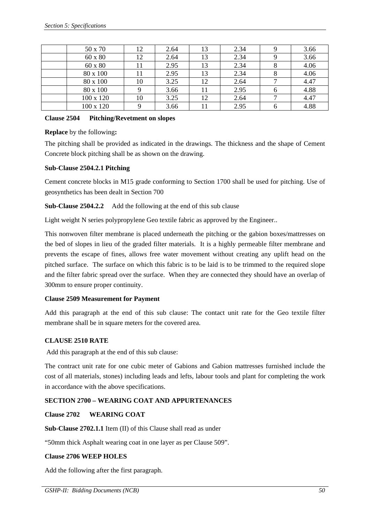| 50 x 70   |    | 2.64 | 13 | 2.34 | 3.66 |
|-----------|----|------|----|------|------|
| 60 x 80   | 12 | 2.64 | 13 | 2.34 | 3.66 |
| 60 x 80   |    | 2.95 | 13 | 2.34 | 4.06 |
| 80 x 100  |    | 2.95 | 13 | 2.34 | 4.06 |
| 80 x 100  | 10 | 3.25 | 12 | 2.64 | 4.47 |
| 80 x 100  |    | 3.66 | 11 | 2.95 | 4.88 |
| 100 x 120 | 10 | 3.25 | 12 | 2.64 | 4.47 |
| 100 x 120 |    | 3.66 |    | 2.95 | 4.88 |

#### **Clause 2504 Pitching/Revetment on slopes**

## **Replace** by the following**:**

The pitching shall be provided as indicated in the drawings. The thickness and the shape of Cement Concrete block pitching shall be as shown on the drawing.

## **Sub-Clause 2504.2.1 Pitching**

Cement concrete blocks in M15 grade conforming to Section 1700 shall be used for pitching. Use of geosynthetics has been dealt in Section 700

**Sub-Clause 2504.2.2** Add the following at the end of this sub clause

Light weight N series polypropylene Geo textile fabric as approved by the Engineer..

This nonwoven filter membrane is placed underneath the pitching or the gabion boxes/mattresses on the bed of slopes in lieu of the graded filter materials. It is a highly permeable filter membrane and prevents the escape of fines, allows free water movement without creating any uplift head on the pitched surface. The surface on which this fabric is to be laid is to be trimmed to the required slope and the filter fabric spread over the surface. When they are connected they should have an overlap of 300mm to ensure proper continuity.

## **Clause 2509 Measurement for Payment**

Add this paragraph at the end of this sub clause: The contact unit rate for the Geo textile filter membrane shall be in square meters for the covered area.

## **CLAUSE 2510 RATE**

Add this paragraph at the end of this sub clause:

The contract unit rate for one cubic meter of Gabions and Gabion mattresses furnished include the cost of all materials, stones) including leads and lefts, labour tools and plant for completing the work in accordance with the above specifications.

## **SECTION 2700 – WEARING COAT AND APPURTENANCES**

## **Clause 2702 WEARING COAT**

**Sub-Clause 2702.1.1** Item (II) of this Clause shall read as under

"50mm thick Asphalt wearing coat in one layer as per Clause 509".

## **Clause 2706 WEEP HOLES**

Add the following after the first paragraph.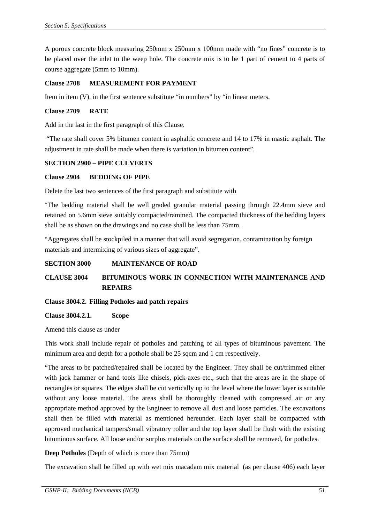A porous concrete block measuring 250mm x 250mm x 100mm made with "no fines" concrete is to be placed over the inlet to the weep hole. The concrete mix is to be 1 part of cement to 4 parts of course aggregate (5mm to 10mm).

## **Clause 2708 MEASUREMENT FOR PAYMENT**

Item in item (V), in the first sentence substitute "in numbers" by "in linear meters.

#### **Clause 2709 RATE**

Add in the last in the first paragraph of this Clause.

 "The rate shall cover 5% bitumen content in asphaltic concrete and 14 to 17% in mastic asphalt. The adjustment in rate shall be made when there is variation in bitumen content".

#### **SECTION 2900 – PIPE CULVERTS**

#### **Clause 2904 BEDDING OF PIPE**

Delete the last two sentences of the first paragraph and substitute with

"The bedding material shall be well graded granular material passing through 22.4mm sieve and retained on 5.6mm sieve suitably compacted/rammed. The compacted thickness of the bedding layers shall be as shown on the drawings and no case shall be less than 75mm.

"Aggregates shall be stockpiled in a manner that will avoid segregation, contamination by foreign materials and intermixing of various sizes of aggregate".

## **SECTION 3000 MAINTENANCE OF ROAD**

# **CLAUSE 3004 BITUMINOUS WORK IN CONNECTION WITH MAINTENANCE AND REPAIRS**

#### **Clause 3004.2. Filling Potholes and patch repairs**

**Clause 3004.2.1. Scope** 

Amend this clause as under

This work shall include repair of potholes and patching of all types of bituminous pavement. The minimum area and depth for a pothole shall be 25 sqcm and 1 cm respectively.

"The areas to be patched/repaired shall be located by the Engineer. They shall be cut/trimmed either with jack hammer or hand tools like chisels, pick-axes etc., such that the areas are in the shape of rectangles or squares. The edges shall be cut vertically up to the level where the lower layer is suitable without any loose material. The areas shall be thoroughly cleaned with compressed air or any appropriate method approved by the Engineer to remove all dust and loose particles. The excavations shall then be filled with material as mentioned hereunder. Each layer shall be compacted with approved mechanical tampers/small vibratory roller and the top layer shall be flush with the existing bituminous surface. All loose and/or surplus materials on the surface shall be removed, for potholes.

**Deep Potholes** (Depth of which is more than 75mm)

The excavation shall be filled up with wet mix macadam mix material (as per clause 406) each layer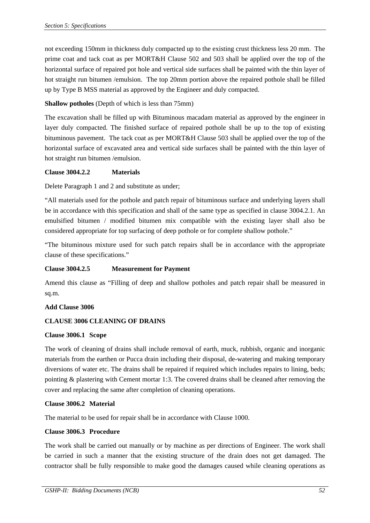not exceeding 150mm in thickness duly compacted up to the existing crust thickness less 20 mm. The prime coat and tack coat as per MORT&H Clause 502 and 503 shall be applied over the top of the horizontal surface of repaired pot hole and vertical side surfaces shall be painted with the thin layer of hot straight run bitumen /emulsion. The top 20mm portion above the repaired pothole shall be filled up by Type B MSS material as approved by the Engineer and duly compacted.

## **Shallow potholes** (Depth of which is less than 75mm)

The excavation shall be filled up with Bituminous macadam material as approved by the engineer in layer duly compacted. The finished surface of repaired pothole shall be up to the top of existing bituminous pavement. The tack coat as per MORT&H Clause 503 shall be applied over the top of the horizontal surface of excavated area and vertical side surfaces shall be painted with the thin layer of hot straight run bitumen /emulsion.

## **Clause 3004.2.2 Materials**

Delete Paragraph 1 and 2 and substitute as under;

"All materials used for the pothole and patch repair of bituminous surface and underlying layers shall be in accordance with this specification and shall of the same type as specified in clause 3004.2.1. An emulsified bitumen / modified bitumen mix compatible with the existing layer shall also be considered appropriate for top surfacing of deep pothole or for complete shallow pothole."

"The bituminous mixture used for such patch repairs shall be in accordance with the appropriate clause of these specifications."

## **Clause 3004.2.5 Measurement for Payment**

Amend this clause as "Filling of deep and shallow potholes and patch repair shall be measured in sq.m.

#### **Add Clause 3006**

## **CLAUSE 3006 CLEANING OF DRAINS**

#### **Clause 3006.1 Scope**

The work of cleaning of drains shall include removal of earth, muck, rubbish, organic and inorganic materials from the earthen or Pucca drain including their disposal, de-watering and making temporary diversions of water etc. The drains shall be repaired if required which includes repairs to lining, beds; pointing & plastering with Cement mortar 1:3. The covered drains shall be cleaned after removing the cover and replacing the same after completion of cleaning operations.

#### **Clause 3006.2 Material**

The material to be used for repair shall be in accordance with Clause 1000.

## **Clause 3006.3 Procedure**

The work shall be carried out manually or by machine as per directions of Engineer. The work shall be carried in such a manner that the existing structure of the drain does not get damaged. The contractor shall be fully responsible to make good the damages caused while cleaning operations as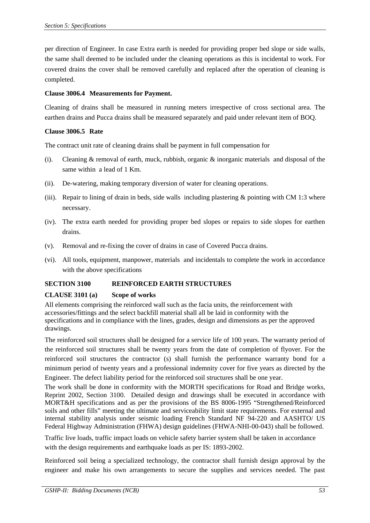per direction of Engineer. In case Extra earth is needed for providing proper bed slope or side walls, the same shall deemed to be included under the cleaning operations as this is incidental to work. For covered drains the cover shall be removed carefully and replaced after the operation of cleaning is completed.

## **Clause 3006.4 Measurements for Payment.**

Cleaning of drains shall be measured in running meters irrespective of cross sectional area. The earthen drains and Pucca drains shall be measured separately and paid under relevant item of BOQ.

## **Clause 3006.5 Rate**

The contract unit rate of cleaning drains shall be payment in full compensation for

- (i). Cleaning  $&$  removal of earth, muck, rubbish, organic  $&$  inorganic materials and disposal of the same within a lead of 1 Km.
- (ii). De-watering, making temporary diversion of water for cleaning operations.
- (iii). Repair to lining of drain in beds, side walls including plastering & pointing with CM 1:3 where necessary.
- (iv). The extra earth needed for providing proper bed slopes or repairs to side slopes for earthen drains.
- (v). Removal and re-fixing the cover of drains in case of Covered Pucca drains.
- (vi). All tools, equipment, manpower, materials and incidentals to complete the work in accordance with the above specifications

# **SECTION 3100 REINFORCED EARTH STRUCTURES**

## **CLAUSE 3101 (a) Scope of works**

All elements comprising the reinforced wall such as the facia units, the reinforcement with accessories/fittings and the select backfill material shall all be laid in conformity with the specifications and in compliance with the lines, grades, design and dimensions as per the approved drawings.

The reinforced soil structures shall be designed for a service life of 100 years. The warranty period of the reinforced soil structures shall be twenty years from the date of completion of flyover. For the reinforced soil structures the contractor (s) shall furnish the performance warranty bond for a minimum period of twenty years and a professional indemnity cover for five years as directed by the Engineer. The defect liability period for the reinforced soil structures shall be one year.

The work shall be done in conformity with the MORTH specifications for Road and Bridge works, Reprint 2002, Section 3100. Detailed design and drawings shall be executed in accordance with MORT&H specifications and as per the provisions of the BS 8006-1995 "Strengthened/Reinforced soils and other fills" meeting the ultimate and serviceability limit state requirements. For external and internal stability analysis under seismic loading French Standard NF 94-220 and AASHTO/ US Federal Highway Administration (FHWA) design guidelines (FHWA-NHI-00-043) shall be followed.

Traffic live loads, traffic impact loads on vehicle safety barrier system shall be taken in accordance with the design requirements and earthquake loads as per IS: 1893-2002.

Reinforced soil being a specialized technology, the contractor shall furnish design approval by the engineer and make his own arrangements to secure the supplies and services needed. The past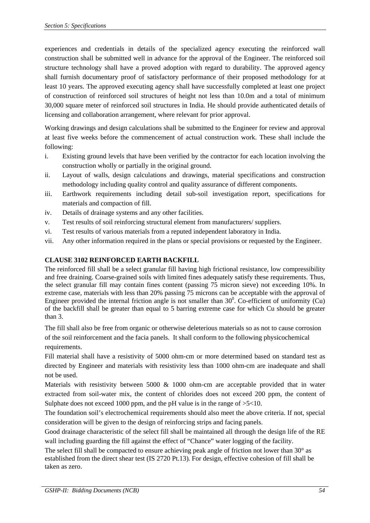experiences and credentials in details of the specialized agency executing the reinforced wall construction shall be submitted well in advance for the approval of the Engineer. The reinforced soil structure technology shall have a proved adoption with regard to durability. The approved agency shall furnish documentary proof of satisfactory performance of their proposed methodology for at least 10 years. The approved executing agency shall have successfully completed at least one project of construction of reinforced soil structures of height not less than 10.0m and a total of minimum 30,000 square meter of reinforced soil structures in India. He should provide authenticated details of licensing and collaboration arrangement, where relevant for prior approval.

Working drawings and design calculations shall be submitted to the Engineer for review and approval at least five weeks before the commencement of actual construction work. These shall include the following:

- i. Existing ground levels that have been verified by the contractor for each location involving the construction wholly or partially in the original ground.
- ii. Layout of walls, design calculations and drawings, material specifications and construction methodology including quality control and quality assurance of different components.
- iii. Earthwork requirements including detail sub-soil investigation report, specifications for materials and compaction of fill.
- iv. Details of drainage systems and any other facilities.
- v. Test results of soil reinforcing structural element from manufacturers/ suppliers.
- vi. Test results of various materials from a reputed independent laboratory in India.
- vii. Any other information required in the plans or special provisions or requested by the Engineer.

## **CLAUSE 3102 REINFORCED EARTH BACKFILL**

The reinforced fill shall be a select granular fill having high frictional resistance, low compressibility and free draining. Coarse-grained soils with limited fines adequately satisfy these requirements. Thus, the select granular fill may contain fines content (passing 75 micron sieve) not exceeding 10%. In extreme case, materials with less than 20% passing 75 microns can be acceptable with the approval of Engineer provided the internal friction angle is not smaller than  $30^\circ$ . Co-efficient of uniformity (Cu) of the backfill shall be greater than equal to 5 barring extreme case for which Cu should be greater than 3.

The fill shall also be free from organic or otherwise deleterious materials so as not to cause corrosion of the soil reinforcement and the facia panels. It shall conform to the following physicochemical requirements.

 Fill material shall have a resistivity of 5000 ohm-cm or more determined based on standard test as directed by Engineer and materials with resistivity less than 1000 ohm-cm are inadequate and shall not be used.

Materials with resistivity between 5000 & 1000 ohm-cm are acceptable provided that in water extracted from soil-water mix, the content of chlorides does not exceed 200 ppm, the content of Sulphate does not exceed 1000 ppm, and the pH value is in the range of  $>5<10$ .

The foundation soil's electrochemical requirements should also meet the above criteria. If not, special consideration will be given to the design of reinforcing strips and facing panels.

Good drainage characteristic of the select fill shall be maintained all through the design life of the RE wall including guarding the fill against the effect of "Chance" water logging of the facility.

The select fill shall be compacted to ensure achieving peak angle of friction not lower than 30° as established from the direct shear test (IS 2720 Pt.13). For design, effective cohesion of fill shall be taken as zero.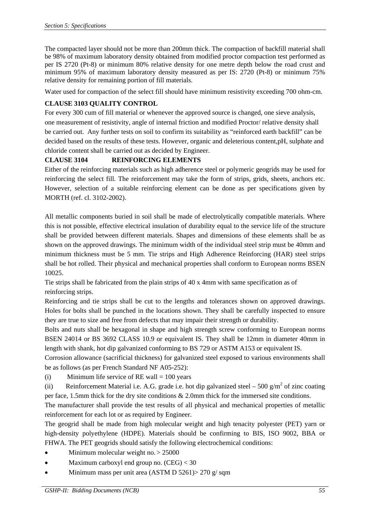The compacted layer should not be more than 200mm thick. The compaction of backfill material shall be 98% of maximum laboratory density obtained from modified proctor compaction test performed as per IS 2720 (Pt-8) or minimum 80% relative density for one metre depth below the road crust and minimum 95% of maximum laboratory density measured as per IS: 2720 (Pt-8) or minimum 75% relative density for remaining portion of fill materials.

Water used for compaction of the select fill should have minimum resistivity exceeding 700 ohm-cm.

# **CLAUSE 3103 QUALITY CONTROL**

For every 300 cum of fill material or whenever the approved source is changed, one sieve analysis, one measurement of resistivity, angle of internal friction and modified Proctor/ relative density shall be carried out. Any further tests on soil to confirm its suitability as "reinforced earth backfill" can be decided based on the results of these tests. However, organic and deleterious content,pH, sulphate and chloride content shall be carried out as decided by Engineer.

# **CLAUSE 3104 REINFORCING ELEMENTS**

Either of the reinforcing materials such as high adherence steel or polymeric geogrids may be used for reinforcing the select fill. The reinforcement may take the form of strips, grids, sheets, anchors etc. However, selection of a suitable reinforcing element can be done as per specifications given by MORTH (ref. cl. 3102-2002).

All metallic components buried in soil shall be made of electrolytically compatible materials. Where this is not possible, effective electrical insulation of durability equal to the service life of the structure shall be provided between different materials. Shapes and dimensions of these elements shall be as shown on the approved drawings. The minimum width of the individual steel strip must be 40mm and minimum thickness must be 5 mm. Tie strips and High Adherence Reinforcing (HAR) steel strips shall be hot rolled. Their physical and mechanical properties shall conform to European norms BSEN 10025.

Tie strips shall be fabricated from the plain strips of 40 x 4mm with same specification as of reinforcing strips.

Reinforcing and tie strips shall be cut to the lengths and tolerances shown on approved drawings. Holes for bolts shall be punched in the locations shown. They shall be carefully inspected to ensure they are true to size and free from defects that may impair their strength or durability.

Bolts and nuts shall be hexagonal in shape and high strength screw conforming to European norms BSEN 24014 or BS 3692 CLASS 10.9 or equivalent IS. They shall be 12mm in diameter 40mm in length with shank, hot dip galvanized conforming to BS 729 or ASTM A153 or equivalent IS.

Corrosion allowance (sacrificial thickness) for galvanized steel exposed to various environments shall be as follows (as per French Standard NF A05-252):

(i) Minimum life service of RE wall  $= 100$  years

(ii) Reinforcement Material i.e. A.G. grade i.e. hot dip galvanized steel – 500 g/m<sup>2</sup> of zinc coating per face, 1.5mm thick for the dry site conditions & 2.0mm thick for the immersed site conditions.

The manufacturer shall provide the test results of all physical and mechanical properties of metallic reinforcement for each lot or as required by Engineer.

The geogrid shall be made from high molecular weight and high tenacity polyester (PET) yarn or high-density polyethylene (HDPE). Materials should be confirming to BIS, ISO 9002, BBA or FHWA. The PET geogrids should satisfy the following electrochemical conditions:

- Minimum molecular weight no. > 25000
- Maximum carboxyl end group no. (CEG) < 30
- Minimum mass per unit area (ASTM D 5261)> 270 g/ sqm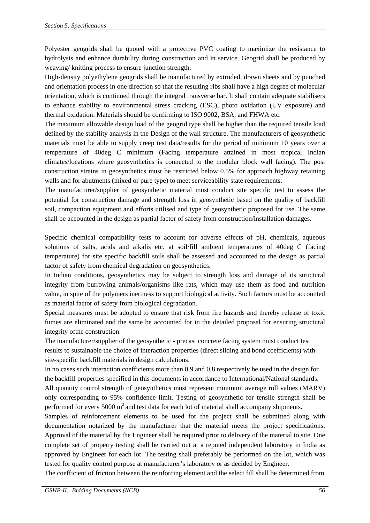Polyester geogrids shall be quoted with a protective PVC coating to maximize the resistance to hydrolysis and enhance durability during construction and in service. Geogrid shall be produced by weaving/ knitting process to ensure junction strength.

High-density polyethylene geogrids shall be manufactured by extruded, drawn sheets and by punched and orientation process in one direction so that the resulting ribs shall have a high degree of molecular orientation, which is continued through the integral transverse bar. It shall contain adequate stabilisers to enhance stability to environmental stress cracking (ESC), photo oxidation (UV exposure) and thermal oxidation. Materials should be confirming to ISO 9002, BSA, and FHWA etc.

The maximum allowable design load of the geogrid type shall be higher than the required tensile load defined by the stability analysis in the Design of the wall structure. The manufacturers of geosynthetic materials must be able to supply creep test data/results for the period of minimum 10 years over a temperature of 40deg C minimum (Facing temperature attained in most tropical Indian climates/locations where geosynthetics is connected to the modular block wall facing). The post construction strains in geosynthetics must be restricted below 0.5% for approach highway retaining walls and for abutments (mixed or pure type) to meet serviceability state requirements.

The manufacturer/supplier of geosynthetic material must conduct site specific test to assess the potential for construction damage and strength loss in geosynthetic based on the quality of backfill soil, compaction equipment and efforts utilised and type of geosynthetic proposed for use. The same shall be accounted in the design as partial factor of safety from construction/installation damages.

Specific chemical compatibility tests to account for adverse effects of pH, chemicals, aqueous solutions of salts, acids and alkalis etc. at soil/fill ambient temperatures of 40deg C (facing temperature) for site specific backfill soils shall be assessed and accounted to the design as partial factor of safety from chemical degradation on geosynthetics.

In Indian conditions, geosynthetics may be subject to strength loss and damage of its structural integrity from burrowing animals/organisms like rats, which may use them as food and nutrition value, in spite of the polymers inertness to support biological activity. Such factors must be accounted as material factor of safety from biological degradation.

Special measures must be adopted to ensure that risk from fire hazards and thereby release of toxic fumes are eliminated and the same be accounted for in the detailed proposal for ensuring structural integrity ofthe construction.

The manufacturer/supplier of the geosynthetic - precast concrete facing system must conduct test results to sustainable the choice of interaction properties (direct sliding and bond coefficients) with site-specific backfill materials in design calculations.

In no cases such interaction coefficients more than 0.9 and 0.8 respectively be used in the design for the backfill properties specified in this documents in accordance to International/National standards. All quantity control strength of geosynthetics must represent minimum average roll values (MARV) only corresponding to 95% confidence limit. Testing of geosynthetic for tensile strength shall be performed for every 5000  $m<sup>2</sup>$  and test data for each lot of material shall accompany shipments.

Samples of reinforcement elements to be used for the project shall be submitted along with documentation notarized by the manufacturer that the material meets the project specifications. Approval of the material by the Engineer shall be required prior to delivery of the material to site. One complete set of property testing shall be carried out at a reputed independent laboratory in India as approved by Engineer for each lot. The testing shall preferably be performed on the lot, which was tested for quality control purpose at manufacturer's laboratory or as decided by Engineer.

The coefficient of friction between the reinforcing element and the select fill shall be determined from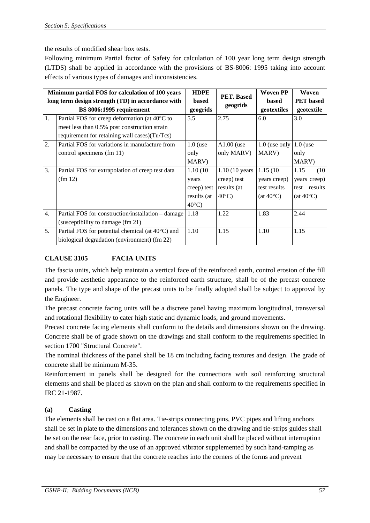the results of modified shear box tests.

Following minimum Partial factor of Safety for calculation of 100 year long term design strength (LTDS) shall be applied in accordance with the provisions of BS-8006: 1995 taking into account effects of various types of damages and inconsistencies.

| Minimum partial FOS for calculation of 100 years  |                                                            | <b>HDPE</b>     | PET. Based               | <b>Woven PP</b>    | Woven              |
|---------------------------------------------------|------------------------------------------------------------|-----------------|--------------------------|--------------------|--------------------|
| long term design strength (TD) in accordance with |                                                            | <b>based</b>    |                          | <b>based</b>       | <b>PET</b> based   |
|                                                   | BS 8006:1995 requirement                                   | geogrids        | geogrids                 | geotextiles        | geotextile         |
| 1.                                                | Partial FOS for creep deformation (at 40°C to              | 5.5             | 2.75                     | 6.0                | 3.0                |
|                                                   | meet less than 0.5% post construction strain               |                 |                          |                    |                    |
|                                                   | requirement for retaining wall cases)(Tu/Tcs)              |                 |                          |                    |                    |
| 2.                                                | Partial FOS for variations in manufacture from             | $1.0$ (use      | $A1.00$ (use             | $1.0$ (use only    | $1.0$ (use         |
|                                                   | control specimens (fm 11)                                  | only            | only MARV)               | MARV)              | only               |
|                                                   |                                                            | MARV)           |                          |                    | MARV)              |
| 3.                                                | Partial FOS for extrapolation of creep test data           | 1.10(10)        | $1.10(10 \text{ years})$ | 1.15(10)           | 1.15<br>(10)       |
|                                                   | (fm 12)                                                    | years           | creep) test              | years creep)       | years creep)       |
|                                                   |                                                            | creep) test     | results (at              | test results       | test results       |
|                                                   |                                                            | results (at     | $40^{\circ}$ C)          | $(at 40^{\circ}C)$ | $(at 40^{\circ}C)$ |
|                                                   |                                                            | $40^{\circ}$ C) |                          |                    |                    |
| 4.                                                | Partial FOS for construction/installation – damage         | 1.18            | 1.22                     | 1.83               | 2.44               |
|                                                   | (susceptibility to damage (fm 21)                          |                 |                          |                    |                    |
| 5.                                                | Partial FOS for potential chemical (at $40^{\circ}$ C) and | 1.10            | 1.15                     | 1.10               | 1.15               |
|                                                   | biological degradation (environment) (fm 22)               |                 |                          |                    |                    |

# **CLAUSE 3105 FACIA UNITS**

The fascia units, which help maintain a vertical face of the reinforced earth, control erosion of the fill and provide aesthetic appearance to the reinforced earth structure, shall be of the precast concrete panels. The type and shape of the precast units to be finally adopted shall be subject to approval by the Engineer.

The precast concrete facing units will be a discrete panel having maximum longitudinal, transversal and rotational flexibility to cater high static and dynamic loads, and ground movements.

Precast concrete facing elements shall conform to the details and dimensions shown on the drawing. Concrete shall be of grade shown on the drawings and shall conform to the requirements specified in section 1700 "Structural Concrete".

The nominal thickness of the panel shall be 18 cm including facing textures and design. The grade of concrete shall be minimum M-35.

Reinforcement in panels shall be designed for the connections with soil reinforcing structural elements and shall be placed as shown on the plan and shall conform to the requirements specified in IRC 21-1987.

# **(a) Casting**

The elements shall be cast on a flat area. Tie-strips connecting pins, PVC pipes and lifting anchors shall be set in plate to the dimensions and tolerances shown on the drawing and tie-strips guides shall be set on the rear face, prior to casting. The concrete in each unit shall be placed without interruption and shall be compacted by the use of an approved vibrator supplemented by such hand-tamping as may be necessary to ensure that the concrete reaches into the corners of the forms and prevent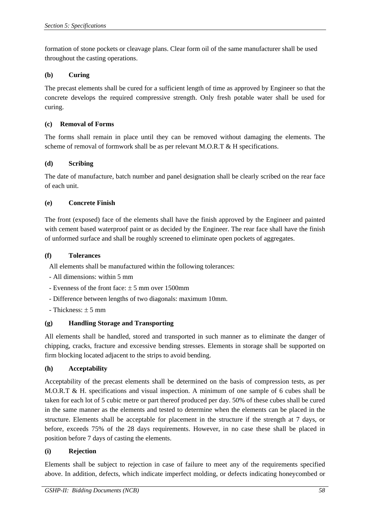formation of stone pockets or cleavage plans. Clear form oil of the same manufacturer shall be used throughout the casting operations.

## **(b) Curing**

The precast elements shall be cured for a sufficient length of time as approved by Engineer so that the concrete develops the required compressive strength. Only fresh potable water shall be used for curing.

## **(c) Removal of Forms**

The forms shall remain in place until they can be removed without damaging the elements. The scheme of removal of formwork shall be as per relevant M.O.R.T & H specifications.

## **(d) Scribing**

The date of manufacture, batch number and panel designation shall be clearly scribed on the rear face of each unit.

## **(e) Concrete Finish**

The front (exposed) face of the elements shall have the finish approved by the Engineer and painted with cement based waterproof paint or as decided by the Engineer. The rear face shall have the finish of unformed surface and shall be roughly screened to eliminate open pockets of aggregates.

## **(f) Tolerances**

All elements shall be manufactured within the following tolerances:

- All dimensions: within 5 mm
- Evenness of the front face:  $\pm$  5 mm over 1500mm
- Difference between lengths of two diagonals: maximum 10mm.
- $-$  Thickness:  $\pm$  5 mm

# **(g) Handling Storage and Transporting**

All elements shall be handled, stored and transported in such manner as to eliminate the danger of chipping, cracks, fracture and excessive bending stresses. Elements in storage shall be supported on firm blocking located adjacent to the strips to avoid bending.

## **(h) Acceptability**

Acceptability of the precast elements shall be determined on the basis of compression tests, as per M.O.R.T & H. specifications and visual inspection. A minimum of one sample of 6 cubes shall be taken for each lot of 5 cubic metre or part thereof produced per day. 50% of these cubes shall be cured in the same manner as the elements and tested to determine when the elements can be placed in the structure. Elements shall be acceptable for placement in the structure if the strength at 7 days, or before, exceeds 75% of the 28 days requirements. However, in no case these shall be placed in position before 7 days of casting the elements.

## **(i) Rejection**

Elements shall be subject to rejection in case of failure to meet any of the requirements specified above. In addition, defects, which indicate imperfect molding, or defects indicating honeycombed or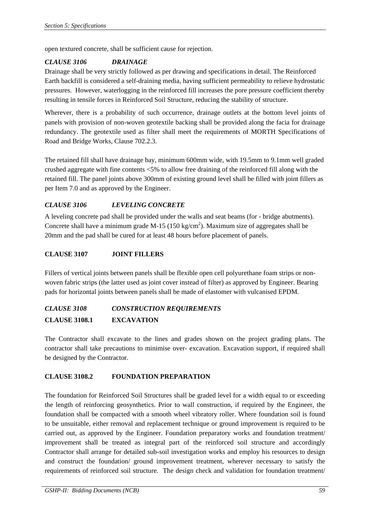open textured concrete, shall be sufficient cause for rejection.

# *CLAUSE 3106 DRAINAGE*

Drainage shall be very strictly followed as per drawing and specifications in detail. The Reinforced Earth backfill is considered a self-draining media, having sufficient permeability to relieve hydrostatic pressures. However, waterlogging in the reinforced fill increases the pore pressure coefficient thereby resulting in tensile forces in Reinforced Soil Structure, reducing the stability of structure.

Wherever, there is a probability of such occurrence, drainage outlets at the bottom level joints of panels with provision of non-woven geotextile backing shall be provided along the facia for drainage redundancy. The geotextile used as filter shall meet the requirements of MORTH Specifications of Road and Bridge Works, Clause 702.2.3.

The retained fill shall have drainage bay, minimum 600mm wide, with 19.5mm to 9.1mm well graded crushed aggregate with fine contents <5% to allow free draining of the reinforced fill along with the retained fill. The panel joints above 300mm of existing ground level shall be filled with joint fillers as per Item 7.0 and as approved by the Engineer.

# *CLAUSE 3106 LEVELING CONCRETE*

A leveling concrete pad shall be provided under the walls and seat beams (for - bridge abutments). Concrete shall have a minimum grade M-15 (150 kg/cm<sup>2</sup>). Maximum size of aggregates shall be 20mm and the pad shall be cured for at least 48 hours before placement of panels.

## **CLAUSE 3107 JOINT FILLERS**

Fillers of vertical joints between panels shall be flexible open cell polyurethane foam strips or nonwoven fabric strips (the latter used as joint cover instead of filter) as approved by Engineer. Bearing pads for horizontal joints between panels shall be made of elastomer with vulcanised EPDM.

# *CLAUSE 3108 CONSTRUCTION REQUIREMENTS*  **CLAUSE 3108.1 EXCAVATION**

The Contractor shall excavate to the lines and grades shown on the project grading plans. The contractor shall take precautions to minimise over- excavation. Excavation support, if required shall be designed by the Contractor.

# **CLAUSE 3108.2 FOUNDATION PREPARATION**

 The foundation for Reinforced Soil Structures shall be graded level for a width equal to or exceeding the length of reinforcing geosynthetics. Prior to wall construction, if required by the Engineer, the foundation shall be compacted with a smooth wheel vibratory roller. Where foundation soil is found to be unsuitable, either removal and replacement technique or ground improvement is required to be carried out, as approved by the Engineer. Foundation preparatory works and foundation treatment/ improvement shall be treated as integral part of the reinforced soil structure and accordingly Contractor shall arrange for detailed sub-soil investigation works and employ his resources to design and construct the foundation/ ground improvement treatment, wherever necessary to satisfy the requirements of reinforced soil structure. The design check and validation for foundation treatment/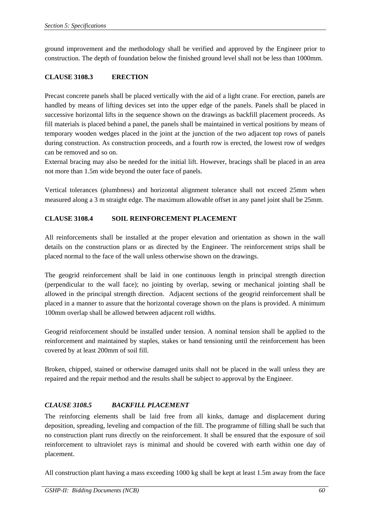ground improvement and the methodology shall be verified and approved by the Engineer prior to construction. The depth of foundation below the finished ground level shall not be less than 1000mm.

# **CLAUSE 3108.3 ERECTION**

Precast concrete panels shall be placed vertically with the aid of a light crane. For erection, panels are handled by means of lifting devices set into the upper edge of the panels. Panels shall be placed in successive horizontal lifts in the sequence shown on the drawings as backfill placement proceeds. As fill materials is placed behind a panel, the panels shall be maintained in vertical positions by means of temporary wooden wedges placed in the joint at the junction of the two adjacent top rows of panels during construction. As construction proceeds, and a fourth row is erected, the lowest row of wedges can be removed and so on.

External bracing may also be needed for the initial lift. However, bracings shall be placed in an area not more than 1.5m wide beyond the outer face of panels.

Vertical tolerances (plumbness) and horizontal alignment tolerance shall not exceed 25mm when measured along a 3 m straight edge. The maximum allowable offset in any panel joint shall be 25mm.

# **CLAUSE 3108.4 SOIL REINFORCEMENT PLACEMENT**

All reinforcements shall be installed at the proper elevation and orientation as shown in the wall details on the construction plans or as directed by the Engineer. The reinforcement strips shall be placed normal to the face of the wall unless otherwise shown on the drawings.

The geogrid reinforcement shall be laid in one continuous length in principal strength direction (perpendicular to the wall face); no jointing by overlap, sewing or mechanical jointing shall be allowed in the principal strength direction. Adjacent sections of the geogrid reinforcement shall be placed in a manner to assure that the horizontal coverage shown on the plans is provided. A minimum 100mm overlap shall be allowed between adjacent roll widths.

Geogrid reinforcement should be installed under tension. A nominal tension shall be applied to the reinforcement and maintained by staples, stakes or hand tensioning until the reinforcement has been covered by at least 200mm of soil fill.

Broken, chipped, stained or otherwise damaged units shall not be placed in the wall unless they are repaired and the repair method and the results shall be subject to approval by the Engineer.

# *CLAUSE 3108.5 BACKFILL PLACEMENT*

The reinforcing elements shall be laid free from all kinks, damage and displacement during deposition, spreading, leveling and compaction of the fill. The programme of filling shall be such that no construction plant runs directly on the reinforcement. It shall be ensured that the exposure of soil reinforcement to ultraviolet rays is minimal and should be covered with earth within one day of placement.

All construction plant having a mass exceeding 1000 kg shall be kept at least 1.5m away from the face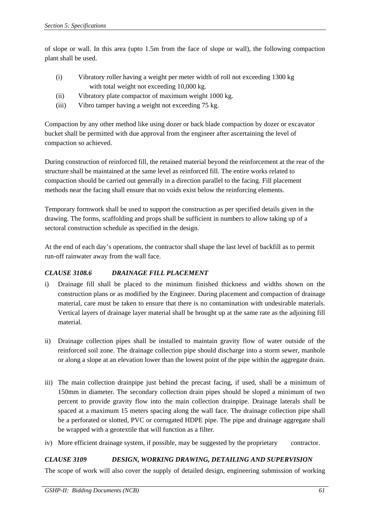of slope or wall. In this area (upto 1.5m from the face of slope or wall), the following compaction plant shall be used.

- (i) Vibratory roller having a weight per meter width of roll not exceeding 1300 kg with total weight not exceeding 10,000 kg.
- (ii) Vibratory plate compactor of maximum weight 1000 kg.
- (iii) Vibro tamper having a weight not exceeding 75 kg.

Compaction by any other method like using dozer or back blade compaction by dozer or excavator bucket shall be permitted with due approval from the engineer after ascertaining the level of compaction so achieved.

During construction of reinforced fill, the retained material beyond the reinforcement at the rear of the structure shall be maintained at the same level as reinforced fill. The entire works related to compaction should be carried out generally in a direction parallel to the facing. Fill placement methods near the facing shall ensure that no voids exist below the reinforcing elements.

Temporary formwork shall be used to support the construction as per specified details given in the drawing. The forms, scaffolding and props shall be sufficient in numbers to allow taking up of a sectoral construction schedule as specified in the design.

At the end of each day's operations, the contractor shall shape the last level of backfill as to permit run-off rainwater away from the wall face.

# *CLAUSE 3108.6 DRAINAGE FILL PLACEMENT*

- i) Drainage fill shall be placed to the minimum finished thickness and widths shown on the construction plans or as modified by the Engineer. During placement and compaction of drainage material, care must be taken to ensure that there is no contamination with undesirable materials. Vertical layers of drainage layer material shall be brought up at the same rate as the adjoining fill material.
- ii) Drainage collection pipes shall be installed to maintain gravity flow of water outside of the reinforced soil zone. The drainage collection pipe should discharge into a storm sewer, manhole or along a slope at an elevation lower than the lowest point of the pipe within the aggregate drain.
- iii) The main collection drainpipe just behind the precast facing, if used, shall be a minimum of 150mm in diameter. The secondary collection drain pipes should be sloped a minimum of two percent to provide gravity flow into the main collection drainpipe. Drainage laterals shall be spaced at a maximum 15 meters spacing along the wall face. The drainage collection pipe shall be a perforated or slotted, PVC or corrugated HDPE pipe. The pipe and drainage aggregate shall be wrapped with a geotextile that will function as a filter.
- iv) More efficient drainage system, if possible, may be suggested by the proprietary contractor.

# *CLAUSE 3109 DESIGN, WORKING DRAWING, DETAILING AND SUPERVISION*

The scope of work will also cover the supply of detailed design, engineering submission of working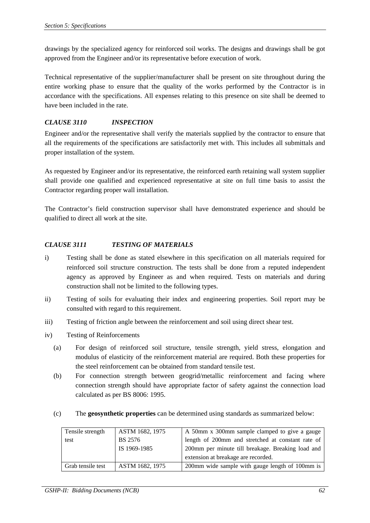drawings by the specialized agency for reinforced soil works. The designs and drawings shall be got approved from the Engineer and/or its representative before execution of work.

Technical representative of the supplier/manufacturer shall be present on site throughout during the entire working phase to ensure that the quality of the works performed by the Contractor is in accordance with the specifications. All expenses relating to this presence on site shall be deemed to have been included in the rate.

# *CLAUSE 3110 INSPECTION*

Engineer and/or the representative shall verify the materials supplied by the contractor to ensure that all the requirements of the specifications are satisfactorily met with. This includes all submittals and proper installation of the system.

As requested by Engineer and/or its representative, the reinforced earth retaining wall system supplier shall provide one qualified and experienced representative at site on full time basis to assist the Contractor regarding proper wall installation.

The Contractor's field construction supervisor shall have demonstrated experience and should be qualified to direct all work at the site.

## *CLAUSE 3111 TESTING OF MATERIALS*

- i) Testing shall be done as stated elsewhere in this specification on all materials required for reinforced soil structure construction. The tests shall be done from a reputed independent agency as approved by Engineer as and when required. Tests on materials and during construction shall not be limited to the following types.
- ii) Testing of soils for evaluating their index and engineering properties. Soil report may be consulted with regard to this requirement.
- iii) Testing of friction angle between the reinforcement and soil using direct shear test.
- iv) Testing of Reinforcements
	- (a) For design of reinforced soil structure, tensile strength, yield stress, elongation and modulus of elasticity of the reinforcement material are required. Both these properties for the steel reinforcement can be obtained from standard tensile test.
	- (b) For connection strength between geogrid/metallic reinforcement and facing where connection strength should have appropriate factor of safety against the connection load calculated as per BS 8006: 1995.
	- (c) The **geosynthetic properties** can be determined using standards as summarized below:

| Tensile strength  | ASTM 1682, 1975 | A 50mm x 300mm sample clamped to give a gauge     |
|-------------------|-----------------|---------------------------------------------------|
| test              | <b>BS</b> 2576  | length of 200mm and stretched at constant rate of |
|                   | IS 1969-1985    | 200mm per minute till breakage. Breaking load and |
|                   |                 | extension at breakage are recorded.               |
| Grab tensile test | ASTM 1682, 1975 | 200mm wide sample with gauge length of 100mm is   |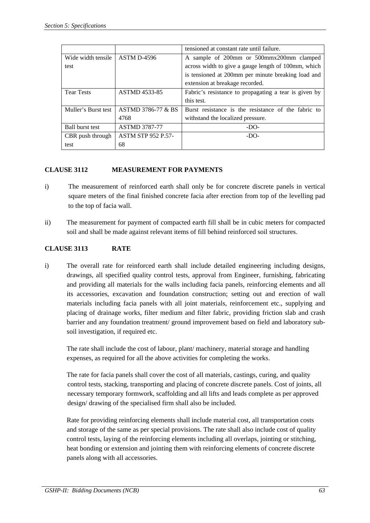|                        |                               | tensioned at constant rate until failure.             |
|------------------------|-------------------------------|-------------------------------------------------------|
| Wide width tensile     | ASTM D-4596                   | A sample of 200mm or 500mmx200mm clamped              |
| test                   |                               | across width to give a gauge length of 100mm, which   |
|                        |                               | is tensioned at 200mm per minute breaking load and    |
|                        |                               | extension at breakage recorded.                       |
| <b>Tear Tests</b>      | <b>ASTMD 4533-85</b>          | Fabric's resistance to propagating a tear is given by |
|                        |                               | this test.                                            |
| Muller's Burst test    | <b>ASTMD 3786-77 &amp; BS</b> | Burst resistance is the resistance of the fabric to   |
|                        | 4768                          | withstand the localized pressure.                     |
| <b>Ball burst test</b> | <b>ASTMD 3787-77</b>          | $-DO-$                                                |
| CBR push through       | <b>ASTM STP 952 P.57-</b>     | $-DO-$                                                |
| test                   | 68                            |                                                       |

## **CLAUSE 3112 MEASUREMENT FOR PAYMENTS**

- i) The measurement of reinforced earth shall only be for concrete discrete panels in vertical square meters of the final finished concrete facia after erection from top of the levelling pad to the top of facia wall.
- ii) The measurement for payment of compacted earth fill shall be in cubic meters for compacted soil and shall be made against relevant items of fill behind reinforced soil structures.

## **CLAUSE 3113 RATE**

i) The overall rate for reinforced earth shall include detailed engineering including designs, drawings, all specified quality control tests, approval from Engineer, furnishing, fabricating and providing all materials for the walls including facia panels, reinforcing elements and all its accessories, excavation and foundation construction; setting out and erection of wall materials including facia panels with all joint materials, reinforcement etc., supplying and placing of drainage works, filter medium and filter fabric, providing friction slab and crash barrier and any foundation treatment/ ground improvement based on field and laboratory subsoil investigation, if required etc.

The rate shall include the cost of labour, plant/ machinery, material storage and handling expenses, as required for all the above activities for completing the works.

The rate for facia panels shall cover the cost of all materials, castings, curing, and quality control tests, stacking, transporting and placing of concrete discrete panels. Cost of joints, all necessary temporary formwork, scaffolding and all lifts and leads complete as per approved design/ drawing of the specialised firm shall also be included.

Rate for providing reinforcing elements shall include material cost, all transportation costs and storage of the same as per special provisions. The rate shall also include cost of quality control tests, laying of the reinforcing elements including all overlaps, jointing or stitching, heat bonding or extension and jointing them with reinforcing elements of concrete discrete panels along with all accessories.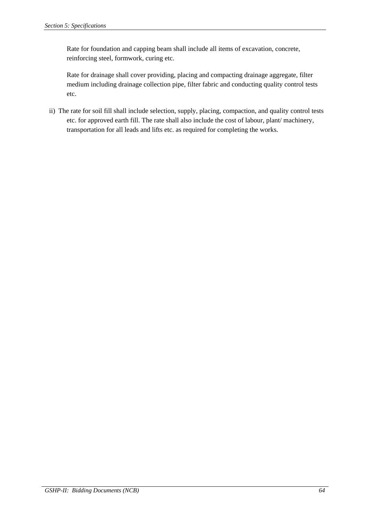Rate for foundation and capping beam shall include all items of excavation, concrete, reinforcing steel, formwork, curing etc.

Rate for drainage shall cover providing, placing and compacting drainage aggregate, filter medium including drainage collection pipe, filter fabric and conducting quality control tests etc.

ii) The rate for soil fill shall include selection, supply, placing, compaction, and quality control tests etc. for approved earth fill. The rate shall also include the cost of labour, plant/ machinery, transportation for all leads and lifts etc. as required for completing the works.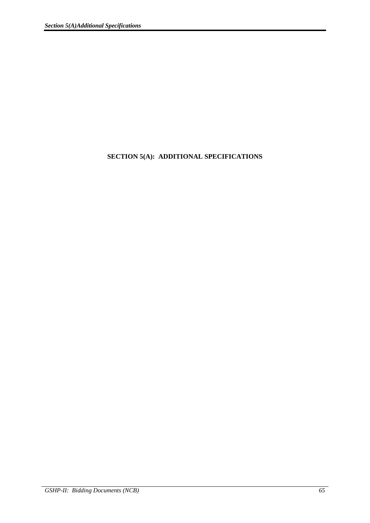# **SECTION 5(A): ADDITIONAL SPECIFICATIONS**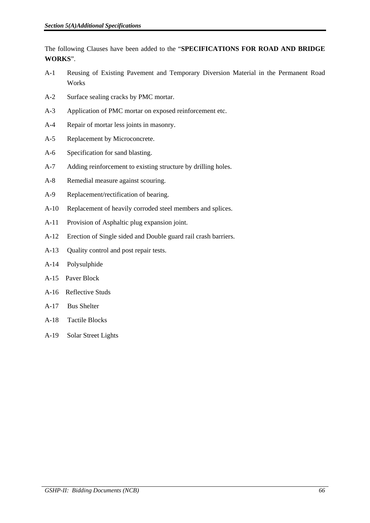The following Clauses have been added to the "**SPECIFICATIONS FOR ROAD AND BRIDGE WORKS**".

- A-1 Reusing of Existing Pavement and Temporary Diversion Material in the Permanent Road Works
- A-2 Surface sealing cracks by PMC mortar.
- A-3 Application of PMC mortar on exposed reinforcement etc.
- A-4 Repair of mortar less joints in masonry.
- A-5 Replacement by Microconcrete.
- A-6 Specification for sand blasting.
- A-7 Adding reinforcement to existing structure by drilling holes.
- A-8 Remedial measure against scouring.
- A-9 Replacement/rectification of bearing.
- A-10 Replacement of heavily corroded steel members and splices.
- A-11 Provision of Asphaltic plug expansion joint.
- A-12 Erection of Single sided and Double guard rail crash barriers.
- A-13 Quality control and post repair tests.
- A-14 Polysulphide
- A-15 Paver Block
- A-16 Reflective Studs
- A-17 Bus Shelter
- A-18 Tactile Blocks
- A-19 Solar Street Lights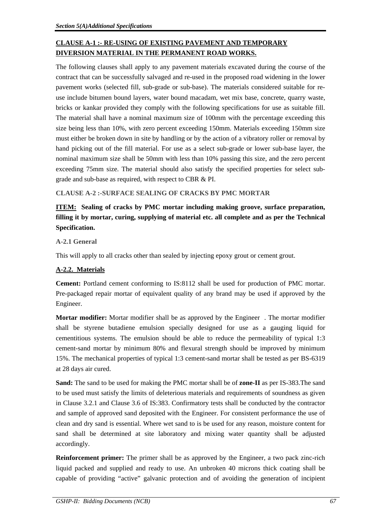# **CLAUSE A-1 :- RE-USING OF EXISTING PAVEMENT AND TEMPORARY DIVERSION MATERIAL IN THE PERMANENT ROAD WORKS.**

The following clauses shall apply to any pavement materials excavated during the course of the contract that can be successfully salvaged and re-used in the proposed road widening in the lower pavement works (selected fill, sub-grade or sub-base). The materials considered suitable for reuse include bitumen bound layers, water bound macadam, wet mix base, concrete, quarry waste, bricks or kankar provided they comply with the following specifications for use as suitable fill. The material shall have a nominal maximum size of 100mm with the percentage exceeding this size being less than 10%, with zero percent exceeding 150mm. Materials exceeding 150mm size must either be broken down in site by handling or by the action of a vibratory roller or removal by hand picking out of the fill material. For use as a select sub-grade or lower sub-base layer, the nominal maximum size shall be 50mm with less than 10% passing this size, and the zero percent exceeding 75mm size. The material should also satisfy the specified properties for select subgrade and sub-base as required, with respect to CBR & PI.

# **CLAUSE A-2 :-SURFACE SEALING OF CRACKS BY PMC MORTAR**

# **ITEM: Sealing of cracks by PMC mortar including making groove, surface preparation, filling it by mortar, curing, supplying of material etc. all complete and as per the Technical Specification.**

# **A-2.1 General**

This will apply to all cracks other than sealed by injecting epoxy grout or cement grout.

# **A-2.2. Materials**

**Cement:** Portland cement conforming to IS:8112 shall be used for production of PMC mortar. Pre-packaged repair mortar of equivalent quality of any brand may be used if approved by the Engineer.

**Mortar modifier:** Mortar modifier shall be as approved by the Engineer . The mortar modifier shall be styrene butadiene emulsion specially designed for use as a gauging liquid for cementitious systems. The emulsion should be able to reduce the permeability of typical 1:3 cement-sand mortar by minimum 80% and flexural strength should be improved by minimum 15%. The mechanical properties of typical 1:3 cement-sand mortar shall be tested as per BS-6319 at 28 days air cured.

**Sand:** The sand to be used for making the PMC mortar shall be of **zone-II** as per IS-383.The sand to be used must satisfy the limits of deleterious materials and requirements of soundness as given in Clause 3.2.1 and Clause 3.6 of IS:383. Confirmatory tests shall be conducted by the contractor and sample of approved sand deposited with the Engineer. For consistent performance the use of clean and dry sand is essential. Where wet sand to is be used for any reason, moisture content for sand shall be determined at site laboratory and mixing water quantity shall be adjusted accordingly.

**Reinforcement primer:** The primer shall be as approved by the Engineer, a two pack zinc-rich liquid packed and supplied and ready to use. An unbroken 40 microns thick coating shall be capable of providing "active" galvanic protection and of avoiding the generation of incipient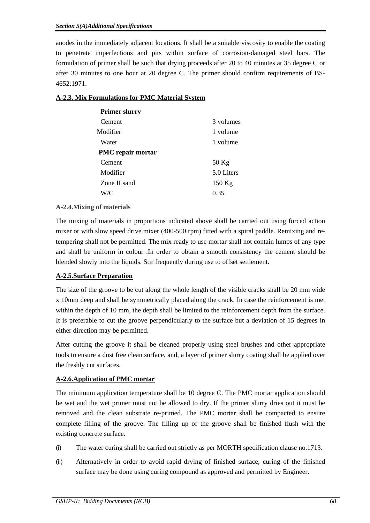anodes in the immediately adjacent locations. It shall be a suitable viscosity to enable the coating to penetrate imperfections and pits within surface of corrosion-damaged steel bars. The formulation of primer shall be such that drying proceeds after 20 to 40 minutes at 35 degree C or after 30 minutes to one hour at 20 degree C. The primer should confirm requirements of BS-4652:1971.

| <b>Primer slurry</b>     |            |
|--------------------------|------------|
| Cement                   | 3 volumes  |
| Modifier                 | 1 volume   |
| Water                    | 1 volume   |
| <b>PMC</b> repair mortar |            |
| Cement                   | $50$ Kg    |
| Modifier                 | 5.0 Liters |
| Zone II sand             | $150$ Kg   |
| W/C                      | 0.35       |
|                          |            |

## **A-2.3. Mix Formulations for PMC Material System**

## **A-2.4.Mixing of materials**

The mixing of materials in proportions indicated above shall be carried out using forced action mixer or with slow speed drive mixer (400-500 rpm) fitted with a spiral paddle. Remixing and retempering shall not be permitted. The mix ready to use mortar shall not contain lumps of any type and shall be uniform in colour .In order to obtain a smooth consistency the cement should be blended slowly into the liquids. Stir frequently during use to offset settlement.

## **A-2.5.Surface Preparation**

The size of the groove to be cut along the whole length of the visible cracks shall be 20 mm wide x 10mm deep and shall be symmetrically placed along the crack. In case the reinforcement is met within the depth of 10 mm, the depth shall be limited to the reinforcement depth from the surface. It is preferable to cut the groove perpendicularly to the surface but a deviation of 15 degrees in either direction may be permitted.

After cutting the groove it shall be cleaned properly using steel brushes and other appropriate tools to ensure a dust free clean surface, and, a layer of primer slurry coating shall be applied over the freshly cut surfaces.

## **A-2.6.Application of PMC mortar**

The minimum application temperature shall be 10 degree C. The PMC mortar application should be wet and the wet primer must not be allowed to dry. If the primer slurry dries out it must be removed and the clean substrate re-primed. The PMC mortar shall be compacted to ensure complete filling of the groove. The filling up of the groove shall be finished flush with the existing concrete surface.

- (i) The water curing shall be carried out strictly as per MORTH specification clause no.1713.
- (ii) Alternatively in order to avoid rapid drying of finished surface, curing of the finished surface may be done using curing compound as approved and permitted by Engineer.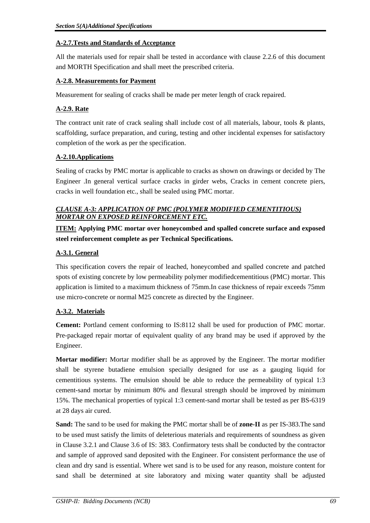## **A-2.7.Tests and Standards of Acceptance**

All the materials used for repair shall be tested in accordance with clause 2.2.6 of this document and MORTH Specification and shall meet the prescribed criteria.

## **A-2.8. Measurements for Payment**

Measurement for sealing of cracks shall be made per meter length of crack repaired.

# **A-2.9. Rate**

The contract unit rate of crack sealing shall include cost of all materials, labour, tools & plants, scaffolding, surface preparation, and curing, testing and other incidental expenses for satisfactory completion of the work as per the specification.

# **A-2.10.Applications**

Sealing of cracks by PMC mortar is applicable to cracks as shown on drawings or decided by The Engineer .In general vertical surface cracks in girder webs, Cracks in cement concrete piers, cracks in well foundation etc., shall be sealed using PMC mortar.

# *CLAUSE A-3: APPLICATION OF PMC (POLYMER MODIFIED CEMENTITIOUS) MORTAR ON EXPOSED REINFORCEMENT ETC.*

# **ITEM: Applying PMC mortar over honeycombed and spalled concrete surface and exposed steel reinforcement complete as per Technical Specifications.**

# **A-3.1. General**

This specification covers the repair of leached, honeycombed and spalled concrete and patched spots of existing concrete by low permeability polymer modifiedcementitious (PMC) mortar. This application is limited to a maximum thickness of 75mm.In case thickness of repair exceeds 75mm use micro-concrete or normal M25 concrete as directed by the Engineer.

# **A-3.2. Materials**

**Cement:** Portland cement conforming to IS:8112 shall be used for production of PMC mortar. Pre-packaged repair mortar of equivalent quality of any brand may be used if approved by the Engineer.

**Mortar modifier:** Mortar modifier shall be as approved by the Engineer. The mortar modifier shall be styrene butadiene emulsion specially designed for use as a gauging liquid for cementitious systems. The emulsion should be able to reduce the permeability of typical 1:3 cement-sand mortar by minimum 80% and flexural strength should be improved by minimum 15%. The mechanical properties of typical 1:3 cement-sand mortar shall be tested as per BS-6319 at 28 days air cured.

**Sand:** The sand to be used for making the PMC mortar shall be of **zone-II** as per IS-383.The sand to be used must satisfy the limits of deleterious materials and requirements of soundness as given in Clause 3.2.1 and Clause 3.6 of IS: 383. Confirmatory tests shall be conducted by the contractor and sample of approved sand deposited with the Engineer. For consistent performance the use of clean and dry sand is essential. Where wet sand is to be used for any reason, moisture content for sand shall be determined at site laboratory and mixing water quantity shall be adjusted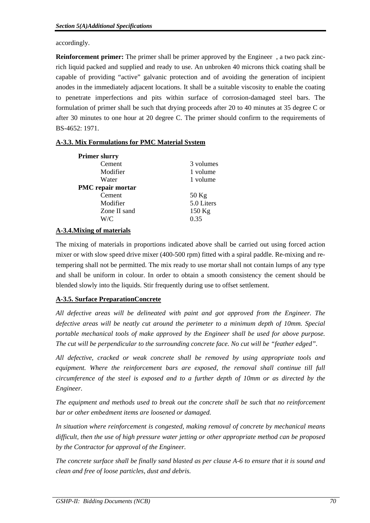accordingly.

**Reinforcement primer:** The primer shall be primer approved by the Engineer, a two pack zincrich liquid packed and supplied and ready to use. An unbroken 40 microns thick coating shall be capable of providing "active" galvanic protection and of avoiding the generation of incipient anodes in the immediately adjacent locations. It shall be a suitable viscosity to enable the coating to penetrate imperfections and pits within surface of corrosion-damaged steel bars. The formulation of primer shall be such that drying proceeds after 20 to 40 minutes at 35 degree C or after 30 minutes to one hour at 20 degree C. The primer should confirm to the requirements of BS-4652: 1971.

# **A-3.3. Mix Formulations for PMC Material System**

| <b>Primer slurry</b>     |            |
|--------------------------|------------|
| Cement                   | 3 volumes  |
| Modifier                 | 1 volume   |
| Water                    | 1 volume   |
| <b>PMC</b> repair mortar |            |
| Cement                   | $50$ Kg    |
| Modifier                 | 5.0 Liters |
| Zone II sand             | $150$ Kg   |
| W/C                      | 0.35       |

# **A-3.4.Mixing of materials**

The mixing of materials in proportions indicated above shall be carried out using forced action mixer or with slow speed drive mixer (400-500 rpm) fitted with a spiral paddle. Re-mixing and retempering shall not be permitted. The mix ready to use mortar shall not contain lumps of any type and shall be uniform in colour. In order to obtain a smooth consistency the cement should be blended slowly into the liquids. Stir frequently during use to offset settlement.

# **A-3.5. Surface PreparationConcrete**

*All defective areas will be delineated with paint and got approved from the Engineer. The defective areas will be neatly cut around the perimeter to a minimum depth of 10mm. Special portable mechanical tools of make approved by the Engineer shall be used for above purpose. The cut will be perpendicular to the surrounding concrete face. No cut will be "feather edged".* 

*All defective, cracked or weak concrete shall be removed by using appropriate tools and equipment. Where the reinforcement bars are exposed, the removal shall continue till full circumference of the steel is exposed and to a further depth of 10mm or as directed by the Engineer.* 

*The equipment and methods used to break out the concrete shall be such that no reinforcement bar or other embedment items are loosened or damaged.* 

*In situation where reinforcement is congested, making removal of concrete by mechanical means difficult, then the use of high pressure water jetting or other appropriate method can be proposed by the Contractor for approval of the Engineer.* 

*The concrete surface shall be finally sand blasted as per clause A-6 to ensure that it is sound and clean and free of loose particles, dust and debris.*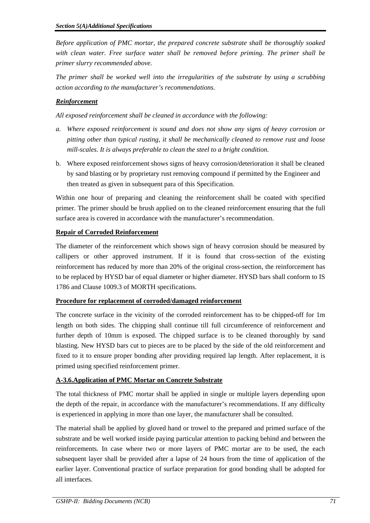*Before application of PMC mortar, the prepared concrete substrate shall be thoroughly soaked with clean water. Free surface water shall be removed before priming. The primer shall be primer slurry recommended above.* 

*The primer shall be worked well into the irregularities of the substrate by using a scrubbing action according to the manufacturer's recommendations.* 

# *Reinforcement*

*All exposed reinforcement shall be cleaned in accordance with the following:* 

- *a. Where exposed reinforcement is sound and does not show any signs of heavy corrosion or pitting other than typical rusting, it shall be mechanically cleaned to remove rust and loose mill-scales. It is always preferable to clean the steel to a bright condition.*
- b. Where exposed reinforcement shows signs of heavy corrosion/deterioration it shall be cleaned by sand blasting or by proprietary rust removing compound if permitted by the Engineer and then treated as given in subsequent para of this Specification.

Within one hour of preparing and cleaning the reinforcement shall be coated with specified primer. The primer should be brush applied on to the cleaned reinforcement ensuring that the full surface area is covered in accordance with the manufacturer's recommendation.

# **Repair of Corroded Reinforcement**

The diameter of the reinforcement which shows sign of heavy corrosion should be measured by callipers or other approved instrument. If it is found that cross-section of the existing reinforcement has reduced by more than 20% of the original cross-section, the reinforcement has to be replaced by HYSD bar of equal diameter or higher diameter. HYSD bars shall conform to IS 1786 and Clause 1009.3 of MORTH specifications.

## **Procedure for replacement of corroded/damaged reinforcement**

The concrete surface in the vicinity of the corroded reinforcement has to be chipped-off for 1m length on both sides. The chipping shall continue till full circumference of reinforcement and further depth of 10mm is exposed. The chipped surface is to be cleaned thoroughly by sand blasting. New HYSD bars cut to pieces are to be placed by the side of the old reinforcement and fixed to it to ensure proper bonding after providing required lap length. After replacement, it is primed using specified reinforcement primer.

# **A-3.6.Application of PMC Mortar on Concrete Substrate**

The total thickness of PMC mortar shall be applied in single or multiple layers depending upon the depth of the repair, in accordance with the manufacturer's recommendations. If any difficulty is experienced in applying in more than one layer, the manufacturer shall be consulted.

The material shall be applied by gloved hand or trowel to the prepared and primed surface of the substrate and be well worked inside paying particular attention to packing behind and between the reinforcements. In case where two or more layers of PMC mortar are to be used, the each subsequent layer shall be provided after a lapse of 24 hours from the time of application of the earlier layer. Conventional practice of surface preparation for good bonding shall be adopted for all interfaces.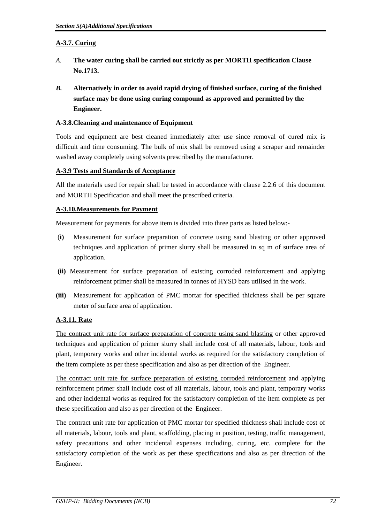# **A-3.7. Curing**

- *A.* **The water curing shall be carried out strictly as per MORTH specification Clause No.1713.**
- *B.* **Alternatively in order to avoid rapid drying of finished surface, curing of the finished surface may be done using curing compound as approved and permitted by the Engineer.**

## **A-3.8.Cleaning and maintenance of Equipment**

Tools and equipment are best cleaned immediately after use since removal of cured mix is difficult and time consuming. The bulk of mix shall be removed using a scraper and remainder washed away completely using solvents prescribed by the manufacturer.

## **A-3.9 Tests and Standards of Acceptance**

All the materials used for repair shall be tested in accordance with clause 2.2.6 of this document and MORTH Specification and shall meet the prescribed criteria.

## **A-3.10.Measurements for Payment**

Measurement for payments for above item is divided into three parts as listed below:-

- (**i)** Measurement for surface preparation of concrete using sand blasting or other approved techniques and application of primer slurry shall be measured in sq m of surface area of application.
- **(ii)** Measurement for surface preparation of existing corroded reinforcement and applying reinforcement primer shall be measured in tonnes of HYSD bars utilised in the work.
- **(iii)** Measurement for application of PMC mortar for specified thickness shall be per square meter of surface area of application.

# **A-3.11. Rate**

The contract unit rate for surface preparation of concrete using sand blasting or other approved techniques and application of primer slurry shall include cost of all materials, labour, tools and plant, temporary works and other incidental works as required for the satisfactory completion of the item complete as per these specification and also as per direction of the Engineer.

The contract unit rate for surface preparation of existing corroded reinforcement and applying reinforcement primer shall include cost of all materials, labour, tools and plant, temporary works and other incidental works as required for the satisfactory completion of the item complete as per these specification and also as per direction of the Engineer.

The contract unit rate for application of PMC mortar for specified thickness shall include cost of all materials, labour, tools and plant, scaffolding, placing in position, testing, traffic management, safety precautions and other incidental expenses including, curing, etc. complete for the satisfactory completion of the work as per these specifications and also as per direction of the Engineer.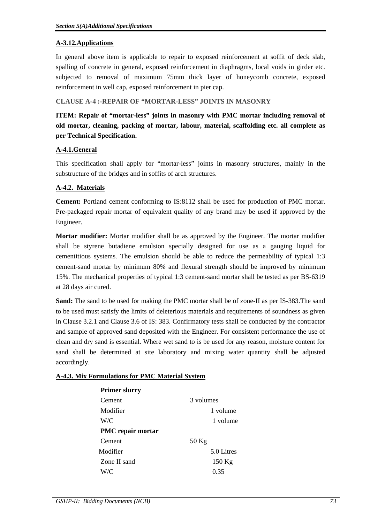## **A-3.12.Applications**

In general above item is applicable to repair to exposed reinforcement at soffit of deck slab, spalling of concrete in general, exposed reinforcement in diaphragms, local voids in girder etc. subjected to removal of maximum 75mm thick layer of honeycomb concrete, exposed reinforcement in well cap, exposed reinforcement in pier cap.

## **CLAUSE A-4 :-REPAIR OF "MORTAR-LESS" JOINTS IN MASONRY**

**ITEM: Repair of "mortar-less" joints in masonry with PMC mortar including removal of old mortar, cleaning, packing of mortar, labour, material, scaffolding etc. all complete as per Technical Specification.**

# **A-4.1.General**

This specification shall apply for "mortar-less" joints in masonry structures, mainly in the substructure of the bridges and in soffits of arch structures.

## **A-4.2. Materials**

**Cement:** Portland cement conforming to IS:8112 shall be used for production of PMC mortar. Pre-packaged repair mortar of equivalent quality of any brand may be used if approved by the Engineer.

**Mortar modifier:** Mortar modifier shall be as approved by the Engineer. The mortar modifier shall be styrene butadiene emulsion specially designed for use as a gauging liquid for cementitious systems. The emulsion should be able to reduce the permeability of typical 1:3 cement-sand mortar by minimum 80% and flexural strength should be improved by minimum 15%. The mechanical properties of typical 1:3 cement-sand mortar shall be tested as per BS-6319 at 28 days air cured.

**Sand:** The sand to be used for making the PMC mortar shall be of zone-II as per IS-383.The sand to be used must satisfy the limits of deleterious materials and requirements of soundness as given in Clause 3.2.1 and Clause 3.6 of IS: 383. Confirmatory tests shall be conducted by the contractor and sample of approved sand deposited with the Engineer. For consistent performance the use of clean and dry sand is essential. Where wet sand to is be used for any reason, moisture content for sand shall be determined at site laboratory and mixing water quantity shall be adjusted accordingly.

## **A-4.3. Mix Formulations for PMC Material System**

| <b>Primer slurry</b> |            |
|----------------------|------------|
| Cement               | 3 volumes  |
| Modifier             | 1 volume   |
| W/C                  | 1 volume   |
| PMC repair mortar    |            |
| Cement               | $50$ Kg    |
| Modifier             | 5.0 Litres |
| Zone II sand         | 150 Kg     |
| W/C                  | 0.35       |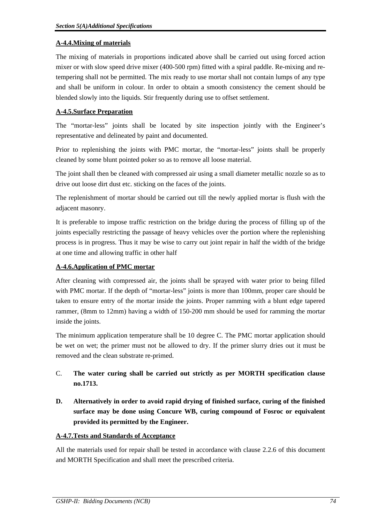## **A-4.4.Mixing of materials**

The mixing of materials in proportions indicated above shall be carried out using forced action mixer or with slow speed drive mixer (400-500 rpm) fitted with a spiral paddle. Re-mixing and retempering shall not be permitted. The mix ready to use mortar shall not contain lumps of any type and shall be uniform in colour. In order to obtain a smooth consistency the cement should be blended slowly into the liquids. Stir frequently during use to offset settlement.

# **A-4.5.Surface Preparation**

The "mortar-less" joints shall be located by site inspection jointly with the Engineer's representative and delineated by paint and documented.

Prior to replenishing the joints with PMC mortar, the "mortar-less" joints shall be properly cleaned by some blunt pointed poker so as to remove all loose material.

The joint shall then be cleaned with compressed air using a small diameter metallic nozzle so as to drive out loose dirt dust etc. sticking on the faces of the joints.

The replenishment of mortar should be carried out till the newly applied mortar is flush with the adjacent masonry.

It is preferable to impose traffic restriction on the bridge during the process of filling up of the joints especially restricting the passage of heavy vehicles over the portion where the replenishing process is in progress. Thus it may be wise to carry out joint repair in half the width of the bridge at one time and allowing traffic in other half

# **A-4.6.Application of PMC mortar**

After cleaning with compressed air, the joints shall be sprayed with water prior to being filled with PMC mortar. If the depth of "mortar-less" joints is more than 100mm, proper care should be taken to ensure entry of the mortar inside the joints. Proper ramming with a blunt edge tapered rammer, (8mm to 12mm) having a width of 150-200 mm should be used for ramming the mortar inside the joints.

The minimum application temperature shall be 10 degree C. The PMC mortar application should be wet on wet; the primer must not be allowed to dry. If the primer slurry dries out it must be removed and the clean substrate re-primed.

# C. **The water curing shall be carried out strictly as per MORTH specification clause no.1713.**

**D. Alternatively in order to avoid rapid drying of finished surface, curing of the finished surface may be done using Concure WB, curing compound of Fosroc or equivalent provided its permitted by the Engineer.** 

# **A-4.7.Tests and Standards of Acceptance**

All the materials used for repair shall be tested in accordance with clause 2.2.6 of this document and MORTH Specification and shall meet the prescribed criteria.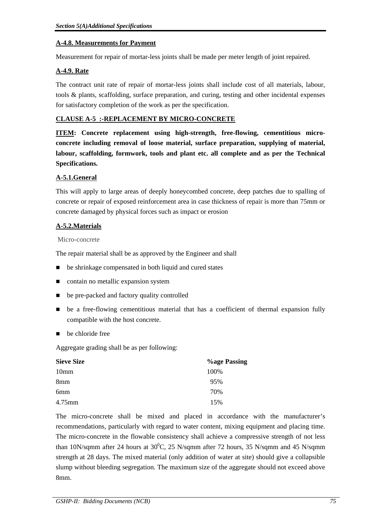## **A-4.8. Measurements for Payment**

Measurement for repair of mortar-less joints shall be made per meter length of joint repaired.

## **A-4.9. Rate**

The contract unit rate of repair of mortar-less joints shall include cost of all materials, labour, tools & plants, scaffolding, surface preparation, and curing, testing and other incidental expenses for satisfactory completion of the work as per the specification.

## **CLAUSE A-5 :-REPLACEMENT BY MICRO-CONCRETE**

**ITEM: Concrete replacement using high-strength, free-flowing, cementitious microconcrete including removal of loose material, surface preparation, supplying of material, labour, scaffolding, formwork, tools and plant etc. all complete and as per the Technical Specifications.** 

# **A-5.1.General**

This will apply to large areas of deeply honeycombed concrete, deep patches due to spalling of concrete or repair of exposed reinforcement area in case thickness of repair is more than 75mm or concrete damaged by physical forces such as impact or erosion

# **A-5.2.Materials**

## Micro-concrete

The repair material shall be as approved by the Engineer and shall

- be shrinkage compensated in both liquid and cured states
- contain no metallic expansion system
- be pre-packed and factory quality controlled
- be a free-flowing cementitious material that has a coefficient of thermal expansion fully compatible with the host concrete.
- $\blacksquare$  be chloride free

Aggregate grading shall be as per following:

| <b>Sieve Size</b> | <b>Vage Passing</b> |
|-------------------|---------------------|
| 10 <sub>mm</sub>  | 100%                |
| 8mm               | 95%                 |
| 6 <sub>mm</sub>   | 70%                 |
| 4.75mm            | 15%                 |

The micro-concrete shall be mixed and placed in accordance with the manufacturer's recommendations, particularly with regard to water content, mixing equipment and placing time. The micro-concrete in the flowable consistency shall achieve a compressive strength of not less than 10N/sqmm after 24 hours at  $30^{\circ}$ C, 25 N/sqmm after 72 hours, 35 N/sqmm and 45 N/sqmm strength at 28 days. The mixed material (only addition of water at site) should give a collapsible slump without bleeding segregation. The maximum size of the aggregate should not exceed above 8mm.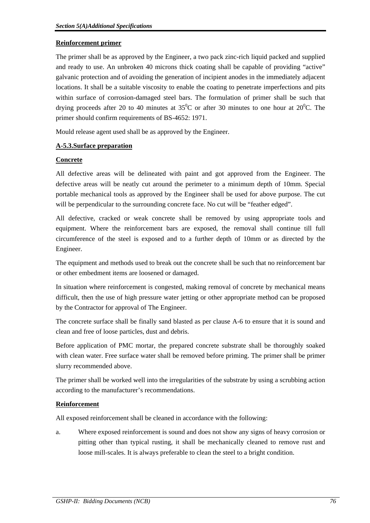## **Reinforcement primer**

The primer shall be as approved by the Engineer, a two pack zinc-rich liquid packed and supplied and ready to use. An unbroken 40 microns thick coating shall be capable of providing "active" galvanic protection and of avoiding the generation of incipient anodes in the immediately adjacent locations. It shall be a suitable viscosity to enable the coating to penetrate imperfections and pits within surface of corrosion-damaged steel bars. The formulation of primer shall be such that drying proceeds after 20 to 40 minutes at  $35^{\circ}$ C or after 30 minutes to one hour at  $20^{\circ}$ C. The primer should confirm requirements of BS-4652: 1971.

Mould release agent used shall be as approved by the Engineer.

## **A-5.3.Surface preparation**

## **Concrete**

All defective areas will be delineated with paint and got approved from the Engineer. The defective areas will be neatly cut around the perimeter to a minimum depth of 10mm. Special portable mechanical tools as approved by the Engineer shall be used for above purpose. The cut will be perpendicular to the surrounding concrete face. No cut will be "feather edged".

All defective, cracked or weak concrete shall be removed by using appropriate tools and equipment. Where the reinforcement bars are exposed, the removal shall continue till full circumference of the steel is exposed and to a further depth of 10mm or as directed by the Engineer.

The equipment and methods used to break out the concrete shall be such that no reinforcement bar or other embedment items are loosened or damaged.

In situation where reinforcement is congested, making removal of concrete by mechanical means difficult, then the use of high pressure water jetting or other appropriate method can be proposed by the Contractor for approval of The Engineer.

The concrete surface shall be finally sand blasted as per clause A-6 to ensure that it is sound and clean and free of loose particles, dust and debris.

Before application of PMC mortar, the prepared concrete substrate shall be thoroughly soaked with clean water. Free surface water shall be removed before priming. The primer shall be primer slurry recommended above.

The primer shall be worked well into the irregularities of the substrate by using a scrubbing action according to the manufacturer's recommendations.

## **Reinforcement**

All exposed reinforcement shall be cleaned in accordance with the following:

a. Where exposed reinforcement is sound and does not show any signs of heavy corrosion or pitting other than typical rusting, it shall be mechanically cleaned to remove rust and loose mill-scales. It is always preferable to clean the steel to a bright condition.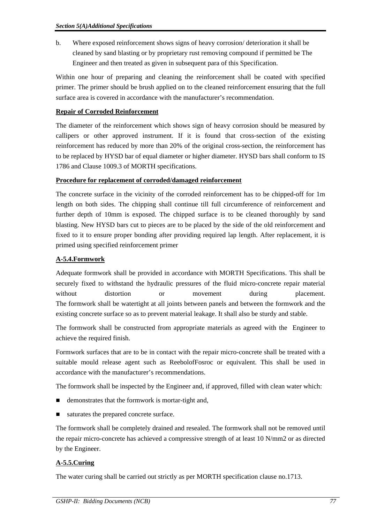b. Where exposed reinforcement shows signs of heavy corrosion/ deterioration it shall be cleaned by sand blasting or by proprietary rust removing compound if permitted be The Engineer and then treated as given in subsequent para of this Specification.

Within one hour of preparing and cleaning the reinforcement shall be coated with specified primer. The primer should be brush applied on to the cleaned reinforcement ensuring that the full surface area is covered in accordance with the manufacturer's recommendation.

# **Repair of Corroded Reinforcement**

The diameter of the reinforcement which shows sign of heavy corrosion should be measured by callipers or other approved instrument. If it is found that cross-section of the existing reinforcement has reduced by more than 20% of the original cross-section, the reinforcement has to be replaced by HYSD bar of equal diameter or higher diameter. HYSD bars shall conform to IS 1786 and Clause 1009.3 of MORTH specifications.

# **Procedure for replacement of corroded/damaged reinforcement**

The concrete surface in the vicinity of the corroded reinforcement has to be chipped-off for 1m length on both sides. The chipping shall continue till full circumference of reinforcement and further depth of 10mm is exposed. The chipped surface is to be cleaned thoroughly by sand blasting. New HYSD bars cut to pieces are to be placed by the side of the old reinforcement and fixed to it to ensure proper bonding after providing required lap length. After replacement, it is primed using specified reinforcement primer

# **A-5.4.Formwork**

Adequate formwork shall be provided in accordance with MORTH Specifications. This shall be securely fixed to withstand the hydraulic pressures of the fluid micro-concrete repair material without distortion or movement during placement. The formwork shall be watertight at all joints between panels and between the formwork and the existing concrete surface so as to prevent material leakage. It shall also be sturdy and stable.

The formwork shall be constructed from appropriate materials as agreed with the Engineer to achieve the required finish.

Formwork surfaces that are to be in contact with the repair micro-concrete shall be treated with a suitable mould release agent such as ReebolofFosroc or equivalent. This shall be used in accordance with the manufacturer's recommendations.

The formwork shall be inspected by the Engineer and, if approved, filled with clean water which:

- demonstrates that the formwork is mortar-tight and,
- saturates the prepared concrete surface.

The formwork shall be completely drained and resealed. The formwork shall not be removed until the repair micro-concrete has achieved a compressive strength of at least 10 N/mm2 or as directed by the Engineer.

# **A-5.5.Curing**

The water curing shall be carried out strictly as per MORTH specification clause no.1713.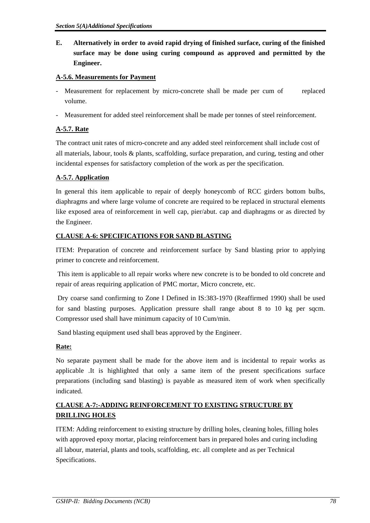**E. Alternatively in order to avoid rapid drying of finished surface, curing of the finished surface may be done using curing compound as approved and permitted by the Engineer.** 

# **A-5.6. Measurements for Payment**

- Measurement for replacement by micro-concrete shall be made per cum of replaced volume.
- Measurement for added steel reinforcement shall be made per tonnes of steel reinforcement.

# **A-5.7. Rate**

The contract unit rates of micro-concrete and any added steel reinforcement shall include cost of all materials, labour, tools & plants, scaffolding, surface preparation, and curing, testing and other incidental expenses for satisfactory completion of the work as per the specification.

# **A-5.7. Application**

In general this item applicable to repair of deeply honeycomb of RCC girders bottom bulbs, diaphragms and where large volume of concrete are required to be replaced in structural elements like exposed area of reinforcement in well cap, pier/abut. cap and diaphragms or as directed by the Engineer.

# **CLAUSE A-6: SPECIFICATIONS FOR SAND BLASTING**

ITEM: Preparation of concrete and reinforcement surface by Sand blasting prior to applying primer to concrete and reinforcement.

 This item is applicable to all repair works where new concrete is to be bonded to old concrete and repair of areas requiring application of PMC mortar, Micro concrete, etc.

 Dry coarse sand confirming to Zone I Defined in IS:383-1970 (Reaffirmed 1990) shall be used for sand blasting purposes. Application pressure shall range about 8 to 10 kg per sqcm. Compressor used shall have minimum capacity of 10 Cum/min.

Sand blasting equipment used shall beas approved by the Engineer.

# **Rate:**

No separate payment shall be made for the above item and is incidental to repair works as applicable .It is highlighted that only a same item of the present specifications surface preparations (including sand blasting) is payable as measured item of work when specifically indicated.

# **CLAUSE A-7:-ADDING REINFORCEMENT TO EXISTING STRUCTURE BY DRILLING HOLES**

ITEM: Adding reinforcement to existing structure by drilling holes, cleaning holes, filling holes with approved epoxy mortar, placing reinforcement bars in prepared holes and curing including all labour, material, plants and tools, scaffolding, etc. all complete and as per Technical Specifications.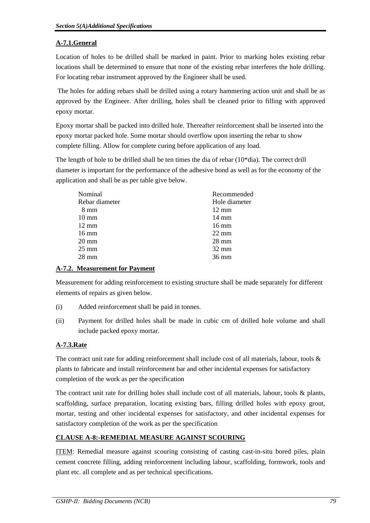# **A-7.1.General**

Location of holes to be drilled shall be marked in paint. Prior to marking holes existing rebar locations shall be determined to ensure that none of the existing rebar interferes the hole drilling. For locating rebar instrument approved by the Engineer shall be used.

 The holes for adding rebars shall be drilled using a rotary hammering action unit and shall be as approved by the Engineer. After drilling, holes shall be cleaned prior to filling with approved epoxy mortar.

Epoxy mortar shall be packed into drilled hole. Thereafter reinforcement shall be inserted into the epoxy mortar packed hole. Some mortar should overflow upon inserting the rebar to show complete filling. Allow for complete curing before application of any load.

The length of hole to be drilled shall be ten times the dia of rebar (10\*dia). The correct drill diameter is important for the performance of the adhesive bond as well as for the economy of the application and shall be as per table give below.

| Nominal         | Recommended     |
|-----------------|-----------------|
| Rebar diameter  | Hole diameter   |
| 8 mm            | $12 \text{ mm}$ |
| $10 \text{ mm}$ | $14 \text{ mm}$ |
| $12 \text{ mm}$ | $16 \text{ mm}$ |
| $16 \text{ mm}$ | $22 \text{ mm}$ |
| $20 \text{ mm}$ | $28 \text{ mm}$ |
| $25 \text{ mm}$ | $32 \text{ mm}$ |
| 28 mm           | $36 \text{ mm}$ |
|                 |                 |

## **A-7.2. Measurement for Payment**

Measurement for adding reinforcement to existing structure shall be made separately for different elements of repairs as given below.

- (i) Added reinforcement shall be paid in tonnes.
- (ii) Payment for drilled holes shall be made in cubic cm of drilled hole volume and shall include packed epoxy mortar.

# **A-7.3.Rate**

The contract unit rate for adding reinforcement shall include cost of all materials, labour, tools  $\&$ plants to fabricate and install reinforcement bar and other incidental expenses for satisfactory completion of the work as per the specification

The contract unit rate for drilling holes shall include cost of all materials, labour, tools & plants, scaffolding, surface preparation, locating existing bars, filling drilled holes with epoxy grout, mortar, testing and other incidental expenses for satisfactory, and other incidental expenses for satisfactory completion of the work as per the specification

# **CLAUSE A-8:-REMEDIAL MEASURE AGAINST SCOURING**

ITEM: Remedial measure against scouring consisting of casting cast-in-situ bored piles, plain cement concrete filling, adding reinforcement including labour, scaffolding, formwork, tools and plant etc. all complete and as per technical specifications.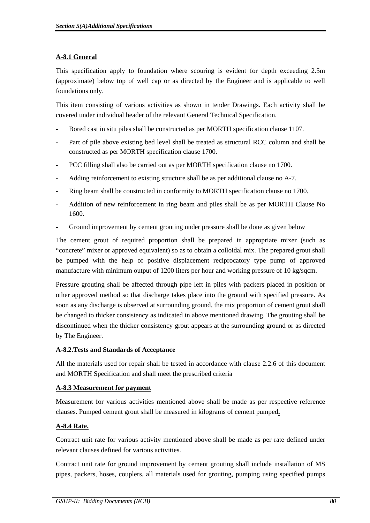# **A-8.1 General**

This specification apply to foundation where scouring is evident for depth exceeding 2.5m (approximate) below top of well cap or as directed by the Engineer and is applicable to well foundations only.

This item consisting of various activities as shown in tender Drawings. Each activity shall be covered under individual header of the relevant General Technical Specification.

- Bored cast in situ piles shall be constructed as per MORTH specification clause 1107.
- Part of pile above existing bed level shall be treated as structural RCC column and shall be constructed as per MORTH specification clause 1700.
- PCC filling shall also be carried out as per MORTH specification clause no 1700.
- Adding reinforcement to existing structure shall be as per additional clause no A-7.
- Ring beam shall be constructed in conformity to MORTH specification clause no 1700.
- Addition of new reinforcement in ring beam and piles shall be as per MORTH Clause No 1600.
- Ground improvement by cement grouting under pressure shall be done as given below

The cement grout of required proportion shall be prepared in appropriate mixer (such as "concrete" mixer or approved equivalent) so as to obtain a colloidal mix. The prepared grout shall be pumped with the help of positive displacement reciprocatory type pump of approved manufacture with minimum output of 1200 liters per hour and working pressure of 10 kg/sqcm.

Pressure grouting shall be affected through pipe left in piles with packers placed in position or other approved method so that discharge takes place into the ground with specified pressure. As soon as any discharge is observed at surrounding ground, the mix proportion of cement grout shall be changed to thicker consistency as indicated in above mentioned drawing. The grouting shall be discontinued when the thicker consistency grout appears at the surrounding ground or as directed by The Engineer.

## **A-8.2.Tests and Standards of Acceptance**

All the materials used for repair shall be tested in accordance with clause 2.2.6 of this document and MORTH Specification and shall meet the prescribed criteria

## **A-8.3 Measurement for payment**

Measurement for various activities mentioned above shall be made as per respective reference clauses. Pumped cement grout shall be measured in kilograms of cement pumped**.** 

# **A-8.4 Rate.**

Contract unit rate for various activity mentioned above shall be made as per rate defined under relevant clauses defined for various activities.

Contract unit rate for ground improvement by cement grouting shall include installation of MS pipes, packers, hoses, couplers, all materials used for grouting, pumping using specified pumps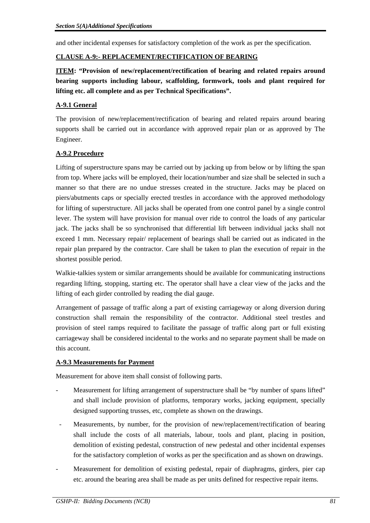and other incidental expenses for satisfactory completion of the work as per the specification.

## **CLAUSE A-9:- REPLACEMENT/RECTIFICATION OF BEARING**

**ITEM: "Provision of new/replacement/rectification of bearing and related repairs around bearing supports including labour, scaffolding, formwork, tools and plant required for lifting etc. all complete and as per Technical Specifications".** 

# **A-9.1 General**

The provision of new/replacement/rectification of bearing and related repairs around bearing supports shall be carried out in accordance with approved repair plan or as approved by The Engineer.

## **A-9.2 Procedure**

Lifting of superstructure spans may be carried out by jacking up from below or by lifting the span from top. Where jacks will be employed, their location/number and size shall be selected in such a manner so that there are no undue stresses created in the structure. Jacks may be placed on piers/abutments caps or specially erected trestles in accordance with the approved methodology for lifting of superstructure. All jacks shall be operated from one control panel by a single control lever. The system will have provision for manual over ride to control the loads of any particular jack. The jacks shall be so synchronised that differential lift between individual jacks shall not exceed 1 mm. Necessary repair/ replacement of bearings shall be carried out as indicated in the repair plan prepared by the contractor. Care shall be taken to plan the execution of repair in the shortest possible period.

Walkie-talkies system or similar arrangements should be available for communicating instructions regarding lifting, stopping, starting etc. The operator shall have a clear view of the jacks and the lifting of each girder controlled by reading the dial gauge.

Arrangement of passage of traffic along a part of existing carriageway or along diversion during construction shall remain the responsibility of the contractor. Additional steel trestles and provision of steel ramps required to facilitate the passage of traffic along part or full existing carriageway shall be considered incidental to the works and no separate payment shall be made on this account.

# **A-9.3 Measurements for Payment**

Measurement for above item shall consist of following parts.

- Measurement for lifting arrangement of superstructure shall be "by number of spans lifted" and shall include provision of platforms, temporary works, jacking equipment, specially designed supporting trusses, etc, complete as shown on the drawings.
- Measurements, by number, for the provision of new/replacement/rectification of bearing shall include the costs of all materials, labour, tools and plant, placing in position, demolition of existing pedestal, construction of new pedestal and other incidental expenses for the satisfactory completion of works as per the specification and as shown on drawings.
- Measurement for demolition of existing pedestal, repair of diaphragms, girders, pier cap etc. around the bearing area shall be made as per units defined for respective repair items.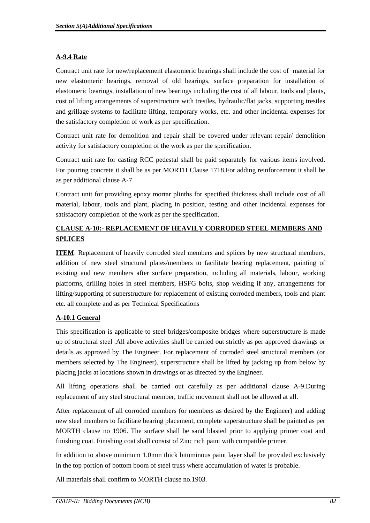# **A-9.4 Rate**

Contract unit rate for new/replacement elastomeric bearings shall include the cost of material for new elastomeric bearings, removal of old bearings, surface preparation for installation of elastomeric bearings, installation of new bearings including the cost of all labour, tools and plants, cost of lifting arrangements of superstructure with trestles, hydraulic/flat jacks, supporting trestles and grillage systems to facilitate lifting, temporary works, etc. and other incidental expenses for the satisfactory completion of work as per specification.

Contract unit rate for demolition and repair shall be covered under relevant repair/ demolition activity for satisfactory completion of the work as per the specification.

Contract unit rate for casting RCC pedestal shall be paid separately for various items involved. For pouring concrete it shall be as per MORTH Clause 1718.For adding reinforcement it shall be as per additional clause A-7.

Contract unit for providing epoxy mortar plinths for specified thickness shall include cost of all material, labour, tools and plant, placing in position, testing and other incidental expenses for satisfactory completion of the work as per the specification.

# **CLAUSE A-10:- REPLACEMENT OF HEAVILY CORRODED STEEL MEMBERS AND SPLICES**

**ITEM**: Replacement of heavily corroded steel members and splices by new structural members, addition of new steel structural plates/members to facilitate bearing replacement, painting of existing and new members after surface preparation, including all materials, labour, working platforms, drilling holes in steel members, HSFG bolts, shop welding if any, arrangements for lifting/supporting of superstructure for replacement of existing corroded members, tools and plant etc. all complete and as per Technical Specifications

# **A-10.1 General**

This specification is applicable to steel bridges/composite bridges where superstructure is made up of structural steel .All above activities shall be carried out strictly as per approved drawings or details as approved by The Engineer. For replacement of corroded steel structural members (or members selected by The Engineer), superstructure shall be lifted by jacking up from below by placing jacks at locations shown in drawings or as directed by the Engineer.

All lifting operations shall be carried out carefully as per additional clause A-9.During replacement of any steel structural member, traffic movement shall not be allowed at all.

After replacement of all corroded members (or members as desired by the Engineer) and adding new steel members to facilitate bearing placement, complete superstructure shall be painted as per MORTH clause no 1906. The surface shall be sand blasted prior to applying primer coat and finishing coat. Finishing coat shall consist of Zinc rich paint with compatible primer.

In addition to above minimum 1.0mm thick bituminous paint layer shall be provided exclusively in the top portion of bottom boom of steel truss where accumulation of water is probable.

All materials shall confirm to MORTH clause no.1903.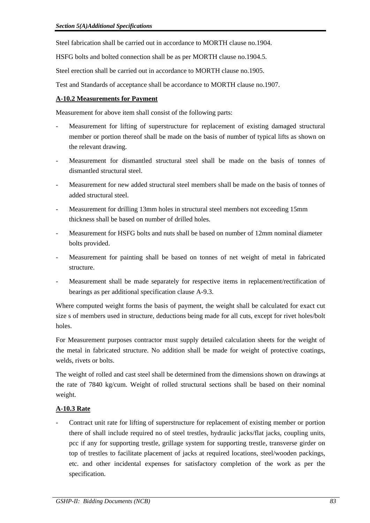Steel fabrication shall be carried out in accordance to MORTH clause no.1904.

HSFG bolts and bolted connection shall be as per MORTH clause no.1904.5.

Steel erection shall be carried out in accordance to MORTH clause no.1905.

Test and Standards of acceptance shall be accordance to MORTH clause no.1907.

## **A-10.2 Measurements for Payment**

Measurement for above item shall consist of the following parts:

- Measurement for lifting of superstructure for replacement of existing damaged structural member or portion thereof shall be made on the basis of number of typical lifts as shown on the relevant drawing.
- Measurement for dismantled structural steel shall be made on the basis of tonnes of dismantled structural steel.
- Measurement for new added structural steel members shall be made on the basis of tonnes of added structural steel.
- Measurement for drilling 13mm holes in structural steel members not exceeding 15mm thickness shall be based on number of drilled holes.
- Measurement for HSFG bolts and nuts shall be based on number of 12mm nominal diameter bolts provided.
- Measurement for painting shall be based on tonnes of net weight of metal in fabricated structure.
- Measurement shall be made separately for respective items in replacement/rectification of bearings as per additional specification clause A-9.3.

Where computed weight forms the basis of payment, the weight shall be calculated for exact cut size s of members used in structure, deductions being made for all cuts, except for rivet holes/bolt holes.

For Measurement purposes contractor must supply detailed calculation sheets for the weight of the metal in fabricated structure. No addition shall be made for weight of protective coatings, welds, rivets or bolts.

The weight of rolled and cast steel shall be determined from the dimensions shown on drawings at the rate of 7840 kg/cum. Weight of rolled structural sections shall be based on their nominal weight.

# **A-10.3 Rate**

- Contract unit rate for lifting of superstructure for replacement of existing member or portion there of shall include required no of steel trestles, hydraulic jacks/flat jacks, coupling units, pcc if any for supporting trestle, grillage system for supporting trestle, transverse girder on top of trestles to facilitate placement of jacks at required locations, steel/wooden packings, etc. and other incidental expenses for satisfactory completion of the work as per the specification.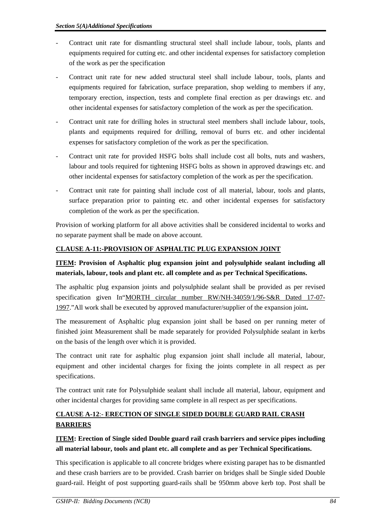- Contract unit rate for dismantling structural steel shall include labour, tools, plants and equipments required for cutting etc. and other incidental expenses for satisfactory completion of the work as per the specification
- Contract unit rate for new added structural steel shall include labour, tools, plants and equipments required for fabrication, surface preparation, shop welding to members if any, temporary erection, inspection, tests and complete final erection as per drawings etc. and other incidental expenses for satisfactory completion of the work as per the specification.
- Contract unit rate for drilling holes in structural steel members shall include labour, tools, plants and equipments required for drilling, removal of burrs etc. and other incidental expenses for satisfactory completion of the work as per the specification.
- Contract unit rate for provided HSFG bolts shall include cost all bolts, nuts and washers, labour and tools required for tightening HSFG bolts as shown in approved drawings etc. and other incidental expenses for satisfactory completion of the work as per the specification.
- Contract unit rate for painting shall include cost of all material, labour, tools and plants, surface preparation prior to painting etc. and other incidental expenses for satisfactory completion of the work as per the specification.

Provision of working platform for all above activities shall be considered incidental to works and no separate payment shall be made on above account.

# **CLAUSE A-11:-PROVISION OF ASPHALTIC PLUG EXPANSION JOINT**

# **ITEM: Provision of Asphaltic plug expansion joint and polysulphide sealant including all materials, labour, tools and plant etc. all complete and as per Technical Specifications.**

The asphaltic plug expansion joints and polysulphide sealant shall be provided as per revised specification given In"MORTH circular number RW/NH-34059/1/96-S&R Dated 17-07- 1997."All work shall be executed by approved manufacturer/supplier of the expansion joint**.** 

The measurement of Asphaltic plug expansion joint shall be based on per running meter of finished joint Measurement shall be made separately for provided Polysulphide sealant in kerbs on the basis of the length over which it is provided.

The contract unit rate for asphaltic plug expansion joint shall include all material, labour, equipment and other incidental charges for fixing the joints complete in all respect as per specifications.

The contract unit rate for Polysulphide sealant shall include all material, labour, equipment and other incidental charges for providing same complete in all respect as per specifications.

# **CLAUSE A-12**:- **ERECTION OF SINGLE SIDED DOUBLE GUARD RAIL CRASH BARRIERS**

# **ITEM: Erection of Single sided Double guard rail crash barriers and service pipes including all material labour, tools and plant etc. all complete and as per Technical Specifications.**

This specification is applicable to all concrete bridges where existing parapet has to be dismantled and these crash barriers are to be provided. Crash barrier on bridges shall be Single sided Double guard-rail. Height of post supporting guard-rails shall be 950mm above kerb top. Post shall be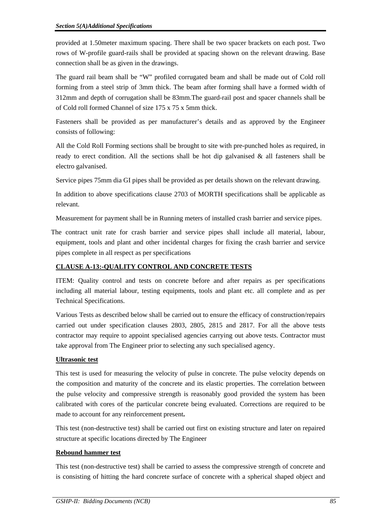provided at 1.50meter maximum spacing. There shall be two spacer brackets on each post. Two rows of W-profile guard-rails shall be provided at spacing shown on the relevant drawing. Base connection shall be as given in the drawings.

The guard rail beam shall be "W" profiled corrugated beam and shall be made out of Cold roll forming from a steel strip of 3mm thick. The beam after forming shall have a formed width of 312mm and depth of corrugation shall be 83mm.The guard-rail post and spacer channels shall be of Cold roll formed Channel of size 175 x 75 x 5mm thick.

Fasteners shall be provided as per manufacturer's details and as approved by the Engineer consists of following:

All the Cold Roll Forming sections shall be brought to site with pre-punched holes as required, in ready to erect condition. All the sections shall be hot dip galvanised  $\&$  all fasteners shall be electro galvanised.

Service pipes 75mm dia GI pipes shall be provided as per details shown on the relevant drawing.

In addition to above specifications clause 2703 of MORTH specifications shall be applicable as relevant.

Measurement for payment shall be in Running meters of installed crash barrier and service pipes.

 The contract unit rate for crash barrier and service pipes shall include all material, labour, equipment, tools and plant and other incidental charges for fixing the crash barrier and service pipes complete in all respect as per specifications

# **CLAUSE A-13:-QUALITY CONTROL AND CONCRETE TESTS**

ITEM: Quality control and tests on concrete before and after repairs as per specifications including all material labour, testing equipments, tools and plant etc. all complete and as per Technical Specifications.

Various Tests as described below shall be carried out to ensure the efficacy of construction/repairs carried out under specification clauses 2803, 2805, 2815 and 2817. For all the above tests contractor may require to appoint specialised agencies carrying out above tests. Contractor must take approval from The Engineer prior to selecting any such specialised agency.

## **Ultrasonic test**

This test is used for measuring the velocity of pulse in concrete. The pulse velocity depends on the composition and maturity of the concrete and its elastic properties. The correlation between the pulse velocity and compressive strength is reasonably good provided the system has been calibrated with cores of the particular concrete being evaluated. Corrections are required to be made to account for any reinforcement present**.** 

This test (non-destructive test) shall be carried out first on existing structure and later on repaired structure at specific locations directed by The Engineer

## **Rebound hammer test**

This test (non-destructive test) shall be carried to assess the compressive strength of concrete and is consisting of hitting the hard concrete surface of concrete with a spherical shaped object and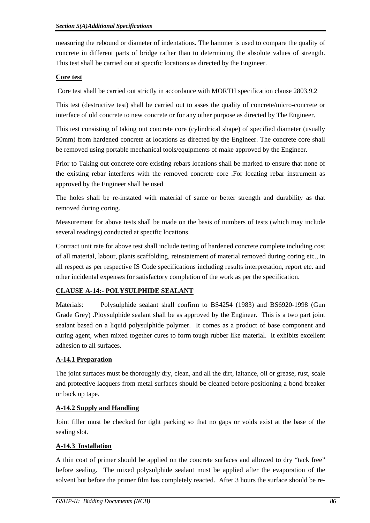measuring the rebound or diameter of indentations. The hammer is used to compare the quality of concrete in different parts of bridge rather than to determining the absolute values of strength. This test shall be carried out at specific locations as directed by the Engineer.

## **Core test**

Core test shall be carried out strictly in accordance with MORTH specification clause 2803.9.2

This test (destructive test) shall be carried out to asses the quality of concrete/micro-concrete or interface of old concrete to new concrete or for any other purpose as directed by The Engineer.

This test consisting of taking out concrete core (cylindrical shape) of specified diameter (usually 50mm) from hardened concrete at locations as directed by the Engineer. The concrete core shall be removed using portable mechanical tools/equipments of make approved by the Engineer.

Prior to Taking out concrete core existing rebars locations shall be marked to ensure that none of the existing rebar interferes with the removed concrete core .For locating rebar instrument as approved by the Engineer shall be used

The holes shall be re-instated with material of same or better strength and durability as that removed during coring.

Measurement for above tests shall be made on the basis of numbers of tests (which may include several readings) conducted at specific locations.

Contract unit rate for above test shall include testing of hardened concrete complete including cost of all material, labour, plants scaffolding, reinstatement of material removed during coring etc., in all respect as per respective IS Code specifications including results interpretation, report etc. and other incidental expenses for satisfactory completion of the work as per the specification.

# **CLAUSE A-14:- POLYSULPHIDE SEALANT**

Materials: Polysulphide sealant shall confirm to BS4254 (1983) and BS6920-1998 (Gun Grade Grey) .Ploysulphide sealant shall be as approved by the Engineer. This is a two part joint sealant based on a liquid polysulphide polymer. It comes as a product of base component and curing agent, when mixed together cures to form tough rubber like material. It exhibits excellent adhesion to all surfaces.

# **A-14.1 Preparation**

The joint surfaces must be thoroughly dry, clean, and all the dirt, laitance, oil or grease, rust, scale and protective lacquers from metal surfaces should be cleaned before positioning a bond breaker or back up tape.

# **A-14.2 Supply and Handling**

Joint filler must be checked for tight packing so that no gaps or voids exist at the base of the sealing slot.

# **A-14.3 Installation**

A thin coat of primer should be applied on the concrete surfaces and allowed to dry "tack free" before sealing. The mixed polysulphide sealant must be applied after the evaporation of the solvent but before the primer film has completely reacted. After 3 hours the surface should be re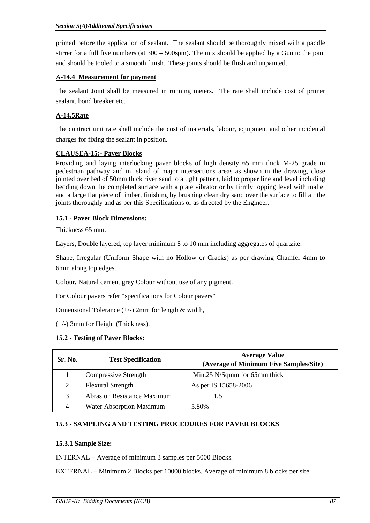primed before the application of sealant. The sealant should be thoroughly mixed with a paddle stirrer for a full five numbers (at 300 – 500spm). The mix should be applied by a Gun to the joint and should be tooled to a smooth finish. These joints should be flush and unpainted.

## A**-14.4 Measurement for payment**

The sealant Joint shall be measured in running meters. The rate shall include cost of primer sealant, bond breaker etc.

# **A-14.5Rate**

The contract unit rate shall include the cost of materials, labour, equipment and other incidental charges for fixing the sealant in position.

## **CLAUSEA-15:- Paver Blocks**

Providing and laying interlocking paver blocks of high density 65 mm thick M-25 grade in pedestrian pathway and in Island of major intersections areas as shown in the drawing, close jointed over bed of 50mm thick river sand to a tight pattern, laid to proper line and level including bedding down the completed surface with a plate vibrator or by firmly topping level with mallet and a large flat piece of timber, finishing by brushing clean dry sand over the surface to fill all the joints thoroughly and as per this Specifications or as directed by the Engineer.

## **15.1 - Paver Block Dimensions:**

Thickness 65 mm.

Layers, Double layered, top layer minimum 8 to 10 mm including aggregates of quartzite.

Shape, Irregular (Uniform Shape with no Hollow or Cracks) as per drawing Chamfer 4mm to 6mm along top edges.

Colour, Natural cement grey Colour without use of any pigment.

For Colour pavers refer "specifications for Colour pavers"

Dimensional Tolerance (+/-) 2mm for length & width,

(+/-) 3mm for Height (Thickness).

## **15.2 - Testing of Paver Blocks:**

| Sr. No. | <b>Test Specification</b>          | <b>Average Value</b><br>(Average of Minimum Five Samples/Site) |
|---------|------------------------------------|----------------------------------------------------------------|
|         | <b>Compressive Strength</b>        | Min.25 N/Sqmm for 65mm thick                                   |
|         | <b>Flexural Strength</b>           | As per IS 15658-2006                                           |
| 3       | <b>Abrasion Resistance Maximum</b> |                                                                |
|         | Water Absorption Maximum           | 5.80%                                                          |

# **15.3 - SAMPLING AND TESTING PROCEDURES FOR PAVER BLOCKS**

## **15.3.1 Sample Size:**

INTERNAL – Average of minimum 3 samples per 5000 Blocks.

EXTERNAL – Minimum 2 Blocks per 10000 blocks. Average of minimum 8 blocks per site.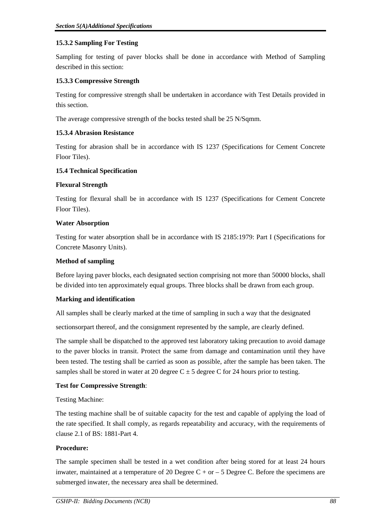## **15.3.2 Sampling For Testing**

Sampling for testing of paver blocks shall be done in accordance with Method of Sampling described in this section:

## **15.3.3 Compressive Strength**

Testing for compressive strength shall be undertaken in accordance with Test Details provided in this section.

The average compressive strength of the bocks tested shall be 25 N/Sqmm.

## **15.3.4 Abrasion Resistance**

Testing for abrasion shall be in accordance with IS 1237 (Specifications for Cement Concrete Floor Tiles).

## **15.4 Technical Specification**

## **Flexural Strength**

Testing for flexural shall be in accordance with IS 1237 (Specifications for Cement Concrete Floor Tiles).

## **Water Absorption**

Testing for water absorption shall be in accordance with IS 2185:1979: Part I (Specifications for Concrete Masonry Units).

## **Method of sampling**

Before laying paver blocks, each designated section comprising not more than 50000 blocks, shall be divided into ten approximately equal groups. Three blocks shall be drawn from each group.

## **Marking and identification**

All samples shall be clearly marked at the time of sampling in such a way that the designated

sectionsorpart thereof, and the consignment represented by the sample, are clearly defined.

The sample shall be dispatched to the approved test laboratory taking precaution to avoid damage to the paver blocks in transit. Protect the same from damage and contamination until they have been tested. The testing shall be carried as soon as possible, after the sample has been taken. The samples shall be stored in water at 20 degree  $C \pm 5$  degree C for 24 hours prior to testing.

## **Test for Compressive Strength**:

Testing Machine:

The testing machine shall be of suitable capacity for the test and capable of applying the load of the rate specified. It shall comply, as regards repeatability and accuracy, with the requirements of clause 2.1 of BS: 1881-Part 4.

## **Procedure:**

The sample specimen shall be tested in a wet condition after being stored for at least 24 hours inwater, maintained at a temperature of 20 Degree  $C + or -5$  Degree C. Before the specimens are submerged inwater, the necessary area shall be determined.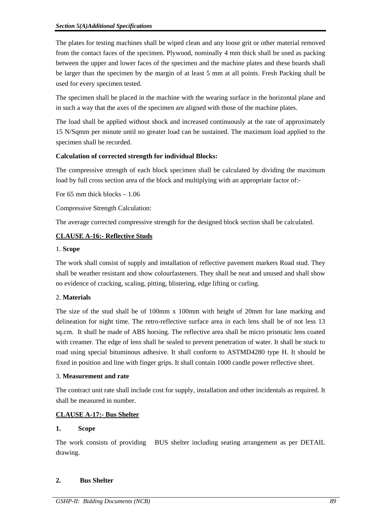The plates for testing machines shall be wiped clean and any loose grit or other material removed from the contact faces of the specimen. Plywood, nominally 4 mm thick shall be used as packing between the upper and lower faces of the specimen and the machine plates and these boards shall be larger than the specimen by the margin of at least 5 mm at all points. Fresh Packing shall be used for every specimen tested.

The specimen shall be placed in the machine with the wearing surface in the horizontal plane and in such a way that the axes of the specimen are aligned with those of the machine plates.

The load shall be applied without shock and increased continuously at the rate of approximately 15 N/Sqmm per minute until no greater load can be sustained. The maximum load applied to the specimen shall be recorded.

## **Calculation of corrected strength for individual Blocks:**

The compressive strength of each block specimen shall be calculated by dividing the maximum load by full cross section area of the block and multiplying with an appropriate factor of:-

For 65 mm thick blocks – 1.06

Compressive Strength Calculation:

The average corrected compressive strength for the designed block section shall be calculated.

## **CLAUSE A-16:- Reflective Studs**

## 1. **Scope**

The work shall consist of supply and installation of reflective pavement markers Road stud. They shall be weather resistant and show colourfasteners. They shall be neat and unused and shall show no evidence of cracking, scaling, pitting, blistering, edge lifting or curling.

## 2. **Materials**

The size of the stud shall be of 100mm x 100mm with height of 20mm for lane marking and delineation for night time. The retro-reflective surface area in each lens shall be of not less 13 sq.cm. It shall be made of ABS horsing. The reflective area shall be micro prismatic lens coated with creamer. The edge of lens shall be sealed to prevent penetration of water. It shall be stuck to road using special bituminous adhesive. It shall conform to ASTMD4280 type H. It should be fixed in position and line with finger grips. It shall contain 1000 candle power reflective sheet.

## 3. **Measurement and rate**

The contract unit rate shall include cost for supply, installation and other incidentals as required. It shall be measured in number.

## **CLAUSE A-17:- Bus Shelter**

## **1. Scope**

The work consists of providing BUS shelter including seating arrangement as per DETAIL drawing.

## **2. Bus Shelter**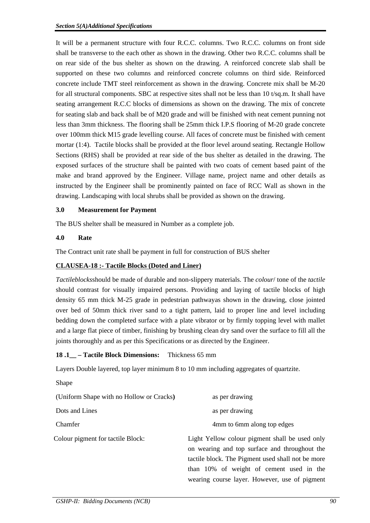It will be a permanent structure with four R.C.C. columns. Two R.C.C. columns on front side shall be transverse to the each other as shown in the drawing. Other two R.C.C. columns shall be on rear side of the bus shelter as shown on the drawing. A reinforced concrete slab shall be supported on these two columns and reinforced concrete columns on third side. Reinforced concrete include TMT steel reinforcement as shown in the drawing. Concrete mix shall be M-20 for all structural components. SBC at respective sites shall not be less than 10 t/sq.m. It shall have seating arrangement R.C.C blocks of dimensions as shown on the drawing. The mix of concrete for seating slab and back shall be of M20 grade and will be finished with neat cement punning not less than 3mm thickness. The flooring shall be 25mm thick I.P.S flooring of M-20 grade concrete over 100mm thick M15 grade levelling course. All faces of concrete must be finished with cement mortar (1:4). Tactile blocks shall be provided at the floor level around seating. Rectangle Hollow Sections (RHS) shall be provided at rear side of the bus shelter as detailed in the drawing. The exposed surfaces of the structure shall be painted with two coats of cement based paint of the make and brand approved by the Engineer. Village name, project name and other details as instructed by the Engineer shall be prominently painted on face of RCC Wall as shown in the drawing. Landscaping with local shrubs shall be provided as shown on the drawing.

## **3.0 Measurement for Payment**

The BUS shelter shall be measured in Number as a complete job.

#### **4.0 Rate**

The Contract unit rate shall be payment in full for construction of BUS shelter

## **CLAUSEA-18 :- Tactile Blocks (Doted and Liner)**

*Tactileblocks*should be made of durable and non-slippery materials. The *colour*/ tone of the *tactile* should contrast for visually impaired persons. Providing and laying of tactile blocks of high density 65 mm thick M-25 grade in pedestrian pathwayas shown in the drawing, close jointed over bed of 50mm thick river sand to a tight pattern, laid to proper line and level including bedding down the completed surface with a plate vibrator or by firmly topping level with mallet and a large flat piece of timber, finishing by brushing clean dry sand over the surface to fill all the joints thoroughly and as per this Specifications or as directed by the Engineer.

## **18 .1\_\_ – Tactile Block Dimensions:** Thickness 65 mm

Layers Double layered, top layer minimum 8 to 10 mm including aggregates of quartzite.

| Shape                                    |                                                                                                                                                                                                                                                   |
|------------------------------------------|---------------------------------------------------------------------------------------------------------------------------------------------------------------------------------------------------------------------------------------------------|
| (Uniform Shape with no Hollow or Cracks) | as per drawing                                                                                                                                                                                                                                    |
| Dots and Lines                           | as per drawing                                                                                                                                                                                                                                    |
| Chamfer                                  | 4mm to 6mm along top edges                                                                                                                                                                                                                        |
| Colour pigment for tactile Block:        | Light Yellow colour pigment shall be used only<br>on wearing and top surface and throughout the<br>tactile block. The Pigment used shall not be more<br>than 10% of weight of cement used in the<br>wearing course layer. However, use of pigment |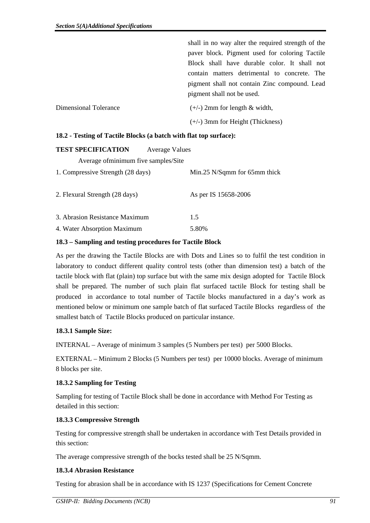|                       | shall in no way alter the required strength of the |
|-----------------------|----------------------------------------------------|
|                       | paver block. Pigment used for coloring Tactile     |
|                       | Block shall have durable color. It shall not       |
|                       | contain matters detrimental to concrete. The       |
|                       | pigment shall not contain Zinc compound. Lead      |
|                       | pigment shall not be used.                         |
| Dimensional Tolerance | $(+/-)$ 2mm for length & width,                    |
|                       | $(+/-)$ 3mm for Height (Thickness)                 |

#### **18.2 - Testing of Tactile Blocks (a batch with flat top surface):**

| <b>TEST SPECIFICATION</b><br><b>Average Values</b> |                                |
|----------------------------------------------------|--------------------------------|
| Average of minimum five samples/Site               |                                |
| 1. Compressive Strength (28 days)                  | Min.25 $N/Sqmm$ for 65mm thick |
| 2. Flexural Strength (28 days)                     | As per IS 15658-2006           |
| 3. Abrasion Resistance Maximum                     | 1.5                            |
| 4. Water Absorption Maximum                        | 5.80%                          |

#### **18.3 – Sampling and testing procedures for Tactile Block**

As per the drawing the Tactile Blocks are with Dots and Lines so to fulfil the test condition in laboratory to conduct different quality control tests (other than dimension test) a batch of the tactile block with flat (plain) top surface but with the same mix design adopted for Tactile Block shall be prepared. The number of such plain flat surfaced tactile Block for testing shall be produced in accordance to total number of Tactile blocks manufactured in a day's work as mentioned below or minimum one sample batch of flat surfaced Tactile Blocks regardless of the smallest batch of Tactile Blocks produced on particular instance.

## **18.3.1 Sample Size:**

INTERNAL – Average of minimum 3 samples (5 Numbers per test) per 5000 Blocks.

EXTERNAL – Minimum 2 Blocks (5 Numbers per test) per 10000 blocks. Average of minimum 8 blocks per site.

## **18.3.2 Sampling for Testing**

Sampling for testing of Tactile Block shall be done in accordance with Method For Testing as detailed in this section:

## **18.3.3 Compressive Strength**

Testing for compressive strength shall be undertaken in accordance with Test Details provided in this section:

The average compressive strength of the bocks tested shall be 25 N/Sqmm.

## **18.3.4 Abrasion Resistance**

Testing for abrasion shall be in accordance with IS 1237 (Specifications for Cement Concrete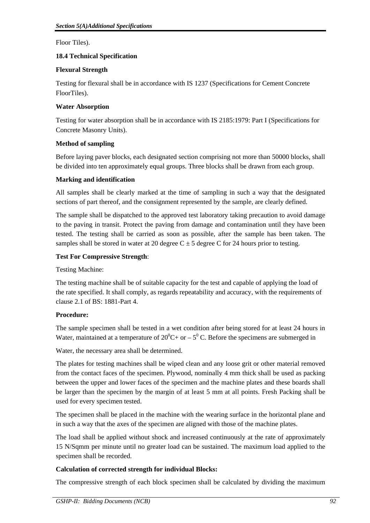Floor Tiles).

## **18.4 Technical Specification**

## **Flexural Strength**

Testing for flexural shall be in accordance with IS 1237 (Specifications for Cement Concrete FloorTiles).

## **Water Absorption**

Testing for water absorption shall be in accordance with IS 2185:1979: Part I (Specifications for Concrete Masonry Units).

## **Method of sampling**

Before laying paver blocks, each designated section comprising not more than 50000 blocks, shall be divided into ten approximately equal groups. Three blocks shall be drawn from each group.

## **Marking and identification**

All samples shall be clearly marked at the time of sampling in such a way that the designated sections of part thereof, and the consignment represented by the sample, are clearly defined.

The sample shall be dispatched to the approved test laboratory taking precaution to avoid damage to the paving in transit. Protect the paving from damage and contamination until they have been tested. The testing shall be carried as soon as possible, after the sample has been taken. The samples shall be stored in water at 20 degree  $C \pm 5$  degree C for 24 hours prior to testing.

## **Test For Compressive Strength**:

Testing Machine:

The testing machine shall be of suitable capacity for the test and capable of applying the load of the rate specified. It shall comply, as regards repeatability and accuracy, with the requirements of clause 2.1 of BS: 1881-Part 4.

## **Procedure:**

The sample specimen shall be tested in a wet condition after being stored for at least 24 hours in Water, maintained at a temperature of  $20^0C$  + or  $-5^0$  C. Before the specimens are submerged in

Water, the necessary area shall be determined.

The plates for testing machines shall be wiped clean and any loose grit or other material removed from the contact faces of the specimen. Plywood, nominally 4 mm thick shall be used as packing between the upper and lower faces of the specimen and the machine plates and these boards shall be larger than the specimen by the margin of at least 5 mm at all points. Fresh Packing shall be used for every specimen tested.

The specimen shall be placed in the machine with the wearing surface in the horizontal plane and in such a way that the axes of the specimen are aligned with those of the machine plates.

The load shall be applied without shock and increased continuously at the rate of approximately 15 N/Sqmm per minute until no greater load can be sustained. The maximum load applied to the specimen shall be recorded.

# **Calculation of corrected strength for individual Blocks:**

The compressive strength of each block specimen shall be calculated by dividing the maximum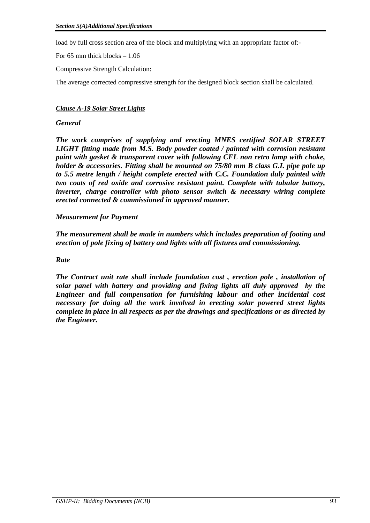load by full cross section area of the block and multiplying with an appropriate factor of:-

For 65 mm thick blocks – 1.06

Compressive Strength Calculation:

The average corrected compressive strength for the designed block section shall be calculated.

# *Clause A-19 Solar Street Lights*

## *General*

*The work comprises of supplying and erecting MNES certified SOLAR STREET LIGHT fitting made from M.S. Body powder coated / painted with corrosion resistant paint with gasket & transparent cover with following CFL non retro lamp with choke, holder & accessories. Fitting shall be mounted on 75/80 mm B class G.I. pipe pole up to 5.5 metre length / height complete erected with C.C. Foundation duly painted with two coats of red oxide and corrosive resistant paint. Complete with tubular battery, inverter, charge controller with photo sensor switch & necessary wiring complete erected connected & commissioned in approved manner.* 

## *Measurement for Payment*

*The measurement shall be made in numbers which includes preparation of footing and erection of pole fixing of battery and lights with all fixtures and commissioning.* 

## *Rate*

*The Contract unit rate shall include foundation cost , erection pole , installation of solar panel with battery and providing and fixing lights all duly approved by the Engineer and full compensation for furnishing labour and other incidental cost necessary for doing all the work involved in erecting solar powered street lights complete in place in all respects as per the drawings and specifications or as directed by the Engineer.*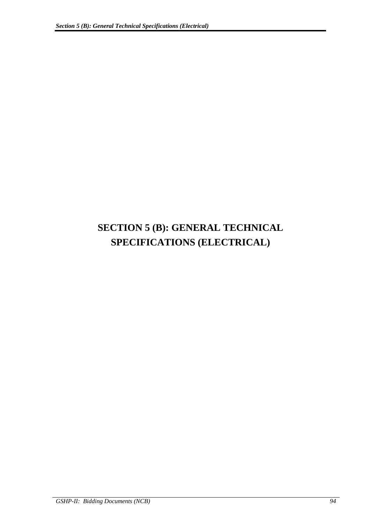# **SECTION 5 (B): GENERAL TECHNICAL SPECIFICATIONS (ELECTRICAL)**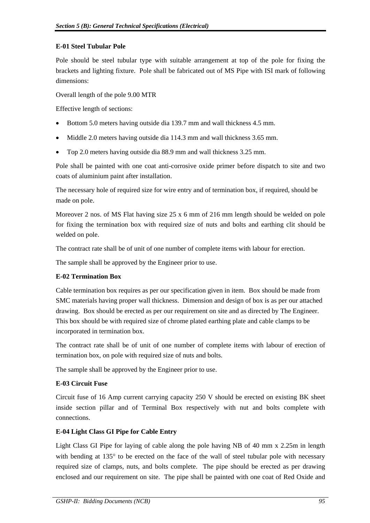## **E-01 Steel Tubular Pole**

Pole should be steel tubular type with suitable arrangement at top of the pole for fixing the brackets and lighting fixture. Pole shall be fabricated out of MS Pipe with ISI mark of following dimensions:

Overall length of the pole 9.00 MTR

Effective length of sections:

- Bottom 5.0 meters having outside dia 139.7 mm and wall thickness 4.5 mm.
- Middle 2.0 meters having outside dia 114.3 mm and wall thickness 3.65 mm.
- Top 2.0 meters having outside dia 88.9 mm and wall thickness 3.25 mm.

Pole shall be painted with one coat anti-corrosive oxide primer before dispatch to site and two coats of aluminium paint after installation.

The necessary hole of required size for wire entry and of termination box, if required, should be made on pole.

Moreover 2 nos. of MS Flat having size  $25 \times 6$  mm of 216 mm length should be welded on pole for fixing the termination box with required size of nuts and bolts and earthing clit should be welded on pole.

The contract rate shall be of unit of one number of complete items with labour for erection.

The sample shall be approved by the Engineer prior to use.

## **E-02 Termination Box**

Cable termination box requires as per our specification given in item. Box should be made from SMC materials having proper wall thickness. Dimension and design of box is as per our attached drawing. Box should be erected as per our requirement on site and as directed by The Engineer. This box should be with required size of chrome plated earthing plate and cable clamps to be incorporated in termination box.

The contract rate shall be of unit of one number of complete items with labour of erection of termination box, on pole with required size of nuts and bolts.

The sample shall be approved by the Engineer prior to use.

## **E-03 Circuit Fuse**

Circuit fuse of 16 Amp current carrying capacity 250 V should be erected on existing BK sheet inside section pillar and of Terminal Box respectively with nut and bolts complete with connections.

## **E-04 Light Class GI Pipe for Cable Entry**

Light Class GI Pipe for laying of cable along the pole having NB of 40 mm x 2.25m in length with bending at  $135^{\circ}$  to be erected on the face of the wall of steel tubular pole with necessary required size of clamps, nuts, and bolts complete. The pipe should be erected as per drawing enclosed and our requirement on site. The pipe shall be painted with one coat of Red Oxide and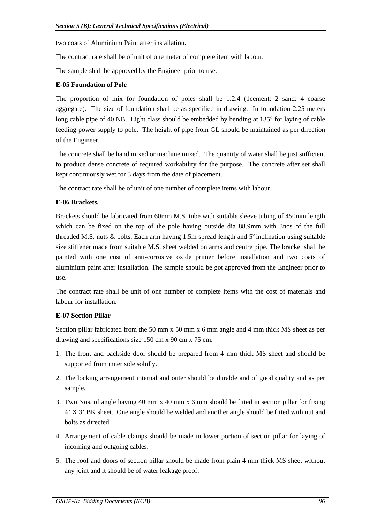two coats of Aluminium Paint after installation.

The contract rate shall be of unit of one meter of complete item with labour.

The sample shall be approved by the Engineer prior to use.

#### **E-05 Foundation of Pole**

The proportion of mix for foundation of poles shall be 1:2:4 (1cement: 2 sand: 4 coarse aggregate). The size of foundation shall be as specified in drawing. In foundation 2.25 meters long cable pipe of 40 NB. Light class should be embedded by bending at  $135^{\circ}$  for laying of cable feeding power supply to pole. The height of pipe from GL should be maintained as per direction of the Engineer.

The concrete shall be hand mixed or machine mixed. The quantity of water shall be just sufficient to produce dense concrete of required workability for the purpose. The concrete after set shall kept continuously wet for 3 days from the date of placement.

The contract rate shall be of unit of one number of complete items with labour.

#### **E-06 Brackets.**

Brackets should be fabricated from 60mm M.S. tube with suitable sleeve tubing of 450mm length which can be fixed on the top of the pole having outside dia 88.9mm with 3nos of the full threaded M.S. nuts  $\&$  bolts. Each arm having 1.5m spread length and  $5^\circ$  inclination using suitable size stiffener made from suitable M.S. sheet welded on arms and centre pipe. The bracket shall be painted with one cost of anti-corrosive oxide primer before installation and two coats of aluminium paint after installation. The sample should be got approved from the Engineer prior to use.

The contract rate shall be unit of one number of complete items with the cost of materials and labour for installation.

#### **E-07 Section Pillar**

Section pillar fabricated from the 50 mm x 50 mm x 6 mm angle and 4 mm thick MS sheet as per drawing and specifications size 150 cm x 90 cm x 75 cm.

- 1. The front and backside door should be prepared from 4 mm thick MS sheet and should be supported from inner side solidly.
- 2. The locking arrangement internal and outer should be durable and of good quality and as per sample.
- 3. Two Nos. of angle having 40 mm x 40 mm x 6 mm should be fitted in section pillar for fixing 4' X 3' BK sheet. One angle should be welded and another angle should be fitted with nut and bolts as directed.
- 4. Arrangement of cable clamps should be made in lower portion of section pillar for laying of incoming and outgoing cables.
- 5. The roof and doors of section pillar should be made from plain 4 mm thick MS sheet without any joint and it should be of water leakage proof.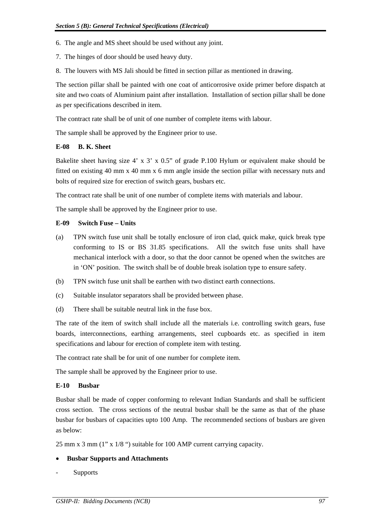- 6. The angle and MS sheet should be used without any joint.
- 7. The hinges of door should be used heavy duty.
- 8. The louvers with MS Jali should be fitted in section pillar as mentioned in drawing.

The section pillar shall be painted with one coat of anticorrosive oxide primer before dispatch at site and two coats of Aluminium paint after installation. Installation of section pillar shall be done as per specifications described in item.

The contract rate shall be of unit of one number of complete items with labour.

The sample shall be approved by the Engineer prior to use.

## **E-08 B. K. Sheet**

Bakelite sheet having size 4' x 3' x 0.5" of grade P.100 Hylum or equivalent make should be fitted on existing 40 mm x 40 mm x 6 mm angle inside the section pillar with necessary nuts and bolts of required size for erection of switch gears, busbars etc.

The contract rate shall be unit of one number of complete items with materials and labour.

The sample shall be approved by the Engineer prior to use.

## **E-09 Switch Fuse – Units**

- (a) TPN switch fuse unit shall be totally enclosure of iron clad, quick make, quick break type conforming to IS or BS 31.85 specifications. All the switch fuse units shall have mechanical interlock with a door, so that the door cannot be opened when the switches are in 'ON' position. The switch shall be of double break isolation type to ensure safety.
- (b) TPN switch fuse unit shall be earthen with two distinct earth connections.
- (c) Suitable insulator separators shall be provided between phase.
- (d) There shall be suitable neutral link in the fuse box.

The rate of the item of switch shall include all the materials i.e. controlling switch gears, fuse boards, interconnections, earthing arrangements, steel cupboards etc. as specified in item specifications and labour for erection of complete item with testing.

The contract rate shall be for unit of one number for complete item.

The sample shall be approved by the Engineer prior to use.

## **E-10 Busbar**

Busbar shall be made of copper conforming to relevant Indian Standards and shall be sufficient cross section. The cross sections of the neutral busbar shall be the same as that of the phase busbar for busbars of capacities upto 100 Amp. The recommended sections of busbars are given as below:

25 mm x 3 mm (1" x 1/8 ") suitable for 100 AMP current carrying capacity.

# **Busbar Supports and Attachments**

**Supports**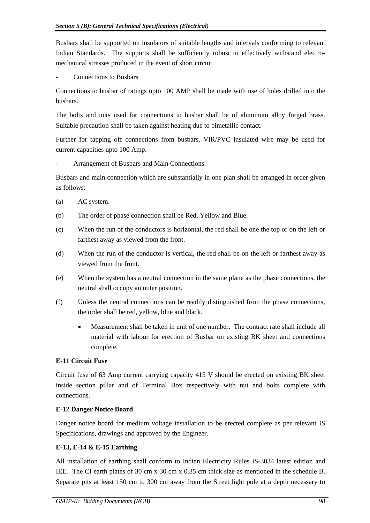Busbars shall be supported on insulators of suitable lengths and intervals conforming to relevant Indian Standards. The supports shall be sufficiently robust to effectively withstand electromechanical stresses produced in the event of short circuit.

- Connections to Busbars

Connections to busbar of ratings upto 100 AMP shall be made with use of holes drilled into the busbars.

The bolts and nuts used for connections to busbar shall be of aluminum alloy forged brass. Suitable precaution shall be taken against heating due to bimetallic contact.

Further for tapping off connections from busbars, VIR/PVC insulated wire may be used for current capacities upto 100 Amp.

Arrangement of Busbars and Main Connections.

Busbars and main connection which are substantially in one plan shall be arranged in order given as follows:

- (a) AC system.
- (b) The order of phase connection shall be Red, Yellow and Blue.
- (c) When the run of the conductors is horizontal, the red shall be one the top or on the left or farthest away as viewed from the front.
- (d) When the run of the conductor is vertical, the red shall be on the left or farthest away as viewed from the front.
- (e) When the system has a neutral connection in the same plane as the phase connections, the neutral shall occupy an outer position.
- (f) Unless the neutral connections can be readily distinguished from the phase connections, the order shall be red, yellow, blue and black.
	- Measurement shall be taken in unit of one number. The contract rate shall include all material with labour for erection of Busbar on existing BK sheet and connections complete.

# **E-11 Circuit Fuse**

Circuit fuse of 63 Amp current carrying capacity 415 V should be erected on existing BK sheet inside section pillar and of Terminal Box respectively with nut and bolts complete with connections.

# **E-12 Danger Notice Board**

Danger notice board for medium voltage installation to be erected complete as per relevant IS Specifications, drawings and approved by the Engineer.

# **E-13, E-14 & E-15 Earthing**

All installation of earthing shall conform to Indian Electricity Rules IS-3034 latest edition and IEE. The CI earth plates of 30 cm x 30 cm x 0.35 cm thick size as mentioned in the schedule B. Separate pits at least 150 cm to 300 cm away from the Street light pole at a depth necessary to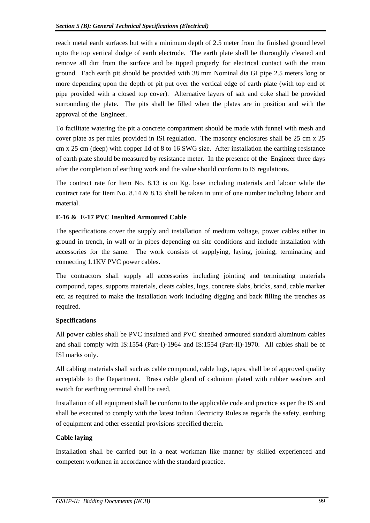reach metal earth surfaces but with a minimum depth of 2.5 meter from the finished ground level upto the top vertical dodge of earth electrode. The earth plate shall be thoroughly cleaned and remove all dirt from the surface and be tipped properly for electrical contact with the main ground. Each earth pit should be provided with 38 mm Nominal dia GI pipe 2.5 meters long or more depending upon the depth of pit put over the vertical edge of earth plate (with top end of pipe provided with a closed top cover). Alternative layers of salt and coke shall be provided surrounding the plate. The pits shall be filled when the plates are in position and with the approval of the Engineer.

To facilitate watering the pit a concrete compartment should be made with funnel with mesh and cover plate as per rules provided in ISI regulation. The masonry enclosures shall be 25 cm x 25 cm x 25 cm (deep) with copper lid of 8 to 16 SWG size. After installation the earthing resistance of earth plate should be measured by resistance meter. In the presence of the Engineer three days after the completion of earthing work and the value should conform to IS regulations.

The contract rate for Item No. 8.13 is on Kg. base including materials and labour while the contract rate for Item No. 8.14 & 8.15 shall be taken in unit of one number including labour and material.

# **E-16 & E-17 PVC Insulted Armoured Cable**

The specifications cover the supply and installation of medium voltage, power cables either in ground in trench, in wall or in pipes depending on site conditions and include installation with accessories for the same. The work consists of supplying, laying, joining, terminating and connecting 1.1KV PVC power cables.

The contractors shall supply all accessories including jointing and terminating materials compound, tapes, supports materials, cleats cables, lugs, concrete slabs, bricks, sand, cable marker etc. as required to make the installation work including digging and back filling the trenches as required.

## **Specifications**

All power cables shall be PVC insulated and PVC sheathed armoured standard aluminum cables and shall comply with IS:1554 (Part-I)-1964 and IS:1554 (Part-II)-1970. All cables shall be of ISI marks only.

All cabling materials shall such as cable compound, cable lugs, tapes, shall be of approved quality acceptable to the Department. Brass cable gland of cadmium plated with rubber washers and switch for earthing terminal shall be used.

Installation of all equipment shall be conform to the applicable code and practice as per the IS and shall be executed to comply with the latest Indian Electricity Rules as regards the safety, earthing of equipment and other essential provisions specified therein.

## **Cable laying**

Installation shall be carried out in a neat workman like manner by skilled experienced and competent workmen in accordance with the standard practice.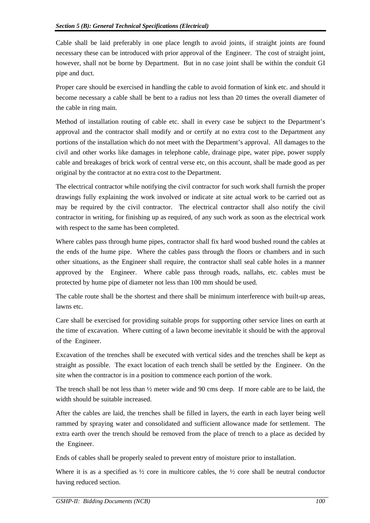Cable shall be laid preferably in one place length to avoid joints, if straight joints are found necessary these can be introduced with prior approval of the Engineer. The cost of straight joint, however, shall not be borne by Department. But in no case joint shall be within the conduit GI pipe and duct.

Proper care should be exercised in handling the cable to avoid formation of kink etc. and should it become necessary a cable shall be bent to a radius not less than 20 times the overall diameter of the cable in ring main.

Method of installation routing of cable etc. shall in every case be subject to the Department's approval and the contractor shall modify and or certify at no extra cost to the Department any portions of the installation which do not meet with the Department's approval. All damages to the civil and other works like damages in telephone cable, drainage pipe, water pipe, power supply cable and breakages of brick work of central verse etc, on this account, shall be made good as per original by the contractor at no extra cost to the Department.

The electrical contractor while notifying the civil contractor for such work shall furnish the proper drawings fully explaining the work involved or indicate at site actual work to be carried out as may be required by the civil contractor. The electrical contractor shall also notify the civil contractor in writing, for finishing up as required, of any such work as soon as the electrical work with respect to the same has been completed.

Where cables pass through hume pipes, contractor shall fix hard wood bushed round the cables at the ends of the hume pipe. Where the cables pass through the floors or chambers and in such other situations, as the Engineer shall require, the contractor shall seal cable holes in a manner approved by the Engineer. Where cable pass through roads, nallahs, etc. cables must be protected by hume pipe of diameter not less than 100 mm should be used.

The cable route shall be the shortest and there shall be minimum interference with built-up areas, lawns etc.

Care shall be exercised for providing suitable props for supporting other service lines on earth at the time of excavation. Where cutting of a lawn become inevitable it should be with the approval of the Engineer.

Excavation of the trenches shall be executed with vertical sides and the trenches shall be kept as straight as possible. The exact location of each trench shall be settled by the Engineer. On the site when the contractor is in a position to commence each portion of the work.

The trench shall be not less than  $\frac{1}{2}$  meter wide and 90 cms deep. If more cable are to be laid, the width should be suitable increased.

After the cables are laid, the trenches shall be filled in layers, the earth in each layer being well rammed by spraying water and consolidated and sufficient allowance made for settlement. The extra earth over the trench should be removed from the place of trench to a place as decided by the Engineer.

Ends of cables shall be properly sealed to prevent entry of moisture prior to installation.

Where it is as a specified as  $\frac{1}{2}$  core in multicore cables, the  $\frac{1}{2}$  core shall be neutral conductor having reduced section.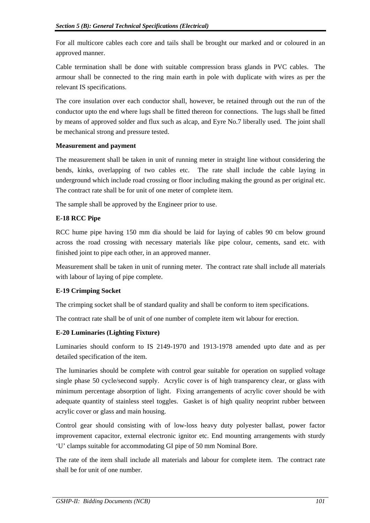For all multicore cables each core and tails shall be brought our marked and or coloured in an approved manner.

Cable termination shall be done with suitable compression brass glands in PVC cables. The armour shall be connected to the ring main earth in pole with duplicate with wires as per the relevant IS specifications.

The core insulation over each conductor shall, however, be retained through out the run of the conductor upto the end where lugs shall be fitted thereon for connections. The lugs shall be fitted by means of approved solder and flux such as alcap, and Eyre No.7 liberally used. The joint shall be mechanical strong and pressure tested.

## **Measurement and payment**

The measurement shall be taken in unit of running meter in straight line without considering the bends, kinks, overlapping of two cables etc. The rate shall include the cable laying in underground which include road crossing or floor including making the ground as per original etc. The contract rate shall be for unit of one meter of complete item.

The sample shall be approved by the Engineer prior to use.

# **E-18 RCC Pipe**

RCC hume pipe having 150 mm dia should be laid for laying of cables 90 cm below ground across the road crossing with necessary materials like pipe colour, cements, sand etc. with finished joint to pipe each other, in an approved manner.

Measurement shall be taken in unit of running meter. The contract rate shall include all materials with labour of laying of pipe complete.

## **E-19 Crimping Socket**

The crimping socket shall be of standard quality and shall be conform to item specifications.

The contract rate shall be of unit of one number of complete item wit labour for erection.

# **E-20 Luminaries (Lighting Fixture)**

Luminaries should conform to IS 2149-1970 and 1913-1978 amended upto date and as per detailed specification of the item.

The luminaries should be complete with control gear suitable for operation on supplied voltage single phase 50 cycle/second supply. Acrylic cover is of high transparency clear, or glass with minimum percentage absorption of light. Fixing arrangements of acrylic cover should be with adequate quantity of stainless steel toggles. Gasket is of high quality neoprint rubber between acrylic cover or glass and main housing.

Control gear should consisting with of low-loss heavy duty polyester ballast, power factor improvement capacitor, external electronic ignitor etc. End mounting arrangements with sturdy 'U' clamps suitable for accommodating GI pipe of 50 mm Nominal Bore.

The rate of the item shall include all materials and labour for complete item. The contract rate shall be for unit of one number.